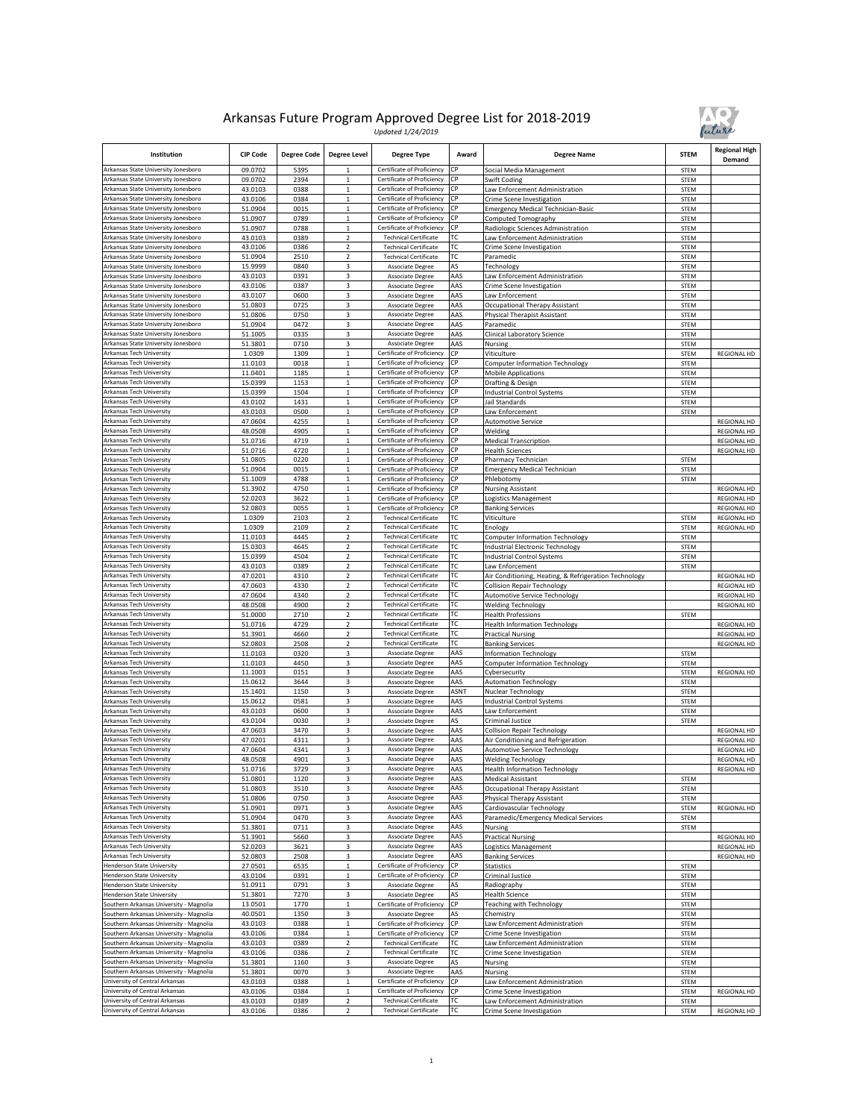

| Institution                                                                        | <b>CIP Code</b>    | <b>Degree Code</b> | <b>Degree Level</b>              | <b>Degree Type</b>                                           | Award       | <b>Degree Name</b>                                                    | <b>STEM</b>                | <b>Regional High</b><br>Demand           |
|------------------------------------------------------------------------------------|--------------------|--------------------|----------------------------------|--------------------------------------------------------------|-------------|-----------------------------------------------------------------------|----------------------------|------------------------------------------|
| Arkansas State University Jonesboro                                                | 09.0702            | 5395               |                                  | Certificate of Proficiency                                   | CP          | Social Media Management                                               | <b>STEM</b>                |                                          |
| Arkansas State University Jonesboro<br>Arkansas State University Jonesboro         | 09.0702<br>43.0103 | 2394<br>0388       | $\mathbf 1$                      | Certificate of Proficiency<br>Certificate of Proficiency     | СP<br>СP    | Swift Coding<br>Law Enforcement Administration                        | <b>STEM</b>                |                                          |
| Arkansas State University Jonesboro                                                | 43.0106            | 0384               | 1<br>$\,1\,$                     | Certificate of Proficiency                                   | СP          | Crime Scene Investigation                                             | STEM<br><b>STEM</b>        |                                          |
| Arkansas State University Jonesboro                                                | 51.0904            | 0015               | $\mathbf 1$                      | Certificate of Proficiency                                   | СP          | <b>Emergency Medical Technician-Basic</b>                             | <b>STEM</b>                |                                          |
| Arkansas State University Jonesboro                                                | 51.0907            | 0789               | 1                                | Certificate of Proficiency                                   | СР          | Computed Tomography                                                   | STEM                       |                                          |
| Arkansas State University Jonesboro                                                | 51.0907            | 0788               | $\,1$                            | Certificate of Proficiency                                   | СР          | Radiologic Sciences Administration                                    | STEM                       |                                          |
| Arkansas State University Jonesboro<br>Arkansas State University Jonesboro         | 43.0103            | 0389               | $\overline{2}$<br>$\overline{2}$ | <b>Technical Certificate</b><br><b>Technical Certificate</b> | ТC<br>ТC    | Law Enforcement Administration                                        | <b>STEM</b>                |                                          |
| Arkansas State University Jonesboro                                                | 43.0106<br>51.0904 | 0386<br>2510       | 2                                | <b>Technical Certificate</b>                                 | ТC          | Crime Scene Investigation<br>Paramedic                                | STEM<br>STEM               |                                          |
| Arkansas State University Jonesboro                                                | 15.9999            | 0840               | 3                                | Associate Degree                                             | AS          | Technology                                                            | STEM                       |                                          |
| Arkansas State University Jonesboro                                                | 43.0103            | 0391               | 3                                | <b>Associate Degree</b>                                      | AAS         | aw Enforcement Administration                                         | STEM                       |                                          |
| Arkansas State University Jonesboro                                                | 43.0106            | 0387               | 3                                | Associate Degree                                             | AAS         | Crime Scene Investigation                                             | STEM                       |                                          |
| Arkansas State University Jonesboro                                                | 43.0107            | 0600               | 3                                | Associate Degree                                             | AAS         | Law Enforcement                                                       | <b>STEM</b>                |                                          |
| Arkansas State University Jonesboro<br>Arkansas State University Jonesboro         | 51.0803<br>51.0806 | 0725<br>0750       | 3<br>3                           | <b>Associate Degree</b><br>Associate Degree                  | AAS<br>AAS  | Occupational Therapy Assistant<br><b>Physical Therapist Assistant</b> | <b>STEM</b><br>STEM        |                                          |
| Arkansas State University Jonesboro                                                | 51.0904            | 0472               | 3                                | Associate Degree                                             | AAS         | Paramedic                                                             | <b>STEM</b>                |                                          |
| Arkansas State University Jonesboro                                                | 51.1005            | 0335               | 3                                | <b>Associate Degree</b>                                      | AAS         | Clinical Laboratory Science                                           | <b>STEM</b>                |                                          |
| Arkansas State University Jonesboro                                                | 51.3801            | 0710               | 3                                | Associate Degree                                             | AAS         | Nursing                                                               | <b>STEM</b>                |                                          |
| Arkansas Tech University                                                           | 1.0309             | 1309               | $\mathbf 1$                      | Certificate of Proficiency                                   | СP          | Viticulture                                                           | STEM                       | <b>REGIONAL HD</b>                       |
| Arkansas Tech University<br>Arkansas Tech University                               | 11.0103<br>11.0401 | 0018<br>1185       | $\mathbf{1}$<br>$\mathbf 1$      | Certificate of Proficiency<br>Certificate of Proficiency     | СР<br>СP    | <b>Computer Information Technology</b><br><b>Mobile Applications</b>  | <b>STEM</b><br><b>STEM</b> |                                          |
| Arkansas Tech University                                                           | 15.0399            | 1153               | $\mathbf 1$                      | Certificate of Proficiency                                   | СP          | Drafting & Design                                                     | <b>STEM</b>                |                                          |
| Arkansas Tech University                                                           | 15.0399            | 1504               | $\mathbf{1}$                     | Certificate of Proficiency                                   | СP          | <b>Industrial Control Systems</b>                                     | <b>STEM</b>                |                                          |
| Arkansas Tech University                                                           | 43.0102            | 1431               | $\mathbf{1}$                     | Certificate of Proficiency                                   | СP          | Jail Standards                                                        | STEM                       |                                          |
| Arkansas Tech University                                                           | 43.0103            | 0500               | $\mathbf{1}$                     | Certificate of Proficiency                                   | CP          | Law Enforcement                                                       | <b>STEM</b>                |                                          |
| Arkansas Tech University                                                           | 47.0604            | 4255               | $\mathbf 1$<br>$\mathbf{1}$      | Certificate of Proficiency<br>Certificate of Proficiency     | CP<br>СP    | <b>Automotive Service</b><br>Welding                                  |                            | <b>REGIONAL HD</b><br><b>REGIONAL HD</b> |
| Arkansas Tech University<br>Arkansas Tech University                               | 48.0508<br>51.0716 | 4905<br>4719       | $\mathbf{1}$                     | Certificate of Proficiency                                   | СP          | <b>Medical Transcription</b>                                          |                            | <b>REGIONAL HD</b>                       |
| Arkansas Tech University                                                           | 51.0716            | 4720               | $\mathbf 1$                      | Certificate of Proficiency                                   | СP          | <b>Health Sciences</b>                                                |                            | REGIONAL HD                              |
| Arkansas Tech University                                                           | 51.0805            | 0220               | $\mathbf 1$                      | Certificate of Proficiency                                   | СP          | Pharmacy Technician                                                   | STEM                       |                                          |
| Arkansas Tech University                                                           | 51.0904            | 0015               | $\mathbf{1}$                     | Certificate of Proficiency                                   | СР          | <b>Emergency Medical Technician</b>                                   | STEM                       |                                          |
| Arkansas Tech University<br><b>Arkansas Tech University</b>                        | 51.1009            | 4788               | $\mathbf 1$                      | Certificate of Proficiency                                   | CP<br>СP    | Phlebotomy                                                            | STEM                       |                                          |
| Arkansas Tech University                                                           | 51.3902<br>52.0203 | 4750<br>3622       | $\mathbf 1$<br>$\mathbf 1$       | Certificate of Proficiency<br>Certificate of Proficiency     | СP          | <b>Nursing Assistant</b><br>Logistics Management                      |                            | <b>REGIONAL HD</b><br>REGIONAL HD        |
| Arkansas Tech University                                                           | 52.0803            | 0055               | $\mathbf 1$                      | Certificate of Proficiency                                   | СP          | <b>Banking Services</b>                                               |                            | <b>REGIONAL HD</b>                       |
| Arkansas Tech University                                                           | 1.0309             | 2103               | $\overline{2}$                   | <b>Technical Certificate</b>                                 | ТC          | Viticulture                                                           | <b>STEM</b>                | REGIONAL HD                              |
| Arkansas Tech University                                                           | 1.0309             | 2109               | $\mathbf 2$                      | <b>Technical Certificate</b>                                 | тс          | Enology                                                               | STEM                       | <b>REGIONAL HD</b>                       |
| Arkansas Tech University                                                           | 11.0103            | 4445               | $\overline{2}$                   | <b>Technical Certificate</b>                                 | ТC          | <b>Computer Information Technology</b>                                | STEM                       |                                          |
| Arkansas Tech University<br>Arkansas Tech University                               | 15.0303<br>15.0399 | 4645<br>4504       | $\overline{2}$<br>$\overline{2}$ | <b>Technical Certificate</b><br><b>Technical Certificate</b> | ТC<br>ТC    | Industrial Electronic Technology<br><b>Industrial Control Systems</b> | <b>STEM</b><br>STEM        |                                          |
| Arkansas Tech University                                                           | 43.0103            | 0389               | $\mathbf 2$                      | <b>Technical Certificate</b>                                 | ТC          | Law Enforcement                                                       | STEM                       |                                          |
| Arkansas Tech University                                                           | 47.0201            | 4310               | $\overline{2}$                   | <b>Technical Certificate</b>                                 | ТC          | Air Conditioning, Heating, & Refrigeration Technology                 |                            | <b>REGIONAL HD</b>                       |
| Arkansas Tech University                                                           | 47.0603            | 4330               | $\mathbf 2$                      | <b>Technical Certificate</b>                                 | ТC          | <b>Collision Repair Technology</b>                                    |                            | REGIONAL HD                              |
| Arkansas Tech University                                                           | 47.0604            | 4340               | $\mathbf 2$                      | <b>Technical Certificate</b>                                 | ТC          | Automotive Service Technology                                         |                            | REGIONAL HD                              |
| Arkansas Tech University<br>Arkansas Tech University                               | 48.0508<br>51.0000 | 4900<br>2710       | $\overline{2}$<br>$\overline{2}$ | <b>Technical Certificate</b><br><b>Technical Certificate</b> | ТC<br>ТC    | <b>Welding Technology</b><br><b>Health Professions</b>                | STEM                       | REGIONAL HD                              |
| Arkansas Tech University                                                           | 51.0716            | 4729               | $\overline{2}$                   | <b>Technical Certificate</b>                                 | ТC          | <b>Health Information Technology</b>                                  |                            | REGIONAL HD                              |
| Arkansas Tech University                                                           | 51.3901            | 4660               | $\overline{2}$                   | <b>Technical Certificate</b>                                 | ТC          | <b>Practical Nursing</b>                                              |                            | REGIONAL HD                              |
| Arkansas Tech University                                                           | 52.0803            | 2508               | $\overline{2}$                   | <b>Technical Certificate</b>                                 | тс          | <b>Banking Services</b>                                               |                            | <b>REGIONAL HD</b>                       |
| Arkansas Tech University                                                           | 11.0103            | 0320               | 3                                | Associate Degree                                             | AAS         | <b>Information Technology</b>                                         | STEM                       |                                          |
| Arkansas Tech University<br>Arkansas Tech University                               | 11.0103<br>11.1003 | 4450<br>0151       | 3<br>3                           | Associate Degree<br>Associate Degree                         | AAS<br>AAS  | <b>Computer Information Technology</b><br>Cybersecurity               | STEM<br>STEM               | REGIONAL HD                              |
| Arkansas Tech University                                                           | 15.0612            | 3644               | 3                                | Associate Degree                                             | AAS         | <b>Automation Technology</b>                                          | <b>STEM</b>                |                                          |
| Arkansas Tech University                                                           | 15.1401            | 1150               | 3                                | <b>Associate Degree</b>                                      | <b>ASN1</b> | Nuclear Technology                                                    | <b>STEM</b>                |                                          |
| Arkansas Tech University                                                           | 15.0612            | 0581               | 3                                | Associate Degree                                             | AAS         | <b>Industrial Control Systems</b>                                     | <b>STEM</b>                |                                          |
| Arkansas Tech University                                                           | 43.0103            | 0600               | 3                                | Associate Degree                                             | AAS         | Law Enforcement                                                       | STEM                       |                                          |
| Arkansas Tech University<br>Arkansas Tech University                               | 43.0104<br>47.0603 | 0030<br>3470       | 3<br>3                           | Associate Degree<br><b>Associate Degree</b>                  | AS<br>AAS   | Criminal Justice<br><b>Collision Repair Technology</b>                | STEM                       | <b>REGIONAL HD</b>                       |
| Arkansas Tech University                                                           | 47.0201            | 4311               | 3                                | <b>Associate Degree</b>                                      | AAS         | Air Conditioning and Refrigeration                                    |                            | REGIONAL HD                              |
| Arkansas Tech University                                                           | 47.0604            | 4341               | 3                                | Associate Degree                                             | AAS         | Automotive Service Technology                                         |                            | <b>REGIONAL HD</b>                       |
| Arkansas Tech University                                                           | 48.0508            | 4901               | 3                                | <b>Associate Degree</b>                                      | AAS         | <b>Welding Technology</b>                                             |                            | <b>REGIONAL HD</b>                       |
| Arkansas Tech University                                                           | 51.0716            | 3729               | 3                                | Associate Degree                                             | AAS         | <b>Health Information Technology</b>                                  |                            | REGIONAL HD                              |
| Arkansas Tech University<br>Arkansas Tech University                               | 51.0801<br>51.0803 | 1120<br>3510       | 3<br>3                           | Associate Degree<br><b>Associate Degree</b>                  | AAS<br>AAS  | <b>Medical Assistant</b><br>Occupational Therapy Assistant            | <b>STEM</b><br><b>STEM</b> |                                          |
| Arkansas Tech University                                                           | 51.0806            | 0750               | 3                                | Associate Degree                                             | AAS         | <b>Physical Therapy Assistant</b>                                     | STEM                       |                                          |
| Arkansas Tech University                                                           | 51.0901            | 0971               | 3                                | Associate Degree                                             | AAS         | Cardiovascular Technology                                             | STEM                       | REGIONAL HD                              |
| Arkansas Tech University                                                           | 51.0904            | 0470               | 3                                | <b>Associate Degree</b>                                      | AAS         | Paramedic/Emergency Medical Services                                  | <b>STEM</b>                |                                          |
| Arkansas Tech University                                                           | 51.3801            | 0711               | 3                                | <b>Associate Degree</b>                                      | AAS         | Nursing                                                               | STEM                       |                                          |
| Arkansas Tech University<br>Arkansas Tech University                               | 51.3901<br>52.0203 | 5660<br>3621       | 3<br>3                           | Associate Degree<br>Associate Degree                         | AAS<br>AAS  | <b>Practical Nursing</b><br>Logistics Management                      |                            | REGIONAL HD<br>REGIONAL HD               |
| Arkansas Tech University                                                           | 52.0803            | 2508               | 3                                | <b>Associate Degree</b>                                      | AAS         | <b>Banking Services</b>                                               |                            | REGIONAL HD                              |
| Henderson State University                                                         | 27.0501            | 6535               | $\mathbf{1}$                     | Certificate of Proficiency                                   | СP          | Statistics                                                            | STEM                       |                                          |
| Henderson State University                                                         | 43.0104            | 0391               | $\mathbf 1$                      | Certificate of Proficiency                                   | СP          | Criminal Justice                                                      | STEM                       |                                          |
| Henderson State University                                                         | 51.0911            | 0791               | 3                                | Associate Degree                                             | AS          | Radiography                                                           | <b>STEM</b>                |                                          |
| <b>Henderson State University</b><br>Southern Arkansas University - Magnolia       | 51.3801<br>13.0501 | 7270<br>1770       | 3<br>$\,$ 1 $\,$                 | Associate Degree<br>Certificate of Proficiency               | AS<br>CP    | <b>Health Science</b><br>Teaching with Technology                     | STEM<br>STEM               |                                          |
| Southern Arkansas University - Magnolia                                            | 40.0501            | 1350               | 3                                | Associate Degree                                             | AS          | Chemistry                                                             | STEM                       |                                          |
| Southern Arkansas University - Magnolia                                            | 43.0103            | 0388               | $\,$ 1 $\,$                      | Certificate of Proficiency                                   | СP          | Law Enforcement Administration                                        | STEM                       |                                          |
| Southern Arkansas University - Magnolia                                            | 43.0106            | 0384               | $\mathbf 1$                      | Certificate of Proficiency                                   | СP          | Crime Scene Investigation                                             | STEM                       |                                          |
| Southern Arkansas University - Magnolia                                            | 43.0103            | 0389               | $\overline{2}$                   | <b>Technical Certificate</b>                                 | тc          | Law Enforcement Administration                                        | STEM                       |                                          |
| Southern Arkansas University - Magnolia                                            | 43.0106            | 0386               | $\overline{2}$<br>3              | <b>Technical Certificate</b>                                 | тс<br>AS    | Crime Scene Investigation                                             | STEM                       |                                          |
| Southern Arkansas University - Magnolia<br>Southern Arkansas University - Magnolia | 51.3801<br>51.3801 | 1160<br>0070       | 3                                | Associate Degree<br>Associate Degree                         | AAS         | Nursing<br>Nursing                                                    | <b>STEM</b><br>STEM        |                                          |
| University of Central Arkansas                                                     | 43.0103            | 0388               | $\mathbf 1$                      | Certificate of Proficiency                                   | СР          | Law Enforcement Administration                                        | STEM                       |                                          |
| University of Central Arkansas                                                     | 43.0106            | 0384               | $\,$ 1 $\,$                      | Certificate of Proficiency                                   | СP          | Crime Scene Investigation                                             | STEM                       | REGIONAL HD                              |
| University of Central Arkansas                                                     | 43.0103            | 0389               | $\overline{2}$                   | <b>Technical Certificate</b>                                 | ТC          | Law Enforcement Administration                                        | STEM                       |                                          |
| University of Central Arkansas                                                     | 43.0106            | 0386               | $\overline{2}$                   | <b>Technical Certificate</b>                                 | тс          | Crime Scene Investigation                                             | STEM                       | REGIONAL HD                              |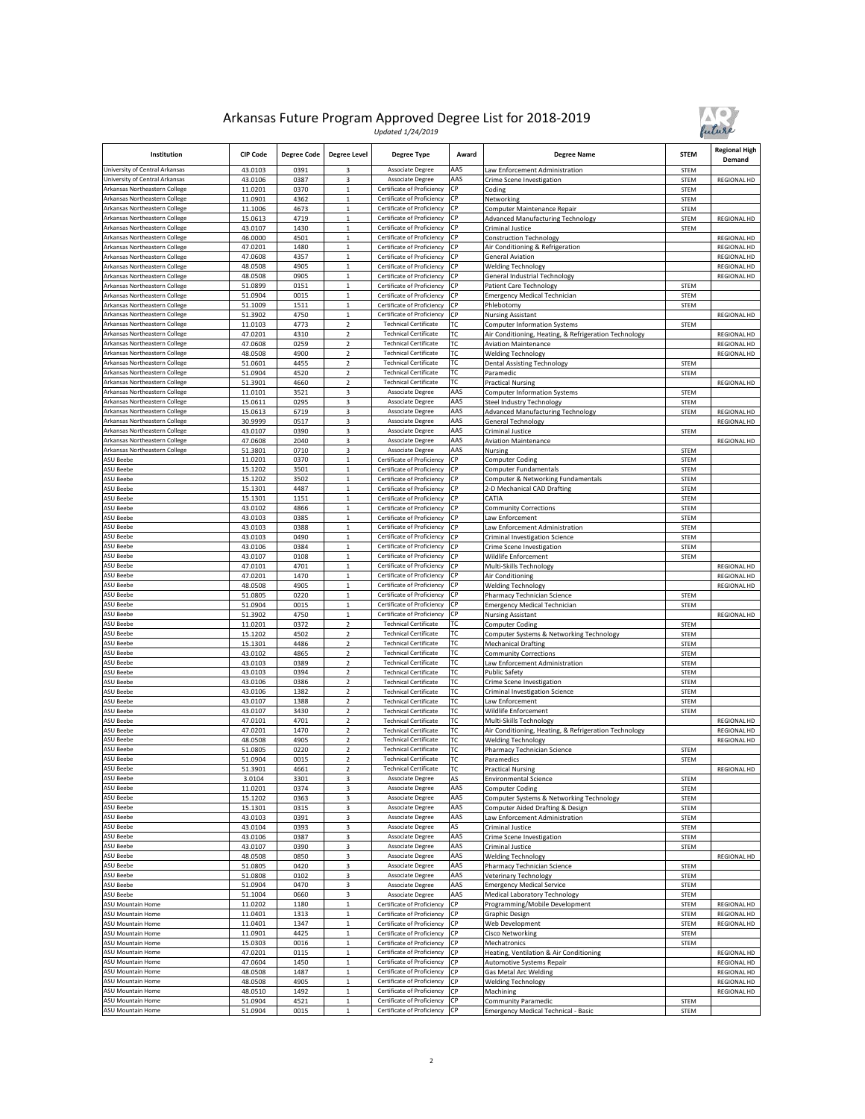

| Institution                                                    | <b>CIP Code</b>    | <b>Degree Code</b> | <b>Degree Level</b>              | <b>Degree Type</b>                                           | Award     | <b>Degree Name</b>                                            | <b>STEM</b>         | <b>Regional High</b><br>Demand |
|----------------------------------------------------------------|--------------------|--------------------|----------------------------------|--------------------------------------------------------------|-----------|---------------------------------------------------------------|---------------------|--------------------------------|
| University of Central Arkansas                                 | 43.0103            | 0391               | 3                                | Associate Degree                                             | AAS       | aw Enforcement Administration                                 | <b>STEM</b>         |                                |
| University of Central Arkansas                                 | 43.0106            | 0387               | 3                                | Associate Degree                                             | AAS       | Crime Scene Investigation                                     | STEM                | <b>REGIONAL HD</b>             |
| Arkansas Northeastern College                                  | 11.0201            | 0370               | $\mathbf 1$<br>$\mathbf{1}$      | Certificate of Proficiency                                   | СP        | Coding                                                        | STEM                |                                |
| Arkansas Northeastern College<br>Arkansas Northeastern College | 11.0901<br>11.1006 | 4362<br>4673       | $\,$ 1 $\,$                      | Certificate of Proficiency<br>Certificate of Proficiency     | СP<br>СP  | Networking<br>Computer Maintenance Repair                     | STEM<br>STEM        |                                |
| Arkansas Northeastern College                                  | 15.0613            | 4719               | $\,1$                            | Certificate of Proficiency                                   | СP        | <b>Advanced Manufacturing Technology</b>                      | <b>STEM</b>         | REGIONAL HD                    |
| Arkansas Northeastern College                                  | 43.0107            | 1430               | $\,1$                            | Certificate of Proficiency                                   | СP        | Criminal Justice                                              | STEM                |                                |
| Arkansas Northeastern College                                  | 46.0000            | 4501               | $\mathbf 1$                      | Certificate of Proficiency                                   | СP        | <b>Construction Technology</b>                                |                     | <b>REGIONAL HD</b>             |
| Arkansas Northeastern College                                  | 47.0201            | 1480               | $\,$ 1 $\,$                      | Certificate of Proficiency                                   | <b>CP</b> | Air Conditioning & Refrigeration                              |                     | REGIONAL HD                    |
| Arkansas Northeastern College                                  | 47.0608            | 4357               | $\mathbf 1$                      | Certificate of Proficiency                                   | СP        | <b>General Aviation</b>                                       |                     | <b>REGIONAL HD</b>             |
| Arkansas Northeastern College<br>Arkansas Northeastern College | 48.0508<br>48.0508 | 4905<br>0905       | $\,1$<br>$\mathbf 1$             | Certificate of Proficiency<br>Certificate of Proficiency     | СР<br>CP  | <b>Welding Technology</b>                                     |                     | REGIONAL HD                    |
| Arkansas Northeastern College                                  | 51.0899            | 0151               | $\,1$                            | Certificate of Proficiency                                   | СP        | General Industrial Technology<br>Patient Care Technology      | <b>STEM</b>         | <b>REGIONAL HD</b>             |
| Arkansas Northeastern College                                  | 51.0904            | 0015               | $\mathbf{1}$                     | Certificate of Proficiency                                   | СP        | <b>Imergency Medical Technician</b>                           | STEM                |                                |
| Arkansas Northeastern College                                  | 51.1009            | 1511               | $\mathbf 1$                      | Certificate of Proficiency                                   | СP        | Phlebotomy                                                    | STEM                |                                |
| Arkansas Northeastern College                                  | 51.3902            | 4750               | $\mathbf 1$                      | Certificate of Proficiency                                   | CP        | <b>Nursing Assistant</b>                                      |                     | REGIONAL HD                    |
| Arkansas Northeastern College                                  | 11.0103            | 4773               | $\overline{2}$                   | <b>Technical Certificate</b>                                 | ГC        | <b>Computer Information Systems</b>                           | STEM                |                                |
| Arkansas Northeastern College                                  | 47.0201            | 4310               | $\overline{\mathbf{c}}$          | <b>Technical Certificate</b>                                 | ТC        | Air Conditioning, Heating, & Refrigeration Technology         |                     | REGIONAL HD                    |
| Arkansas Northeastern College                                  | 47.0608            | 0259               | $\overline{2}$                   | <b>Technical Certificate</b>                                 | ТC        | <b>Aviation Maintenance</b>                                   |                     | <b>REGIONAL HD</b>             |
| Arkansas Northeastern College<br>Arkansas Northeastern College | 48.0508            | 4900               | $\overline{a}$<br>$\overline{2}$ | <b>Technical Certificate</b><br><b>Technical Certificate</b> | ГC<br>ГC  | Welding Technology                                            |                     | REGIONAL HD                    |
| Arkansas Northeastern College                                  | 51.0601<br>51.0904 | 4455<br>4520       | $\overline{2}$                   | <b>Technical Certificate</b>                                 | ТC        | <b>Dental Assisting Technology</b><br>Paramedic               | STEM<br>STEM        |                                |
| Arkansas Northeastern College                                  | 51.3901            | 4660               | $\mathbf 2$                      | <b>Technical Certificate</b>                                 | ТC        | <b>Practical Nursing</b>                                      |                     | REGIONAL HD                    |
| Arkansas Northeastern College                                  | 11.0101            | 3521               | 3                                | Associate Degree                                             | AAS       | Computer Information Systems                                  | STEM                |                                |
| Arkansas Northeastern College                                  | 15.0611            | 0295               | 3                                | Associate Degree                                             | AAS       | Steel Industry Technology                                     | STEM                |                                |
| Arkansas Northeastern College                                  | 15.0613            | 6719               | 3                                | Associate Degree                                             | AAS       | <b>Advanced Manufacturing Technology</b>                      | STEM                | <b>REGIONAL HD</b>             |
| Arkansas Northeastern College                                  | 30.9999            | 0517               | 3                                | Associate Degree                                             | AAS       | General Technology                                            |                     | REGIONAL HD                    |
| Arkansas Northeastern College                                  | 43.0107            | 0390               | 3                                | Associate Degree                                             | AAS       | Criminal Justice                                              | STEM                |                                |
| Arkansas Northeastern College                                  | 47.0608            | 2040               | 3                                | Associate Degree                                             | AAS       | <b>Aviation Maintenance</b>                                   |                     | <b>REGIONAL HD</b>             |
| Arkansas Northeastern College                                  | 51.3801            | 0710               | 3                                | Associate Degree                                             | AAS       | Nursing                                                       | STEM                |                                |
| <b>ASU Beebe</b><br>ASU Beebe                                  | 11.0201<br>15.1202 | 0370<br>3501       | $\,1$<br>$\mathbf{1}$            | Certificate of Proficiency<br>Certificate of Proficiency     | СP<br>СP  | Computer Coding<br>Computer Fundamentals                      | STEM<br>STEM        |                                |
| <b>ASU Beebe</b>                                               | 15.1202            | 3502               | $\mathbf 1$                      | Certificate of Proficiency                                   | СP        | Computer & Networking Fundamentals                            | STEM                |                                |
| ASU Beebe                                                      | 15.1301            | 4487               | $\,$ 1 $\,$                      | Certificate of Proficiency                                   | СP        | 2-D Mechanical CAD Drafting                                   | STEM                |                                |
| ASU Beebe                                                      | 15.1301            | 1151               | $\mathbf 1$                      | Certificate of Proficiency                                   | CP        | CATIA                                                         | STEM                |                                |
| <b>ASU Beebe</b>                                               | 43.0102            | 4866               | $\mathbf{1}$                     | Certificate of Proficiency                                   | СP        | <b>Community Corrections</b>                                  | STEM                |                                |
| ASU Beebe                                                      | 43.0103            | 0385               | $\mathbf 1$                      | Certificate of Proficiency                                   | СP        | aw Enforcement                                                | STEM                |                                |
| <b>ASU Beebe</b>                                               | 43.0103            | 0388               | $\,1$                            | Certificate of Proficiency                                   | СP        | aw Enforcement Administration                                 | STEM                |                                |
| ASU Beebe                                                      | 43.0103            | 0490               | $\,1$                            | Certificate of Proficiency                                   | СP        | Criminal Investigation Science                                | STEM                |                                |
| <b>ASU Beebe</b>                                               | 43.0106            | 0384               | $\mathbf 1$                      | Certificate of Proficiency                                   | СP<br>СP  | Crime Scene Investigation                                     | STEM                |                                |
| ASU Beebe<br><b>ASU Beebe</b>                                  | 43.0107<br>47.0101 | 0108<br>4701       | $\,$ 1 $\,$<br>$\mathbf 1$       | Certificate of Proficiency<br>Certificate of Proficiency     | СP        | Wildlife Enforcement<br>Multi-Skills Technology               | STEM                | <b>REGIONAL HD</b>             |
| <b>ASU Beebe</b>                                               | 47.0201            | 1470               | $\,1$                            | Certificate of Proficiency                                   | СP        | Air Conditioning                                              |                     | <b>REGIONAL HD</b>             |
| ASU Beebe                                                      | 48.0508            | 4905               | $\mathbf{1}$                     | Certificate of Proficiency                                   | СP        | Welding Technology                                            |                     | <b>REGIONAL HD</b>             |
| ASU Beebe                                                      | 51.0805            | 0220               | $\,$ 1 $\,$                      | Certificate of Proficiency                                   | СP        | Pharmacy Technician Science                                   | <b>STEM</b>         |                                |
| ASU Beebe                                                      | 51.0904            | 0015               | $\,1$                            | Certificate of Proficiency                                   | СP        | <b>Emergency Medical Technician</b>                           | STEM                |                                |
| <b>ASU Beebe</b>                                               | 51.3902            | 4750               | $\,1$                            | Certificate of Proficiency                                   | СP        | <b>Nursing Assistant</b>                                      |                     | REGIONAL HD                    |
| ASU Beebe                                                      | 11.0201            | 0372               | $\overline{\mathbf{c}}$          | <b>Technical Certificate</b>                                 | ТC        | Computer Coding                                               | STEM                |                                |
| ASU Beebe                                                      | 15.1202            | 4502               | $\overline{2}$                   | <b>Technical Certificate</b>                                 | ТC        | Computer Systems & Networking Technology                      | STEM                |                                |
| <b>ASU Beebe</b><br><b>ASU Beebe</b>                           | 15.1301<br>43.0102 | 4486<br>4865       | $\overline{2}$<br>$\overline{2}$ | <b>Technical Certificate</b><br><b>Technical Certificate</b> | ТC<br>ТC  | <b>Mechanical Drafting</b>                                    | STEM<br>STEM        |                                |
| ASU Beebe                                                      | 43.0103            | 0389               | $\overline{a}$                   | <b>Technical Certificate</b>                                 | ГC        | <b>Community Corrections</b><br>aw Enforcement Administration | <b>STEM</b>         |                                |
| ASU Beebe                                                      | 43.0103            | 0394               | $\mathbf 2$                      | <b>Technical Certificate</b>                                 | ТC        | Public Safety                                                 | STEM                |                                |
| ASU Beebe                                                      | 43.0106            | 0386               | $\overline{2}$                   | <b>Technical Certificate</b>                                 | ТC        | Crime Scene Investigation                                     | STEM                |                                |
| ASU Beebe                                                      | 43.0106            | 1382               | $\overline{2}$                   | <b>Technical Certificate</b>                                 | ТC        | Criminal Investigation Science                                | STEM                |                                |
| ASU Beebe                                                      | 43.0107            | 1388               | $\overline{2}$                   | <b>Technical Certificate</b>                                 | ТC        | aw Enforcement                                                | STEM                |                                |
| ASU Beebe                                                      | 43.0107            | 3430               | 2                                | <b>Technical Certificate</b>                                 | ТC        | Wildlife Enforcement                                          | STEM                |                                |
| <b>ASU Beebe</b>                                               | 47.0101            | 4701               | $\overline{2}$                   | <b>Technical Certificate</b>                                 | ТC        | Multi-Skills Technology                                       |                     | <b>REGIONAL HD</b>             |
| ASU Beebe                                                      | 47.0201            | 1470               | $\mathbf 2$                      | <b>Technical Certificate</b>                                 | ТC<br>ТC  | Air Conditioning, Heating, & Refrigeration Technology         |                     | <b>REGIONAL HD</b>             |
| ASU Beebe<br>ASU Beebe                                         | 48.0508            | 4905               | $\mathbf 2$                      | <b>Technical Certificate</b>                                 |           | <b>Welding Technology</b>                                     |                     | <b>REGIONAL HD</b>             |
| ASU Beebe                                                      | 51.0805<br>51.0904 | 0220<br>0015       | $\overline{2}$<br>$\overline{2}$ | <b>Technical Certificate</b><br><b>Technical Certificate</b> | ТC<br>ТC  | Pharmacy Technician Science<br>Paramedics                     | <b>STEM</b><br>STEM |                                |
| <b>ASU Beebe</b>                                               | 51.3901            | 4661               | $\overline{2}$                   | <b>Technical Certificate</b>                                 | ТC        | <b>Practical Nursing</b>                                      |                     | REGIONAL HD                    |
| ASU Beebe                                                      | 3.0104             | 3301               |                                  | Associate Degree                                             | AS        | <b>Environmental Science</b>                                  | <b>STEM</b>         |                                |
| ASU Beebe                                                      | 11.0201            | 0374               | 3                                | Associate Degree                                             | AAS       | <b>Computer Coding</b>                                        | STEM                |                                |
| ASU Beebe                                                      | 15.1202            | 0363               | 3                                | Associate Degree                                             | AAS       | Computer Systems & Networking Technology                      | STEM                |                                |
| ASU Beebe                                                      | 15.1301            | 0315               | 3                                | Associate Degree                                             | AAS       | Computer Aided Drafting & Design                              | STEM                |                                |
| ASU Beebe                                                      | 43.0103            | 0391               | 3                                | Associate Degree                                             | AAS       | Law Enforcement Administration                                | STEM                |                                |
| <b>ASU Beebe</b>                                               | 43.0104            | 0393               | 3                                | Associate Degree                                             | AS<br>AAS | Criminal Justice                                              | STEM                |                                |
| ASU Beebe<br><b>ASU Beebe</b>                                  | 43.0106<br>43.0107 | 0387<br>0390       | 3<br>3                           | Associate Degree<br>Associate Degree                         | AAS       | Crime Scene Investigation<br>Criminal Justice                 | STEM<br>STEM        |                                |
| <b>ASU Beebe</b>                                               | 48.0508            | 0850               | 3                                | Associate Degree                                             | AAS       | <b>Welding Technology</b>                                     |                     | REGIONAL HD                    |
| ASU Beebe                                                      | 51.0805            | 0420               | 3                                | Associate Degree                                             | AAS       | Pharmacy Technician Science                                   | STEM                |                                |
| <b>ASU Beebe</b>                                               | 51.0808            | 0102               | 3                                | Associate Degree                                             | AAS       | Veterinary Technology                                         | STEM                |                                |
| <b>ASU Beebe</b>                                               | 51.0904            | 0470               | 3                                | Associate Degree                                             | AAS       | <b>Emergency Medical Service</b>                              | STEM                |                                |
| <b>ASU Beebe</b>                                               | 51.1004            | 0660               | 3                                | Associate Degree                                             | AAS       | <b>Medical Laboratory Technology</b>                          | STEM                |                                |
| ASU Mountain Home                                              | 11.0202            | 1180               | $\,$ 1 $\,$                      | Certificate of Proficiency                                   | СP        | Programming/Mobile Development                                | <b>STEM</b>         | <b>REGIONAL HD</b>             |
| ASU Mountain Home                                              | 11.0401            | 1313               | $\mathbf 1$                      | Certificate of Proficiency                                   | СP        | Graphic Design                                                | STEM                | REGIONAL HD                    |
| ASU Mountain Home                                              | 11.0401            | 1347               | $\mathbf 1$                      | Certificate of Proficiency                                   | СP        | Web Development                                               | STEM                | REGIONAL HD                    |
| ASU Mountain Home<br>ASU Mountain Home                         | 11.0901<br>15.0303 | 4425<br>0016       | $\,$ 1 $\,$<br>$\mathbf 1$       | Certificate of Proficiency<br>Certificate of Proficiency     | СP<br>СP  | Cisco Networking<br>Mechatronics                              | STEM                |                                |
| ASU Mountain Home                                              | 47.0201            | 0115               | $\,$ 1 $\,$                      | Certificate of Proficiency                                   | СP        | Heating, Ventilation & Air Conditioning                       | STEM                | REGIONAL HD                    |
| ASU Mountain Home                                              | 47.0604            | 1450               | $\mathbf{1}$                     | Certificate of Proficiency                                   | CP        | Automotive Systems Repair                                     |                     | <b>REGIONAL HD</b>             |
| ASU Mountain Home                                              | 48.0508            | 1487               | $\overline{1}$                   | Certificate of Proficiency                                   | СP        | Gas Metal Arc Welding                                         |                     | REGIONAL HD                    |
| ASU Mountain Home                                              | 48.0508            | 4905               | $\,$ 1 $\,$                      | Certificate of Proficiency                                   | СP        | <b>Welding Technology</b>                                     |                     | REGIONAL HD                    |
| ASU Mountain Home                                              | 48.0510            | 1492               | $\,$ 1 $\,$                      | Certificate of Proficiency                                   | СР        | Machining                                                     |                     | REGIONAL HD                    |
| ASU Mountain Home                                              | 51.0904            | 4521               | $\,$ 1 $\,$                      | Certificate of Proficiency                                   | СP        | Community Paramedic                                           | STEM                |                                |
| ASU Mountain Home                                              | 51.0904            | 0015               |                                  | Certificate of Proficiency                                   | СP        | <b>Emergency Medical Technical - Basic</b>                    | <b>STEM</b>         |                                |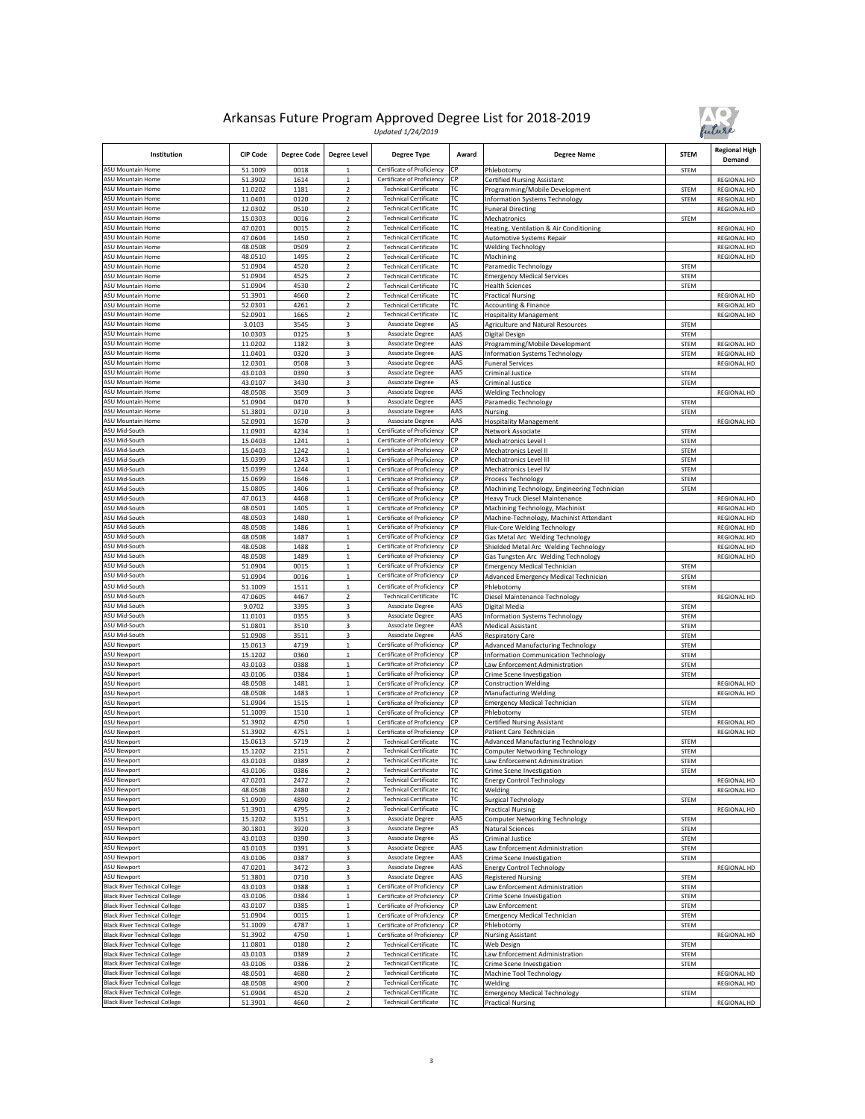

| Institution                                                                  | <b>CIP Code</b>    | <b>Degree Code</b> | <b>Degree Level</b>              | <b>Degree Type</b>                                           | Award      | <b>Degree Name</b>                                                                    | <b>STEM</b>         | <b>Regional High</b><br>Demand    |
|------------------------------------------------------------------------------|--------------------|--------------------|----------------------------------|--------------------------------------------------------------|------------|---------------------------------------------------------------------------------------|---------------------|-----------------------------------|
| <b>ASU Mountain Home</b>                                                     | 51.1009            | 0018               | 1                                | Certificate of Proficiency                                   | СP         | Phlebotomy                                                                            | <b>STEM</b>         |                                   |
| ASU Mountain Home<br>ASU Mountain Home                                       | 51.3902<br>11.0202 | 1614<br>1181       | $\mathbf 1$<br>$\overline{2}$    | Certificate of Proficiency<br><b>Technical Certificate</b>   | СP<br>ТC   | <b>Certified Nursing Assistant</b><br>Programming/Mobile Development                  | STEM                | REGIONAL HD<br><b>REGIONAL HD</b> |
| <b>ASU Mountain Home</b>                                                     | 11.0401            | 0120               | $\overline{2}$                   | <b>Technical Certificate</b>                                 | ТC         | Information Systems Technology                                                        | STEM                | <b>REGIONAL HD</b>                |
| <b>ASU Mountain Home</b>                                                     | 12.0302            | 0510               | $\mathbf 2$                      | <b>Technical Certificate</b>                                 | ТC         | <b>Funeral Directing</b>                                                              |                     | <b>REGIONAL HD</b>                |
| <b>ASU Mountain Home</b>                                                     | 15.0303            | 0016               | $\overline{2}$                   | <b>Technical Certificate</b>                                 | тс         | Mechatronics                                                                          | STEM                |                                   |
| ASU Mountain Home<br><b>ASU Mountain Home</b>                                | 47.0201<br>47.0604 | 0015<br>1450       | $\overline{2}$<br>$\overline{2}$ | <b>Technical Certificate</b><br><b>Technical Certificate</b> | ТC<br>ТC   | Heating, Ventilation & Air Conditioning<br><b>Automotive Systems Repair</b>           |                     | REGIONAL HD<br><b>REGIONAL HD</b> |
| ASU Mountain Home                                                            | 48.0508            | 0509               | 2                                | <b>Technical Certificate</b>                                 | ТC         | <b>Welding Technology</b>                                                             |                     | REGIONAL HD                       |
| ASU Mountain Home                                                            | 48.0510            | 1495               | $\overline{2}$                   | <b>Technical Certificate</b>                                 | тс         | Machining                                                                             |                     | <b>REGIONAL HD</b>                |
| ASU Mountain Home                                                            | 51.0904            | 4520               | $\mathbf 2$                      | <b>Technical Certificate</b>                                 | ТC         | Paramedic Technology                                                                  | STEM                |                                   |
| <b>ASU Mountain Home</b>                                                     | 51.0904            | 4525               | $\overline{2}$                   | <b>Technical Certificate</b>                                 | ТC<br>ТC   | <b>Emergency Medical Services</b>                                                     | STEM                |                                   |
| <b>ASU Mountain Home</b><br><b>ASU Mountain Home</b>                         | 51.0904<br>51.3901 | 4530<br>4660       | $\overline{2}$<br>$\overline{2}$ | <b>Technical Certificate</b><br><b>Technical Certificate</b> | ТC         | <b>Health Sciences</b><br><b>Practical Nursing</b>                                    | STEM                | REGIONAL HD                       |
| ASU Mountain Home                                                            | 52.0301            | 4261               | $\overline{2}$                   | <b>Technical Certificate</b>                                 | ТC         | Accounting & Finance                                                                  |                     | REGIONAL HD                       |
| <b>ASU Mountain Home</b>                                                     | 52.0901            | 1665               | 2                                | <b>Technical Certificate</b>                                 | ТC         | <b>Hospitality Management</b>                                                         |                     | REGIONAL HD                       |
| <b>ASU Mountain Home</b>                                                     | 3.0103             | 3545               | 3                                | Associate Degree                                             | AS         | <b>Agriculture and Natural Resources</b>                                              | STEM                |                                   |
| ASU Mountain Home<br><b>ASU Mountain Home</b>                                | 10.0303<br>11.0202 | 0125<br>1182       | 3<br>3                           | Associate Degree<br><b>Associate Degree</b>                  | AAS<br>AAS | Digital Design<br>Programming/Mobile Development                                      | STEM<br>STEM        | <b>REGIONAL HD</b>                |
| <b>ASU Mountain Home</b>                                                     | 11.0401            | 0320               | $\overline{\mathbf{3}}$          | Associate Degree                                             | AAS        | <b>Information Systems Technology</b>                                                 | STEM                | REGIONAL HD                       |
| <b>ASU Mountain Home</b>                                                     | 12.0301            | 0508               | 3                                | Associate Degree                                             | AAS        | <b>Funeral Services</b>                                                               |                     | <b>REGIONAL HD</b>                |
| <b>ASU Mountain Home</b>                                                     | 43.0103            | 0390               | 3                                | Associate Degree                                             | AAS        | Criminal Justice                                                                      | <b>STEM</b>         |                                   |
| <b>ASU Mountain Home</b><br><b>SU Mountain Home</b>                          | 43.0107<br>48.0508 | 3430<br>3509       | 3<br>3                           | Associate Degree<br>Associate Degree                         | AS<br>AAS  | Criminal Justice                                                                      | STEM                |                                   |
| ASU Mountain Home                                                            | 51.0904            | 0470               | 3                                | Associate Degree                                             | AAS        | <b>Welding Technology</b><br>Paramedic Technology                                     | <b>STEM</b>         | REGIONAL HD                       |
| <b>ASU Mountain Home</b>                                                     | 51.3801            | 0710               | 3                                | <b>Associate Degree</b>                                      | AAS        | Nursing                                                                               | STEM                |                                   |
| ASU Mountain Home                                                            | 52.0901            | 1670               | 3                                | Associate Degree                                             | AAS        | <b>Hospitality Management</b>                                                         |                     | REGIONAL HD                       |
| ASU Mid-South                                                                | 11.0901            | 4234               | $\mathbf 1$                      | Certificate of Proficiency                                   | СP         | Network Associate                                                                     | STEM                |                                   |
| ASU Mid-South<br>ASU Mid-South                                               | 15.0403<br>15.0403 | 1241<br>1242       | $\,$ 1 $\,$<br>$\mathbf{1}$      | Certificate of Proficiency<br>Certificate of Proficiency     | СP<br>СP   | Mechatronics Level I<br>Mechatronics Level II                                         | <b>STEM</b><br>STEM |                                   |
| ASU Mid-South                                                                | 15.0399            | 1243               | $\mathbf{1}$                     | Certificate of Proficiency                                   | СР         | Mechatronics Level III                                                                | <b>STEM</b>         |                                   |
| SU Mid-South                                                                 | 15.0399            | 1244               | $\mathbf{1}$                     | Certificate of Proficiency                                   | СP         | Mechatronics Level IV                                                                 | <b>STEM</b>         |                                   |
| <b>SU Mid-South</b>                                                          | 15.0699            | 1646               | $\mathbf 1$                      | Certificate of Proficiency                                   | СP         | Process Technology                                                                    | STEM                |                                   |
| ASU Mid-South<br>ASU Mid-South                                               | 15.0805<br>47.0613 | 1406<br>4468       | $\mathbf 1$<br>$\mathbf{1}$      | Certificate of Proficiency<br>Certificate of Proficiency     | СP<br>СP   | Machining Technology, Engineering Technician<br><b>Heavy Truck Diesel Maintenance</b> | STEM                | REGIONAL HD                       |
| ASU Mid-South                                                                | 48.0501            | 1405               | $\overline{1}$                   | Certificate of Proficiency                                   | СP         | Machining Technology, Machinist                                                       |                     | REGIONAL HD                       |
| ASU Mid-South                                                                | 48.0503            | 1480               | $\,$ 1                           | Certificate of Proficiency                                   | СP         | Machine-Technology, Machinist Attendant                                               |                     | REGIONAL HD                       |
| ASU Mid-South                                                                | 48.0508            | 1486               | $\mathbf 1$                      | Certificate of Proficiency                                   | СР         | Flux-Core Welding Technology                                                          |                     | REGIONAL HD                       |
| ASU Mid-South                                                                | 48.0508            | 1487               | $\,1\,$                          | Certificate of Proficiency                                   | СP<br>СР   | Gas Metal Arc Welding Technology                                                      |                     | <b>REGIONAL HD</b>                |
| <b>SU Mid-South</b><br><b>ASU Mid-South</b>                                  | 48.0508<br>48.0508 | 1488<br>1489       | $\mathbf 1$<br>$\mathbf{1}$      | Certificate of Proficiency<br>Certificate of Proficiency     | СP         | Shielded Metal Arc Welding Technology<br>Gas Tungsten Arc Welding Technology          |                     | REGIONAL HD<br>REGIONAL HD        |
| ASU Mid-South                                                                | 51.0904            | 0015               | $\mathbf{1}$                     | Certificate of Proficiency                                   | СP         | <b>Emergency Medical Technician</b>                                                   | STEM                |                                   |
| ASU Mid-South                                                                | 51.0904            | 0016               | $\overline{1}$                   | Certificate of Proficiency                                   | СP         | Advanced Emergency Medical Technician                                                 | <b>STEM</b>         |                                   |
| <b>ASU Mid-South</b>                                                         | 51.1009            | 1511               | $\mathbf{1}$                     | Certificate of Proficiency                                   | СР         | Phlebotomy                                                                            | STEM                |                                   |
| ASU Mid-South<br>ASU Mid-South                                               | 47.0605<br>9.0702  | 4467<br>3395       | $\mathbf 2$<br>3                 | <b>Technical Certificate</b><br><b>Associate Degree</b>      | ТC<br>AAS  | Diesel Maintenance Technology                                                         |                     | REGIONAL HD                       |
| ASU Mid-South                                                                | 11.0101            | 0355               | 3                                | Associate Degree                                             | AAS        | Digital Media<br><b>Information Systems Technology</b>                                | STEM<br>STEM        |                                   |
| ASU Mid-South                                                                | 51.0801            | 3510               | 3                                | Associate Degree                                             | AAS        | <b>Medical Assistant</b>                                                              | STEM                |                                   |
| ASU Mid-South                                                                | 51.0908            | 3511               | 3                                | Associate Degree                                             | AAS        | <b>Respiratory Care</b>                                                               | <b>STEM</b>         |                                   |
| ASU Newport                                                                  | 15.0613            | 4719               | $\mathbf 1$                      | Certificate of Proficiency                                   | СР         | Advanced Manufacturing Technology                                                     | STEM                |                                   |
| ASU Newport<br><b>ASU Newport</b>                                            | 15.1202<br>43.0103 | 0360<br>0388       | $\mathbf{1}$<br>$\,1\,$          | Certificate of Proficiency<br>Certificate of Proficiency     | СР<br>СP   | <b>Information Communication Technology</b><br>Law Enforcement Administration         | <b>STEM</b><br>STEM |                                   |
| <b>SU Newport</b>                                                            | 43.0106            | 0384               | $\mathbf 1$                      | Certificate of Proficiency                                   | СP         | Crime Scene Investigation                                                             | STEM                |                                   |
| ASU Newport                                                                  | 48.0508            | 1481               | $\mathbf 1$                      | Certificate of Proficiency                                   | СP         | <b>Construction Welding</b>                                                           |                     | REGIONAL HD                       |
| <b>ASU Newport</b>                                                           | 48.0508            | 1483               | $\mathbf{1}$                     | Certificate of Proficiency                                   | СP         | <b>Manufacturing Welding</b>                                                          |                     | <b>REGIONAL HD</b>                |
| <b>ASU Newport</b>                                                           | 51.0904            | 1515<br>1510       | $\mathbf 1$<br>$\,$ 1            | Certificate of Proficiency<br>Certificate of Proficiency     | СP<br>СP   | <b>Emergency Medical Technician</b>                                                   | STEM                |                                   |
| ASU Newport<br>ASU Newport                                                   | 51.1009<br>51.3902 | 4750               | $\mathbf 1$                      | Certificate of Proficiency                                   | СР         | Phlebotomy<br><b>Certified Nursing Assistant</b>                                      | STEM                | REGIONAL HD                       |
| ASU Newport                                                                  | 51.3902            | 4751               | $\mathbf{1}$                     | Certificate of Proficiency                                   | СP         | Patient Care Technician                                                               |                     | <b>REGIONAL HD</b>                |
| ASU Newport                                                                  | 15.0613            | 5719               | $\overline{2}$                   | <b>Technical Certificate</b>                                 | тс         | <b>Advanced Manufacturing Technology</b>                                              | <b>STEM</b>         |                                   |
| <b>ASU Newport</b>                                                           | 15.1202            | 2151               | 2                                | <b>Technical Certificate</b><br><b>Technical Certificate</b> | ТC         | Computer Networking Technology                                                        | <b>STEM</b>         |                                   |
| <b>ASU Newport</b><br>ASU Newport                                            | 43.0103<br>43.0106 | 0389<br>0386       | $\overline{2}$<br>$\overline{2}$ | <b>Technical Certificate</b>                                 | ТC<br>ТC   | Law Enforcement Administration<br>Crime Scene Investigation                           | STEM<br>STEM        |                                   |
| <b>ASU Newport</b>                                                           | 47.0201            | 2472               | $\overline{2}$                   | <b>Technical Certificate</b>                                 | TC         | <b>Energy Control Technology</b>                                                      |                     | <b>REGIONAL HD</b>                |
| <b>ASU Newport</b>                                                           | 48.0508            | 2480               | $\mathbf 2$                      | <b>Technical Certificate</b>                                 | ТC         | Welding                                                                               |                     | REGIONAL HD                       |
| <b>ASU Newport</b>                                                           | 51.0909            | 4890               | $\overline{2}$                   | <b>Technical Certificate</b>                                 | ТC         | <b>Surgical Technology</b>                                                            | STEM                |                                   |
| ASU Newport<br>ASU Newport                                                   | 51.3901<br>15.1202 | 4795<br>3151       | $\overline{2}$<br>3              | <b>Technical Certificate</b><br>Associate Degree             | ТC<br>AAS  | <b>Practical Nursing</b><br>Computer Networking Technology                            | STEM                | REGIONAL HD                       |
| ASU Newport                                                                  | 30.1801            | 3920               | 3                                | Associate Degree                                             | AS         | Natural Sciences                                                                      | STEM                |                                   |
| ASU Newport                                                                  | 43.0103            | 0390               | 3                                | Associate Degree                                             | AS         | Criminal Justice                                                                      | STEM                |                                   |
| ASU Newport                                                                  | 43.0103            | 0391               | 3                                | Associate Degree                                             | AAS        | Law Enforcement Administration                                                        | STEM                |                                   |
| ASU Newport                                                                  | 43.0106            | 0387               | 3                                | Associate Degree<br><b>Associate Degree</b>                  | AAS<br>AAS | Crime Scene Investigation                                                             | STEM                |                                   |
| ASU Newport<br>ASU Newport                                                   | 47.0201<br>51.3801 | 3472<br>0710       | 3<br>3                           | Associate Degree                                             | AAS        | <b>Energy Control Technology</b><br><b>Registered Nursing</b>                         | STEM                | <b>REGIONAL HD</b>                |
| <b>Black River Technical College</b>                                         | 43.0103            | 0388               | $\,$ 1                           | Certificate of Proficiency                                   | СP         | Law Enforcement Administration                                                        | STEM                |                                   |
| <b>Black River Technical College</b>                                         | 43.0106            | 0384               | $\mathbf{1}$                     | Certificate of Proficiency                                   | СP         | Crime Scene Investigation                                                             | STEM                |                                   |
| <b>Black River Technical College</b>                                         | 43.0107            | 0385               | $\,$ 1 $\,$                      | Certificate of Proficiency                                   | CP         | Law Enforcement                                                                       | STEM                |                                   |
| <b>Black River Technical College</b><br><b>Black River Technical College</b> | 51.0904<br>51.1009 | 0015<br>4787       | $\mathbf{1}$                     | Certificate of Proficiency<br>Certificate of Proficiency     | СP<br>СP   | <b>Emergency Medical Technician</b><br>Phlebotomy                                     | STEM<br>STEM        |                                   |
| <b>Black River Technical College</b>                                         | 51.3902            | 4750               | $\mathbf 1$<br>$\mathbf{1}$      | Certificate of Proficiency                                   | СP         | <b>Nursing Assistant</b>                                                              |                     | REGIONAL HD                       |
| <b>Black River Technical College</b>                                         | 11.0801            | 0180               | $\mathbf 2$                      | <b>Technical Certificate</b>                                 | ТC         | Web Design                                                                            | STEM                |                                   |
| <b>Black River Technical College</b>                                         | 43.0103            | 0389               | $\overline{2}$                   | <b>Technical Certificate</b>                                 | ТC         | Law Enforcement Administration                                                        | STEM                |                                   |
| <b>Black River Technical College</b>                                         | 43.0106            | 0386               | $\overline{2}$                   | <b>Technical Certificate</b>                                 | тс         | Crime Scene Investigation                                                             | STEM                |                                   |
| <b>Black River Technical College</b><br><b>Black River Technical College</b> | 48.0501<br>48.0508 | 4680<br>4900       | $\overline{2}$<br>$\overline{2}$ | <b>Technical Certificate</b><br><b>Technical Certificate</b> | ТC<br>ТC   | Machine Tool Technology<br>Welding                                                    |                     | REGIONAL HD<br>REGIONAL HD        |
| <b>Black River Technical College</b>                                         | 51.0904            | 4520               | 2                                | <b>Technical Certificate</b>                                 | ТC         | <b>Emergency Medical Technology</b>                                                   | STEM                |                                   |
| <b>Black River Technical College</b>                                         | 51.3901            | 4660               | $\overline{2}$                   | <b>Technical Certificate</b>                                 | ТC         | <b>Practical Nursing</b>                                                              |                     | REGIONAL HD                       |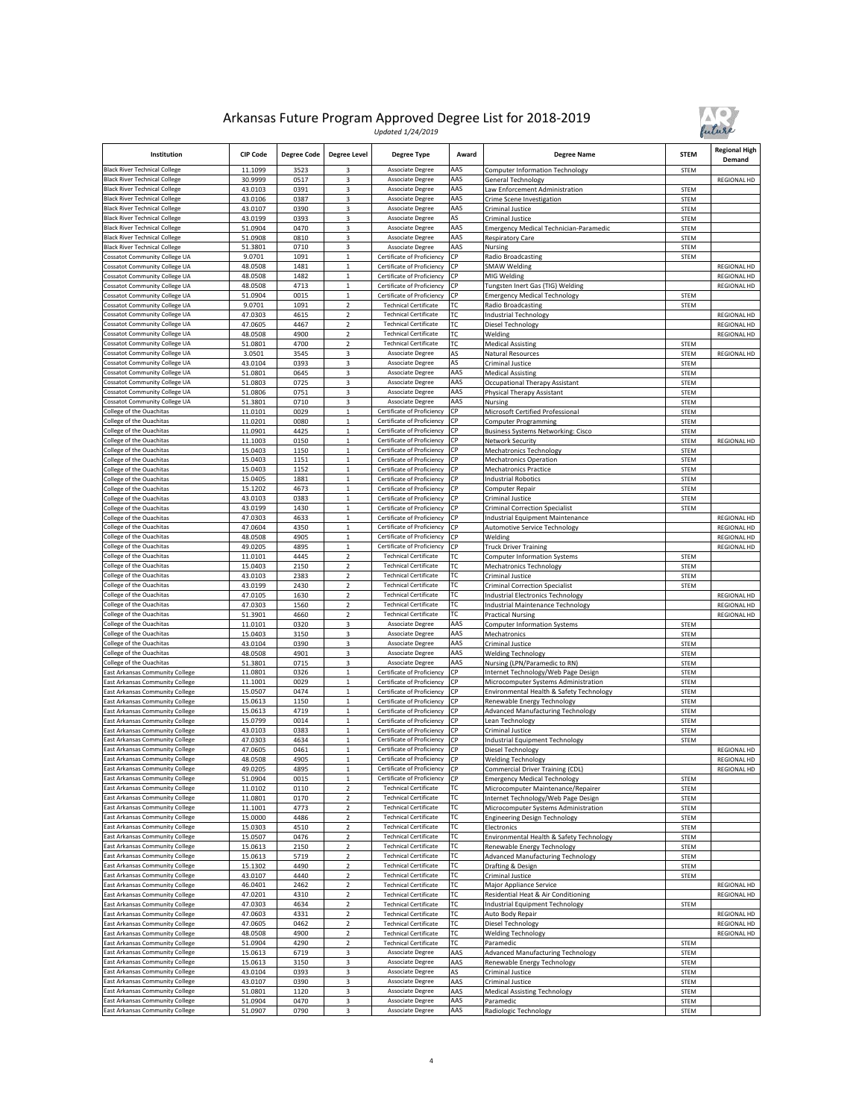

| Institution                                                                  | <b>CIP Code</b>    | <b>Degree Code</b> | <b>Degree Level</b>                                | <b>Degree Type</b>                                           | Award      | <b>Degree Name</b>                                                               | <b>STEM</b>                | <b>Regional High</b><br>Demand |
|------------------------------------------------------------------------------|--------------------|--------------------|----------------------------------------------------|--------------------------------------------------------------|------------|----------------------------------------------------------------------------------|----------------------------|--------------------------------|
| <b>Black River Technical College</b>                                         | 11.1099            | 3523               | 3                                                  | Associate Degree                                             | AAS        | <b>Computer Information Technology</b>                                           | STEM                       |                                |
| <b>Black River Technical College</b><br><b>Black River Technical College</b> | 30.9999<br>43.0103 | 0517<br>0391       | 3<br>3                                             | Associate Degree<br>Associate Degree                         | AAS<br>AAS | General Technology<br>Law Enforcement Administration                             | STEM                       | REGIONAL HD                    |
| <b>Black River Technical College</b>                                         | 43.0106            | 0387               | 3                                                  | Associate Degree                                             | AAS        | Crime Scene Investigation                                                        | STEM                       |                                |
| <b>Black River Technical College</b>                                         | 43.0107            | 0390               | 3                                                  | Associate Degree                                             | AAS        | Criminal Justice                                                                 | STEM                       |                                |
| <b>Black River Technical College</b>                                         | 43.0199            | 0393               | 3                                                  | Associate Degree                                             | AS         | Criminal Justice                                                                 | <b>STEM</b>                |                                |
| <b>Black River Technical College</b>                                         | 51.0904            | 0470               | 3                                                  | Associate Degree                                             | AAS<br>AAS | Emergency Medical Technician-Paramedic                                           | <b>STEM</b>                |                                |
| <b>Black River Technical College</b><br><b>Black River Technical College</b> | 51.0908<br>51.3801 | 0810<br>0710       | 3<br>3                                             | Associate Degree<br>Associate Degree                         | AAS        | <b>Respiratory Care</b><br>Nursing                                               | <b>STEM</b><br>STEM        |                                |
| Cossatot Community College UA                                                | 9.0701             | 1091               | $\mathbf 1$                                        | Certificate of Proficiency                                   | СP         | Radio Broadcasting                                                               | <b>STEM</b>                |                                |
| Cossatot Community College UA                                                | 48.0508            | 1481               | $\mathbf 1$                                        | Certificate of Proficiency                                   | СP         | <b>SMAW Welding</b>                                                              |                            | REGIONAL HD                    |
| Cossatot Community College UA                                                | 48.0508            | 1482               | $\mathbf 1$                                        | Certificate of Proficiency                                   | СP         | MIG Welding                                                                      |                            | <b>REGIONAL HD</b>             |
| Cossatot Community College UA<br>Cossatot Community College UA               | 48.0508<br>51.0904 | 4713<br>0015       | $\mathbf 1$<br>$\mathbf 1$                         | Certificate of Proficiency<br>Certificate of Proficiency     | СP<br>СР   | Tungsten Inert Gas (TIG) Welding<br><b>Emergency Medical Technology</b>          | <b>STEM</b>                | REGIONAL HD                    |
| Cossatot Community College UA                                                | 9.0701             | 1091               | $\overline{\mathbf{c}}$                            | <b>Technical Certificate</b>                                 | ТC         | Radio Broadcasting                                                               | STEM                       |                                |
| Cossatot Community College UA                                                | 47.0303            | 4615               | 2                                                  | <b>Technical Certificate</b>                                 | ГC         | Industrial Technology                                                            |                            | <b>REGIONAL HD</b>             |
| Cossatot Community College UA                                                | 47.0605            | 4467               | $\overline{2}$                                     | <b>Technical Certificate</b>                                 | ТC         | Diesel Technology                                                                |                            | <b>REGIONAL HD</b>             |
| Cossatot Community College UA<br>Cossatot Community College UA               | 48.0508<br>51.0801 | 4900<br>4700       | $\overline{\mathbf{c}}$<br>$\overline{2}$          | <b>Technical Certificate</b><br><b>Technical Certificate</b> | ТC<br>ТC   | Welding<br><b>Medical Assisting</b>                                              | STEM                       | <b>REGIONAL HD</b>             |
| Cossatot Community College UA                                                | 3.0501             | 3545               | 3                                                  | Associate Degree                                             | AS         | Natural Resources                                                                | <b>STEM</b>                | REGIONAL HD                    |
| Cossatot Community College UA                                                | 43.0104            | 0393               | 3                                                  | Associate Degree                                             | AS         | Criminal Justice                                                                 | <b>STEM</b>                |                                |
| Cossatot Community College UA                                                | 51.0801            | 0645               | 3                                                  | Associate Degree                                             | AAS        | <b>Medical Assisting</b>                                                         | <b>STEM</b>                |                                |
| Cossatot Community College UA                                                | 51.0803            | 0725               | 3                                                  | Associate Degree                                             | AAS        | Occupational Therapy Assistant                                                   | STEM                       |                                |
| Cossatot Community College UA<br>Cossatot Community College UA               | 51.0806<br>51.3801 | 0751<br>0710       | 3<br>3                                             | Associate Degree<br>Associate Degree                         | AAS<br>AAS | Physical Therapy Assistant                                                       | <b>STEM</b>                |                                |
| College of the Ouachitas                                                     | 11.0101            | 0029               | $\mathbf 1$                                        | Certificate of Proficiency                                   | СP         | Nursing<br>Microsoft Certified Professional                                      | STEM<br><b>STEM</b>        |                                |
| College of the Ouachitas                                                     | 11.0201            | 0080               | $\,1$                                              | Certificate of Proficiency                                   | СÞ         | Computer Programming                                                             | STEM                       |                                |
| College of the Ouachitas                                                     | 11.0901            | 4425               | $\mathbf 1$                                        | Certificate of Proficiency                                   | СP         | <b>Business Systems Networking: Cisco</b>                                        | <b>STEM</b>                |                                |
| College of the Ouachitas                                                     | 11.1003            | 0150               | $\mathbf 1$                                        | Certificate of Proficiency                                   | СP         | Network Security                                                                 | <b>STEM</b>                | REGIONAL HD                    |
| College of the Ouachitas<br>College of the Ouachitas                         | 15.0403<br>15.0403 | 1150<br>1151       | $\mathbf 1$<br>$\,1$                               | Certificate of Proficiency<br>Certificate of Proficiency     | СP<br>СP   | Mechatronics Technology<br><b>Mechatronics Operation</b>                         | <b>STEM</b><br><b>STEM</b> |                                |
| College of the Ouachitas                                                     | 15.0403            | 1152               | $\mathbf{1}$                                       | Certificate of Proficiency                                   | СP         | <b>Mechatronics Practice</b>                                                     | <b>STEM</b>                |                                |
| College of the Ouachitas                                                     | 15.0405            | 1881               | $\mathbf 1$                                        | Certificate of Proficiency                                   | СР         | <b>Industrial Robotics</b>                                                       | STEM                       |                                |
| College of the Ouachitas                                                     | 15.1202            | 4673               | $\,1$                                              | Certificate of Proficiency                                   | СÞ         | Computer Repair                                                                  | STEM                       |                                |
| College of the Ouachitas                                                     | 43.0103            | 0383               | $\mathbf 1$                                        | Certificate of Proficiency                                   | СP         | Criminal Justice                                                                 | <b>STEM</b>                |                                |
| College of the Ouachitas<br>College of the Ouachitas                         | 43.0199<br>47.0303 | 1430<br>4633       | $\overline{1}$<br>$\,$ 1 $\,$                      | Certificate of Proficiency<br>Certificate of Proficiency     | СP<br>СP   | <b>Criminal Correction Specialist</b>                                            | STEM                       | REGIONAL HD                    |
| College of the Ouachitas                                                     | 47.0604            | 4350               | $\,1$                                              | Certificate of Proficiency                                   | СP         | Industrial Equipment Maintenance<br>Automotive Service Technology                |                            | <b>REGIONAL HD</b>             |
| College of the Ouachitas                                                     | 48.0508            | 4905               | $\mathbf{1}$                                       | Certificate of Proficiency                                   | СP         | Welding                                                                          |                            | <b>REGIONAL HD</b>             |
| College of the Ouachitas                                                     | 49.0205            | 4895               | $\mathbf 1$                                        | Certificate of Proficiency                                   | СP         | <b>Truck Driver Training</b>                                                     |                            | <b>REGIONAL HD</b>             |
| College of the Ouachitas                                                     | 11.0101            | 4445               | 2                                                  | <b>Technical Certificate</b>                                 | ГC         | <b>Computer Information Systems</b>                                              | STEM                       |                                |
| College of the Ouachitas<br>College of the Ouachitas                         | 15.0403<br>43.0103 | 2150<br>2383       | $\overline{\mathbf{c}}$<br>$\overline{\mathbf{c}}$ | <b>Technical Certificate</b><br><b>Technical Certificate</b> | ГC<br>ТC   | <b>Mechatronics Technology</b><br>Criminal Justice                               | <b>STEM</b><br><b>STEM</b> |                                |
| College of the Ouachitas                                                     | 43.0199            | 2430               | 2                                                  | <b>Technical Certificate</b>                                 | ТC         | <b>Criminal Correction Specialist</b>                                            | STEM                       |                                |
| College of the Ouachitas                                                     | 47.0105            | 1630               | 2                                                  | <b>Technical Certificate</b>                                 | ГC         | <b>Industrial Electronics Technology</b>                                         |                            | REGIONAL HD                    |
| College of the Ouachitas                                                     | 47.0303            | 1560               | 2                                                  | <b>Technical Certificate</b>                                 | ТC         | <b>Industrial Maintenance Technology</b>                                         |                            | <b>REGIONAL HD</b>             |
| College of the Ouachitas                                                     | 51.3901            | 4660               | $\mathbf 2$                                        | <b>Technical Certificate</b>                                 | ТC         | <b>Practical Nursing</b>                                                         |                            | REGIONAL HD                    |
| College of the Ouachitas<br>College of the Ouachitas                         | 11.0101<br>15.0403 | 0320<br>3150       | 3<br>3                                             | Associate Degree<br>Associate Degree                         | AAS<br>AAS | <b>Computer Information Systems</b><br>Mechatronics                              | STEM<br>STEM               |                                |
| College of the Ouachitas                                                     | 43.0104            | 0390               | 3                                                  | Associate Degree                                             | AAS        | Criminal Justice                                                                 | <b>STEM</b>                |                                |
| College of the Ouachitas                                                     | 48.0508            | 4901               | 3                                                  | Associate Degree                                             | AAS        | <b>Welding Technology</b>                                                        | <b>STEM</b>                |                                |
| College of the Ouachitas                                                     | 51.3801            | 0715               | 3                                                  | Associate Degree                                             | AAS        | Nursing (LPN/Paramedic to RN)                                                    | <b>STEM</b>                |                                |
| ast Arkansas Community College<br>ast Arkansas Community College             | 11.0801            | 0326               | $\,$ 1 $\,$<br>$\,$ 1 $\,$                         | Certificate of Proficiency<br>Certificate of Proficiency     | СP<br>СP   | Internet Technology/Web Page Design                                              | STEM                       |                                |
| ast Arkansas Community College                                               | 11.1001<br>15.0507 | 0029<br>0474       | $\mathbf{1}$                                       | Certificate of Proficiency                                   | СP         | Microcomputer Systems Administration<br>Environmental Health & Safety Technology | <b>STEM</b><br><b>STEM</b> |                                |
| East Arkansas Community College                                              | 15.0613            | 1150               | $\mathbf 1$                                        | Certificate of Proficiency                                   | СP         | Renewable Energy Technology                                                      | <b>STEM</b>                |                                |
| East Arkansas Community College                                              | 15.0613            | 4719               | $\,$ 1 $\,$                                        | Certificate of Proficiency                                   | СP         | Advanced Manufacturing Technology                                                | STEM                       |                                |
| East Arkansas Community College                                              | 15.0799            | 0014               | $\mathbf 1$                                        | Certificate of Proficiency                                   | СP         | Lean Technology                                                                  | <b>STEM</b>                |                                |
| East Arkansas Community College<br>East Arkansas Community College           | 43.0103<br>47.0303 | 0383<br>4634       | $\,1$<br>$\mathbf 1$                               | Certificate of Proficiency<br>Certificate of Proficiency     | СP<br>СP   | Criminal Justice<br><b>Industrial Equipment Technology</b>                       | <b>STEM</b><br><b>STEM</b> |                                |
| ast Arkansas Community College                                               | 47.0605            | 0461               | $\,$ 1 $\,$                                        | Certificate of Proficiency                                   | СP         | Diesel Technology                                                                |                            | REGIONAL HD                    |
| ast Arkansas Community College                                               | 48.0508            | 4905               | $\mathbf 1$                                        | Certificate of Proficiency                                   | СР         | <b>Welding Technology</b>                                                        |                            | <b>REGIONAL HD</b>             |
| East Arkansas Community College                                              | 49.0205            | 4895               | $\mathbf 1$                                        | Certificate of Proficiency                                   | СÞ         | Commercial Driver Training (CDL)                                                 |                            | REGIONAL HD                    |
| East Arkansas Community College                                              | 51.0904<br>11.0102 | 0015               | 1                                                  | Certificate of Proficiency                                   | CP<br>ТC   | <b>Emergency Medical Technology</b>                                              | STEM                       |                                |
| East Arkansas Community College<br>East Arkansas Community College           | 11.0801            | 0110<br>0170       | $\overline{2}$<br>2                                | <b>Technical Certificate</b><br><b>Technical Certificate</b> | ТC         | Microcomputer Maintenance/Repairer<br>Internet Technology/Web Page Design        | STEM<br>STEM               |                                |
| East Arkansas Community College                                              | 11.1001            | 4773               | $\overline{2}$                                     | <b>Technical Certificate</b>                                 | ТC         | Microcomputer Systems Administration                                             | STEM                       |                                |
| East Arkansas Community College                                              | 15.0000            | 4486               | $\overline{2}$                                     | <b>Technical Certificate</b>                                 | ТC         | <b>Engineering Design Technology</b>                                             | STEM                       |                                |
| East Arkansas Community College                                              | 15.0303            | 4510               | $\overline{\mathbf{c}}$                            | <b>Technical Certificate</b>                                 | ТC         | Electronics                                                                      | STEM                       |                                |
| East Arkansas Community College                                              | 15.0507            | 0476               | 2                                                  | <b>Technical Certificate</b>                                 | ГC         | Environmental Health & Safety Technology                                         | STEM                       |                                |
| East Arkansas Community College<br>East Arkansas Community College           | 15.0613<br>15.0613 | 2150<br>5719       | 2<br>$\overline{\mathbf{c}}$                       | <b>Technical Certificate</b><br><b>Technical Certificate</b> | ТC<br>ТC   | Renewable Energy Technology<br><b>Advanced Manufacturing Technology</b>          | <b>STEM</b><br>STEM        |                                |
| East Arkansas Community College                                              | 15.1302            | 4490               | 2                                                  | <b>Technical Certificate</b>                                 | ТC         | Drafting & Design                                                                | STEM                       |                                |
| East Arkansas Community College                                              | 43.0107            | 4440               | $\overline{2}$                                     | <b>Technical Certificate</b>                                 | тс         | Criminal Justice                                                                 | STEM                       |                                |
| East Arkansas Community College                                              | 46.0401            | 2462               | $\overline{\mathbf{c}}$                            | <b>Technical Certificate</b>                                 | ТC         | Major Appliance Service                                                          |                            | <b>REGIONAL HD</b>             |
| East Arkansas Community College                                              | 47.0201            | 4310               | $\overline{2}$                                     | <b>Technical Certificate</b><br><b>Technical Certificate</b> | ТC<br>ГC   | Residential Heat & Air Conditioning                                              |                            | REGIONAL HD                    |
| East Arkansas Community College<br>East Arkansas Community College           | 47.0303<br>47.0603 | 4634<br>4331       | 2<br>2                                             | <b>Technical Certificate</b>                                 | ТC         | Industrial Equipment Technology<br>Auto Body Repair                              | STEM                       | REGIONAL HD                    |
| East Arkansas Community College                                              | 47.0605            | 0462               | $\overline{\mathbf{c}}$                            | <b>Technical Certificate</b>                                 | ТC         | Diesel Technology                                                                |                            | REGIONAL HD                    |
| East Arkansas Community College                                              | 48.0508            | 4900               | 2                                                  | <b>Technical Certificate</b>                                 | ТC         | <b>Welding Technology</b>                                                        |                            | REGIONAL HD                    |
| East Arkansas Community College                                              | 51.0904            | 4290               | $\overline{2}$                                     | <b>Technical Certificate</b>                                 | тс         | Paramedic                                                                        | STEM                       |                                |
| East Arkansas Community College<br>East Arkansas Community College           | 15.0613            | 6719<br>3150       | 3<br>3                                             | Associate Degree<br>Associate Degree                         | AAS<br>AAS | <b>Advanced Manufacturing Technology</b>                                         | STEM<br>STEM               |                                |
| East Arkansas Community College                                              | 15.0613<br>43.0104 | 0393               | 3                                                  | Associate Degree                                             | AS         | Renewable Energy Technology<br>Criminal Justice                                  | STEM                       |                                |
| East Arkansas Community College                                              | 43.0107            | 0390               | 3                                                  | Associate Degree                                             | AAS        | Criminal Justice                                                                 | STEM                       |                                |
| East Arkansas Community College                                              | 51.0801            | 1120               | 3                                                  | Associate Degree                                             | AAS        | <b>Medical Assisting Technology</b>                                              | STEM                       |                                |
| East Arkansas Community College                                              | 51.0904            | 0470               | 3                                                  | Associate Degree                                             | AAS        | Paramedic                                                                        | STEM                       |                                |
| East Arkansas Community College                                              | 51.0907            | 0790               | 3                                                  | Associate Degree                                             | AAS        | Radiologic Technology                                                            | <b>STEM</b>                |                                |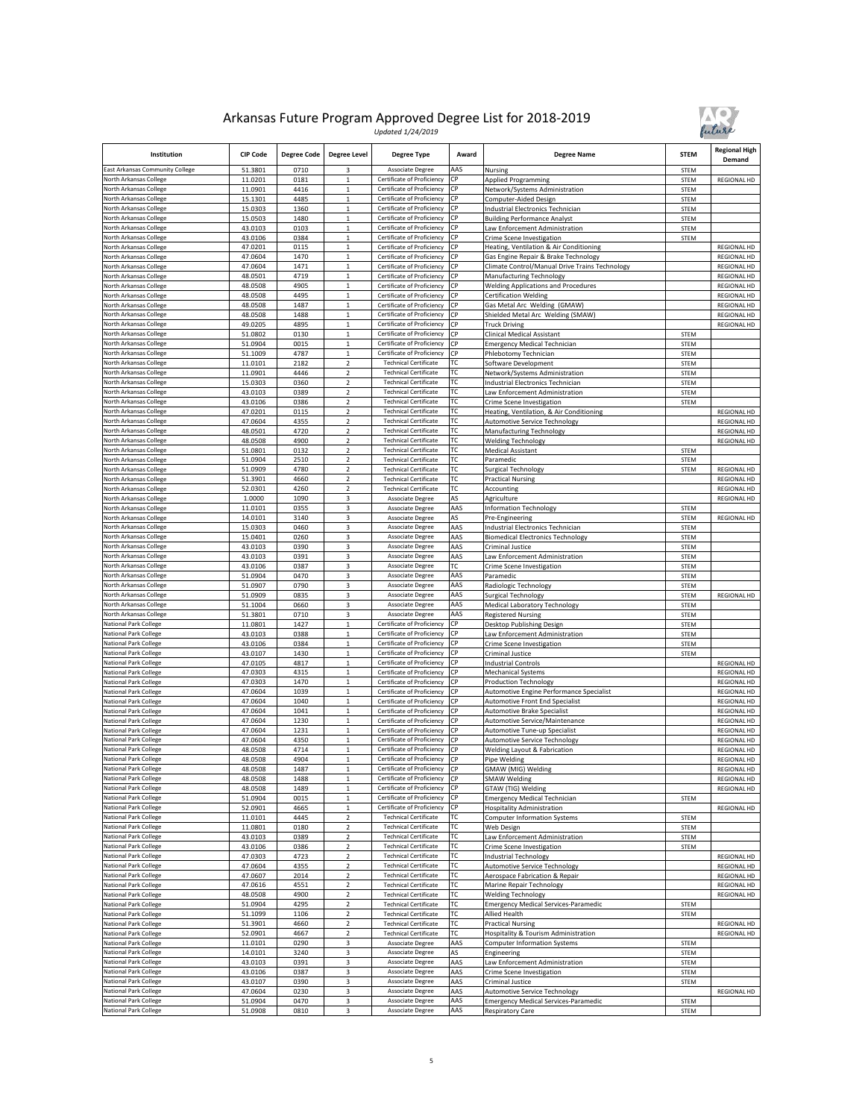

| Institution                                           | <b>CIP Code</b>    | <b>Degree Code</b> | <b>Degree Level</b>              | <b>Degree Type</b>                                           | Award      | <b>Degree Name</b>                                                           | <b>STEM</b>  | <b>Regional High</b><br>Demand           |
|-------------------------------------------------------|--------------------|--------------------|----------------------------------|--------------------------------------------------------------|------------|------------------------------------------------------------------------------|--------------|------------------------------------------|
| East Arkansas Community College                       | 51.3801            | 0710               | 3                                | Associate Degree                                             | AAS        | Nursing                                                                      | <b>STEM</b>  |                                          |
| North Arkansas College                                | 11.0201            | 0181               | $\mathbf 1$                      | Certificate of Proficiency                                   | СP         | <b>Applied Programming</b>                                                   | STEM         | <b>REGIONAL HD</b>                       |
| North Arkansas College<br>North Arkansas College      | 11.0901<br>15.1301 | 4416<br>4485       | $\mathbf 1$<br>$\mathbf 1$       | Certificate of Proficiency<br>Certificate of Proficiency     | СP<br>СP   | Network/Systems Administration<br>Computer-Aided Design                      | STEM<br>STEM |                                          |
| North Arkansas College                                | 15.0303            | 1360               | $\,$ 1 $\,$                      | Certificate of Proficiency                                   | СP         | ndustrial Electronics Technician                                             | STEM         |                                          |
| North Arkansas College                                | 15.0503            | 1480               | $\mathbf 1$                      | Certificate of Proficiency                                   | СP         | <b>Building Performance Analyst</b>                                          | STEM         |                                          |
| North Arkansas College                                | 43.0103            | 0103               | $\mathbf 1$                      | Certificate of Proficiency                                   | СP         | aw Enforcement Administration                                                | STEM         |                                          |
| North Arkansas College                                | 43.0106            | 0384               | $\mathbf 1$                      | Certificate of Proficiency                                   | СP         | Crime Scene Investigation                                                    | STEM         |                                          |
| North Arkansas College                                | 47.0201            | 0115               | $\mathbf 1$                      | Certificate of Proficiency                                   | СP         | Heating, Ventilation & Air Conditioning                                      |              | <b>REGIONAL HD</b>                       |
| North Arkansas College<br>North Arkansas College      | 47.0604            | 1470<br>1471       | $\mathbf 1$<br>$\mathbf 1$       | Certificate of Proficiency<br>Certificate of Proficiency     | СP<br>СP   | Gas Engine Repair & Brake Technology                                         |              | REGIONAL HD                              |
| North Arkansas College                                | 47.0604<br>48.0501 | 4719               | $\overline{1}$                   | Certificate of Proficiency                                   | СP         | Climate Control/Manual Drive Trains Technology<br>Manufacturing Technology   |              | <b>REGIONAL HD</b><br>REGIONAL HD        |
| North Arkansas College                                | 48.0508            | 4905               | $\,$ 1 $\,$                      | Certificate of Proficiency                                   | СP         | <b>Welding Applications and Procedures</b>                                   |              | <b>REGIONAL HD</b>                       |
| North Arkansas College                                | 48.0508            | 4495               | $\mathbf 1$                      | Certificate of Proficiency                                   | СP         | <b>Certification Welding</b>                                                 |              | <b>REGIONAL HD</b>                       |
| North Arkansas College                                | 48.0508            | 1487               | $\,$ 1 $\,$                      | Certificate of Proficiency                                   | CP         | Gas Metal Arc Welding (GMAW)                                                 |              | <b>REGIONAL HD</b>                       |
| North Arkansas College                                | 48.0508            | 1488               | $\mathbf 1$                      | Certificate of Proficiency                                   | СP         | Shielded Metal Arc Welding (SMAW)                                            |              | REGIONAL HD                              |
| North Arkansas College                                | 49.0205            | 4895               | $\,1$                            | Certificate of Proficiency                                   | СP         | <b>Truck Driving</b>                                                         |              | REGIONAL HD                              |
| North Arkansas College                                | 51.0802            | 0130               | $\mathbf 1$<br>$\mathbf 1$       | Certificate of Proficiency<br>Certificate of Proficiency     | СP         | Clinical Medical Assistant                                                   | STEM         |                                          |
| North Arkansas College<br>North Arkansas College      | 51.0904<br>51.1009 | 0015<br>4787       | $\mathbf{1}$                     | Certificate of Proficiency                                   | СP<br>СP   | <b>Emergency Medical Technician</b><br>Phlebotomy Technician                 | STEM<br>STEM |                                          |
| North Arkansas College                                | 11.0101            | 2182               | $\overline{2}$                   | <b>Technical Certificate</b>                                 | ГC         | Software Development                                                         | STEM         |                                          |
| North Arkansas College                                | 11.0901            | 4446               | $\overline{2}$                   | <b>Technical Certificate</b>                                 | ГC         | Network/Systems Administration                                               | STEM         |                                          |
| North Arkansas College                                | 15.0303            | 0360               | $\overline{\mathbf{c}}$          | <b>Technical Certificate</b>                                 | ТC         | Industrial Electronics Technician                                            | STEM         |                                          |
| North Arkansas College                                | 43.0103            | 0389               | 2                                | <b>Technical Certificate</b>                                 | ТC         | aw Enforcement Administration.                                               | <b>STEM</b>  |                                          |
| North Arkansas College                                | 43.0106            | 0386               | $\overline{2}$                   | <b>Technical Certificate</b>                                 | ТC         | Crime Scene Investigation                                                    | STEM         |                                          |
| North Arkansas College                                | 47.0201            | 0115               | $\mathbf 2$                      | <b>Technical Certificate</b>                                 | ТC         | Heating, Ventilation, & Air Conditioning                                     |              | <b>REGIONAL HD</b>                       |
| North Arkansas College                                | 47.0604            | 4355               | $\overline{2}$                   | <b>Technical Certificate</b>                                 | ТC         | Automotive Service Technology                                                |              | <b>REGIONAL HD</b>                       |
| North Arkansas College<br>North Arkansas College      | 48.0501<br>48.0508 | 4720<br>4900       | $\overline{2}$<br>$\overline{2}$ | <b>Technical Certificate</b><br><b>Technical Certificate</b> | ТC<br>ТC   | Manufacturing Technology<br><b>Welding Technology</b>                        |              | <b>REGIONAL HD</b><br><b>REGIONAL HD</b> |
| North Arkansas College                                | 51.0801            | 0132               | $\overline{\mathbf{c}}$          | <b>Technical Certificate</b>                                 | ТC         | Medical Assistant                                                            | STEM         |                                          |
| North Arkansas College                                | 51.0904            | 2510               | $\mathbf 2$                      | <b>Technical Certificate</b>                                 | ТC         | Paramedic                                                                    | STEM         |                                          |
| North Arkansas College                                | 51.0909            | 4780               | $\overline{2}$                   | <b>Technical Certificate</b>                                 | ТC         | Surgical Technology                                                          | STEM         | <b>REGIONAL HD</b>                       |
| North Arkansas College                                | 51.3901            | 4660               | $\mathbf 2$                      | <b>Technical Certificate</b>                                 | ТC         | <b>Practical Nursing</b>                                                     |              | <b>REGIONAL HD</b>                       |
| North Arkansas College                                | 52.0301            | 4260               | $\overline{2}$                   | <b>Technical Certificate</b>                                 | ТC         | Accounting                                                                   |              | <b>REGIONAL HD</b>                       |
| North Arkansas College                                | 1.0000             | 1090               | 3                                | Associate Degree                                             | AS         | Agriculture                                                                  |              | REGIONAL HD                              |
| North Arkansas College                                | 11.0101            | 0355               | 3                                | Associate Degree                                             | AAS        | Information Technology                                                       | STEM         |                                          |
| North Arkansas College<br>North Arkansas College      | 14.0101<br>15.0303 | 3140<br>0460       | 3<br>3                           | Associate Degree<br>Associate Degree                         | AS<br>AAS  | Pre-Engineering                                                              | <b>STEM</b>  | REGIONAL HD                              |
| North Arkansas College                                | 15.0401            | 0260               | 3                                | Associate Degree                                             | AAS        | ndustrial Electronics Technician<br><b>Biomedical Electronics Technology</b> | STEM<br>STEM |                                          |
| North Arkansas College                                | 43.0103            | 0390               | 3                                | <b>Associate Degree</b>                                      | AAS        | Criminal Justice                                                             | <b>STEM</b>  |                                          |
| North Arkansas College                                | 43.0103            | 0391               | 3                                | Associate Degree                                             | AAS        | aw Enforcement Administration                                                | STEM         |                                          |
| North Arkansas College                                | 43.0106            | 0387               | 3                                | Associate Degree                                             | ТC         | Crime Scene Investigation                                                    | STEM         |                                          |
| North Arkansas College                                | 51.0904            | 0470               | 3                                | Associate Degree                                             | AAS        | Paramedic                                                                    | STEM         |                                          |
| North Arkansas College                                | 51.0907            | 0790               | 3                                | Associate Degree                                             | AAS        | Radiologic Technology                                                        | <b>STEM</b>  |                                          |
| North Arkansas College                                | 51.0909            | 0835               | 3                                | Associate Degree                                             | AAS        | Surgical Technology                                                          | STEM         | REGIONAL HD                              |
| North Arkansas College<br>North Arkansas College      | 51.1004<br>51.3801 | 0660<br>0710       | 3<br>3                           | Associate Degree<br>Associate Degree                         | AAS<br>AAS | Medical Laboratory Technology<br><b>Registered Nursing</b>                   | <b>STEM</b>  |                                          |
| National Park College                                 | 11.0801            | 1427               | $\mathbf 1$                      | Certificate of Proficiency                                   | СP         | Desktop Publishing Design                                                    | STEM<br>STEM |                                          |
| <b>National Park College</b>                          | 43.0103            | 0388               | $\,1$                            | Certificate of Proficiency                                   | СP         | aw Enforcement Administration.                                               | <b>STEM</b>  |                                          |
| <b>National Park College</b>                          | 43.0106            | 0384               | $\mathbf 1$                      | Certificate of Proficiency                                   | СP         | Crime Scene Investigation                                                    | STEM         |                                          |
| National Park College                                 | 43.0107            | 1430               | $\,$ 1 $\,$                      | Certificate of Proficiency                                   | СP         | Criminal Justice                                                             | STEM         |                                          |
| National Park College                                 | 47.0105            | 4817               | $\mathbf{1}$                     | Certificate of Proficiency                                   | СP         | Industrial Controls                                                          |              | REGIONAL HD                              |
| National Park College                                 | 47.0303            | 4315               | $\,1$                            | Certificate of Proficiency                                   | СP         | Mechanical Systems                                                           |              | REGIONAL HD                              |
| National Park College                                 | 47.0303            | 1470               | $\mathbf 1$                      | Certificate of Proficiency<br>Certificate of Proficiency     | СP         | <b>Production Technology</b>                                                 |              | <b>REGIONAL HD</b>                       |
| National Park College<br><b>National Park College</b> | 47.0604<br>47.0604 | 1039<br>1040       | $\,1$<br>$\mathbf{1}$            | Certificate of Proficiency                                   | СP<br>СP   | Automotive Engine Performance Specialist<br>Automotive Front End Specialist  |              | REGIONAL HD<br>REGIONAL HD               |
| National Park College                                 | 47.0604            | 1041               | $\mathbf 1$                      | Certificate of Proficiency                                   | СP         | Automotive Brake Specialist                                                  |              | REGIONAL HD                              |
| National Park College                                 | 47.0604            | 1230               | $\,$ 1 $\,$                      | Certificate of Proficiency                                   | CP         | <b>Automotive Service/Maintenance</b>                                        |              | REGIONAL HD                              |
| National Park College                                 | 47.0604            | 1231               | $\mathbf 1$                      | Certificate of Proficiency                                   | СP         | Automotive Tune-up Specialist                                                |              | <b>REGIONAL HD</b>                       |
| <b>National Park College</b>                          | 47.0604            | 4350               | $\mathbf{1}$                     | Certificate of Proficiency                                   | СP         | <b>Automotive Service Technology</b>                                         |              | <b>REGIONAL HD</b>                       |
| National Park College                                 | 48.0508            | 4714               | $\,$ 1 $\,$                      | Certificate of Proficiency                                   | СP         | Welding Layout & Fabrication                                                 |              | <b>REGIONAL HD</b>                       |
| National Park College                                 | 48.0508            | 4904               | $\mathbf 1$                      | Certificate of Proficiency                                   | СP         | Pipe Welding                                                                 |              | <b>REGIONAL HD</b>                       |
| National Park College<br>National Park College        | 48.0508<br>48.0508 | 1487<br>1488       | $\mathbf{1}$<br>1                | Certificate of Proficiency<br>Certificate of Proficiency CP  | СP         | <b>GMAW</b> (MIG) Welding<br><b>SMAW Welding</b>                             |              | REGIONAL HD<br>REGIONAL HD               |
| National Park College                                 | 48.0508            | 1489               | $\,$ 1 $\,$                      | Certificate of Proficiency                                   | CP         | GTAW (TIG) Welding                                                           |              | REGIONAL HD                              |
| National Park College                                 | 51.0904            | 0015               | $\mathbf 1$                      | Certificate of Proficiency                                   | CP         | <b>Emergency Medical Technician</b>                                          | STEM         |                                          |
| National Park College                                 | 52.0901            | 4665               | $\,1$                            | Certificate of Proficiency                                   | CP         | <b>Hospitality Administration</b>                                            |              | REGIONAL HD                              |
| National Park College                                 | 11.0101            | 4445               | $\mathbf 2$                      | <b>Technical Certificate</b>                                 | ТC         | Computer Information Systems                                                 | STEM         |                                          |
| <b>National Park College</b>                          | 11.0801            | 0180               | $\mathbf 2$                      | <b>Technical Certificate</b>                                 | ГC         | Web Design                                                                   | <b>STEM</b>  |                                          |
| <b>National Park College</b>                          | 43.0103            | 0389               | $\mathbf 2$                      | <b>Technical Certificate</b>                                 | гс         | aw Enforcement Administration                                                | STEM         |                                          |
| National Park College                                 | 43.0106            | 0386               | $\overline{2}$                   | <b>Technical Certificate</b>                                 | ТC         | Crime Scene Investigation                                                    | STEM         |                                          |
| National Park College<br>National Park College        | 47.0303<br>47.0604 | 4723<br>4355       | $\mathbf 2$<br>$\overline{2}$    | <b>Technical Certificate</b><br><b>Technical Certificate</b> | ТC<br>ТC   | ndustrial Technology<br>Automotive Service Technology                        |              | REGIONAL HD<br>REGIONAL HD               |
| National Park College                                 | 47.0607            | 2014               | $\overline{\mathbf{c}}$          | <b>Technical Certificate</b>                                 | ТC         | Aerospace Fabrication & Repair                                               |              | REGIONAL HD                              |
| National Park College                                 | 47.0616            | 4551               | $\overline{2}$                   | <b>Technical Certificate</b>                                 | ТC         | Marine Repair Technology                                                     |              | REGIONAL HD                              |
| National Park College                                 | 48.0508            | 4900               | $\overline{a}$                   | <b>Technical Certificate</b>                                 | ТC         | <b>Welding Technology</b>                                                    |              | REGIONAL HD                              |
| <b>National Park College</b>                          | 51.0904            | 4295               | $\mathbf 2$                      | <b>Technical Certificate</b>                                 | ГC         | Emergency Medical Services-Paramedic                                         | STEM         |                                          |
| <b>National Park College</b>                          | 51.1099            | 1106               | $\overline{2}$                   | <b>Technical Certificate</b>                                 | ТC         | Allied Health                                                                | STEM         |                                          |
| National Park College                                 | 51.3901            | 4660               | $\mathbf 2$                      | <b>Technical Certificate</b>                                 | ТC         | <b>Practical Nursing</b>                                                     |              | REGIONAL HD                              |
| National Park College                                 | 52.0901            | 4667               | $\overline{2}$                   | <b>Technical Certificate</b>                                 | ТC         | lospitality & Tourism Administration                                         |              | REGIONAL HD                              |
| National Park College<br>National Park College        | 11.0101<br>14.0101 | 0290<br>3240       | 3<br>3                           | Associate Degree<br>Associate Degree                         | AAS<br>AS  | <b>Computer Information Systems</b><br>Engineering                           | STEM<br>STEM |                                          |
| National Park College                                 | 43.0103            | 0391               | 3                                | Associate Degree                                             | AAS        | aw Enforcement Administration                                                | STEM         |                                          |
| National Park College                                 | 43.0106            | 0387               | 3                                | Associate Degree                                             | AAS        | Crime Scene Investigation                                                    | STEM         |                                          |
| National Park College                                 | 43.0107            | 0390               | 3                                | Associate Degree                                             | AAS        | Criminal Justice                                                             | STEM         |                                          |
| National Park College                                 | 47.0604            | 0230               | 3                                | Associate Degree                                             | AAS        | Automotive Service Technology                                                |              | REGIONAL HD                              |
| National Park College                                 | 51.0904            | 0470               | 3                                | Associate Degree                                             | AAS        | Emergency Medical Services-Paramedic                                         | STEM         |                                          |
| National Park College                                 | 51.0908            | 0810               | 3                                | Associate Degree                                             | AAS        | <b>Respiratory Care</b>                                                      | STEM         |                                          |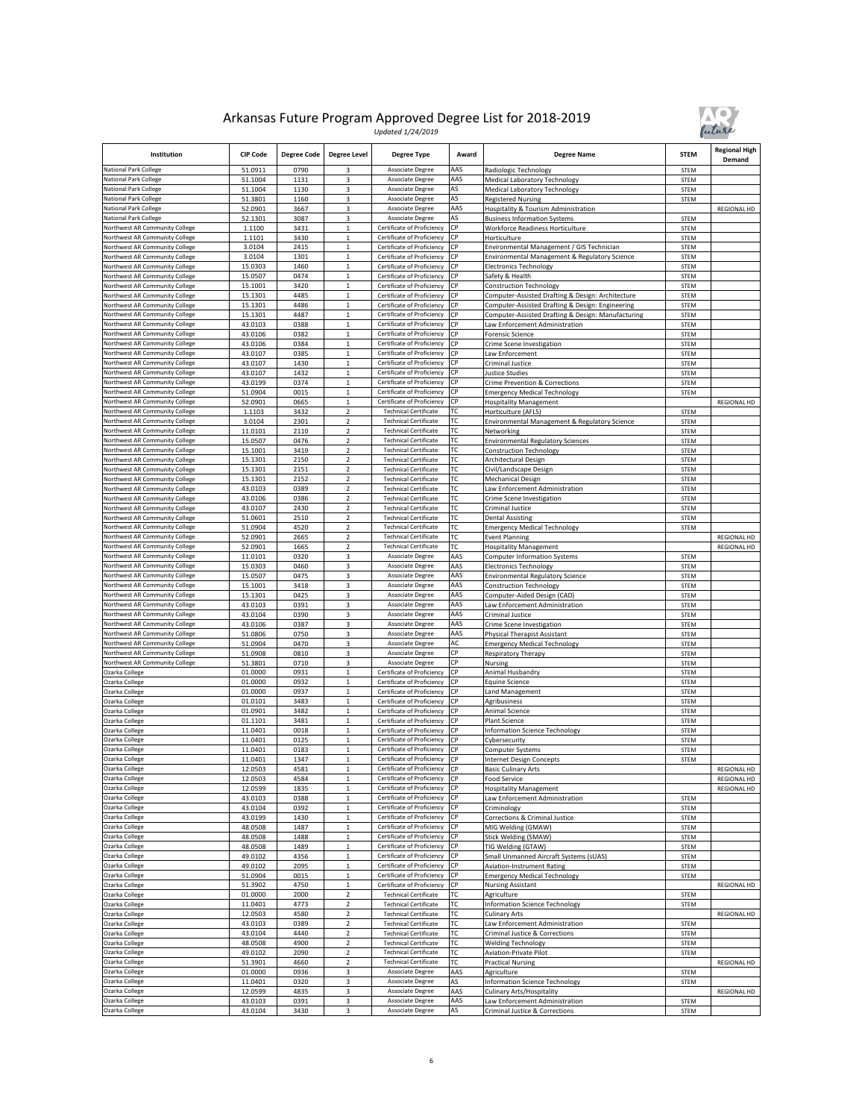

| Institution                                                      | <b>CIP Code</b>    | <b>Degree Code</b> | <b>Degree Level</b>              | <b>Degree Type</b>                                           | Award      | <b>Degree Name</b>                                                                                     | <b>STEM</b>         | <b>Regional High</b><br>Demand |
|------------------------------------------------------------------|--------------------|--------------------|----------------------------------|--------------------------------------------------------------|------------|--------------------------------------------------------------------------------------------------------|---------------------|--------------------------------|
| National Park College                                            | 51.0911            | 0790               | 3                                | Associate Degree                                             | AAS        | Radiologic Technology                                                                                  | STEM                |                                |
| <b>National Park College</b><br><b>National Park College</b>     | 51.1004            | 1131               | 3                                | <b>Associate Degree</b><br><b>Associate Degree</b>           | AAS        | Medical Laboratory Technology                                                                          | <b>STEM</b>         |                                |
| <b>National Park College</b>                                     | 51.1004<br>51.3801 | 1130<br>1160       | 3<br>3                           | Associate Degree                                             | AS<br>۹S   | Medical Laboratory Technology<br><b>Registered Nursing</b>                                             | STEM<br>STEM        |                                |
| National Park College                                            | 52.0901            | 3667               | 3                                | Associate Degree                                             | AAS        | Hospitality & Tourism Administration                                                                   |                     | <b>REGIONAL HD</b>             |
| National Park College                                            | 52.1301            | 3087               | 3                                | Associate Degree                                             | AS         | <b>Business Information Systems</b>                                                                    | STEM                |                                |
| Northwest AR Community College                                   | 1.1100             | 3431               | $\mathbf 1$                      | Certificate of Proficiency                                   | СP         | Workforce Readiness Horticulture                                                                       | STEM                |                                |
| Northwest AR Community College                                   | 1.1101             | 3430               | $\mathbf{1}$                     | Certificate of Proficiency                                   | СP<br>СP   | Horticulture                                                                                           | <b>STEM</b>         |                                |
| Northwest AR Community College<br>Northwest AR Community College | 3.0104<br>3.0104   | 2415<br>1301       | $\mathbf 1$<br>$\mathbf 1$       | Certificate of Proficiency<br>Certificate of Proficiency     | СP         | Environmental Management / GIS Technician<br>Environmental Management & Regulatory Science             | STEM<br>STEM        |                                |
| Northwest AR Community College                                   | 15.0303            | 1460               | $\mathbf{1}$                     | Certificate of Proficiency                                   | СP         | <b>Electronics Technology</b>                                                                          | <b>STEM</b>         |                                |
| Northwest AR Community College                                   | 15.0507            | 0474               | $\mathbf 1$                      | Certificate of Proficiency                                   | СP         | Safety & Health                                                                                        | STEM                |                                |
| Northwest AR Community College                                   | 15.1001            | 3420               | 1                                | Certificate of Proficiency                                   | СP         | <b>Construction Technology</b>                                                                         | <b>STEM</b>         |                                |
| Northwest AR Community College                                   | 15.1301            | 4485               | $\mathbf 1$                      | Certificate of Proficiency                                   | СP         | Computer-Assisted Drafting & Design: Architecture                                                      | STEM                |                                |
| Northwest AR Community College<br>Northwest AR Community College | 15.1301<br>15.1301 | 4486<br>4487       | $\mathbf{1}$<br>$\mathbf{1}$     | Certificate of Proficiency<br>Certificate of Proficiency     | СP<br>CP   | Computer-Assisted Drafting & Design: Engineering<br>Computer-Assisted Drafting & Design: Manufacturing | STEM<br>STEM        |                                |
| Northwest AR Community College                                   | 43.0103            | 0388               | $\,$ 1 $\,$                      | Certificate of Proficiency                                   | СP         | Law Enforcement Administration                                                                         | <b>STEM</b>         |                                |
| Northwest AR Community College                                   | 43.0106            | 0382               | $\mathbf{1}$                     | Certificate of Proficiency                                   | СP         | <b>Forensic Science</b>                                                                                | <b>STEM</b>         |                                |
| Northwest AR Community College                                   | 43.0106            | 0384               | $\,$ 1 $\,$                      | Certificate of Proficiency                                   | СP         | Crime Scene Investigation                                                                              | <b>STEM</b>         |                                |
| Northwest AR Community College                                   | 43.0107            | 0385               | 1                                | Certificate of Proficiency                                   | ΩP         | Law Enforcement                                                                                        | <b>STEM</b>         |                                |
| Northwest AR Community College<br>Northwest AR Community College | 43.0107<br>43.0107 | 1430<br>1432       | $\mathbf 1$<br>$\mathbf{1}$      | Certificate of Proficiency<br>Certificate of Proficiency     | СP<br>СP   | Criminal Justice<br>Justice Studies                                                                    | STEM<br><b>STEM</b> |                                |
| Northwest AR Community College                                   | 43.0199            | 0374               | $\mathbf 1$                      | Certificate of Proficiency                                   | CP         | Crime Prevention & Corrections                                                                         | <b>STEM</b>         |                                |
| Northwest AR Community College                                   | 51.0904            | 0015               | $\mathbf 1$                      | Certificate of Proficiency                                   | СP         | <b>Emergency Medical Technology</b>                                                                    | <b>STEM</b>         |                                |
| Northwest AR Community College                                   | 52.0901            | 0665               | $\mathbf 1$                      | Certificate of Proficiency                                   | СP         | <b>Hospitality Management</b>                                                                          |                     | <b>REGIONAL HD</b>             |
| Northwest AR Community College                                   | 1.1103             | 3432               | $\mathbf 2$                      | <b>Technical Certificate</b>                                 | ГC         | Horticulture (AFLS)                                                                                    | <b>STEM</b>         |                                |
| Northwest AR Community College<br>Northwest AR Community College | 3.0104<br>11.0101  | 2301               | $\overline{2}$<br>$\overline{2}$ | <b>Technical Certificate</b><br><b>Technical Certificate</b> | ГC<br>ГC   | Environmental Management & Regulatory Science                                                          | <b>STEM</b>         |                                |
| Northwest AR Community College                                   | 15.0507            | 2110<br>0476       | $\overline{2}$                   | <b>Technical Certificate</b>                                 | ТC         | Networking<br><b>Environmental Regulatory Sciences</b>                                                 | STEM<br>STEM        |                                |
| Northwest AR Community College                                   | 15.1001            | 3419               | $\overline{\mathbf{c}}$          | <b>Technical Certificate</b>                                 | ТC         | <b>Construction Technology</b>                                                                         | <b>STEM</b>         |                                |
| Northwest AR Community College                                   | 15.1301            | 2150               | $\mathbf 2$                      | <b>Technical Certificate</b>                                 | ТC         | Architectural Design                                                                                   | STEM                |                                |
| Northwest AR Community College                                   | 15.1301            | 2151               | $\overline{2}$                   | <b>Technical Certificate</b>                                 | ТC         | Civil/Landscape Design                                                                                 | <b>STEM</b>         |                                |
| Northwest AR Community College<br>Northwest AR Community College | 15.1301<br>43.0103 | 2152<br>0389       | $\mathbf 2$<br>$\overline{2}$    | <b>Technical Certificate</b><br><b>Technical Certificate</b> | ТC<br>ГC   | Mechanical Design                                                                                      | <b>STEM</b>         |                                |
| Northwest AR Community College                                   | 43.0106            | 0386               | $\overline{2}$                   | <b>Technical Certificate</b>                                 | ГC         | Law Enforcement Administration<br>Crime Scene Investigation                                            | <b>STEM</b><br>STEM |                                |
| Northwest AR Community College                                   | 43.0107            | 2430               | $\overline{\mathbf{c}}$          | <b>Technical Certificate</b>                                 | ТC         | Criminal Justice                                                                                       | <b>STEM</b>         |                                |
| Northwest AR Community College                                   | 51.0601            | 2510               | $\overline{2}$                   | <b>Technical Certificate</b>                                 | ТC         | <b>Dental Assisting</b>                                                                                | STEM                |                                |
| Northwest AR Community College                                   | 51.0904            | 4520               | $\mathbf 2$                      | <b>Technical Certificate</b>                                 | ТC         | <b>Emergency Medical Technology</b>                                                                    | STEM                |                                |
| Northwest AR Community College                                   | 52.0901            | 2665               | $\overline{2}$                   | <b>Technical Certificate</b>                                 | ТC         | <b>Event Planning</b>                                                                                  |                     | <b>REGIONAL HD</b>             |
| Northwest AR Community College<br>Northwest AR Community College | 52.0901<br>11.0101 | 1665<br>0320       | $\overline{2}$<br>3              | <b>Technical Certificate</b><br>Associate Degree             | ТC<br>AAS  | <b>Hospitality Management</b><br><b>Computer Information Systems</b>                                   | STEM                | REGIONAL HD                    |
| Northwest AR Community College                                   | 15.0303            | 0460               | 3                                | Associate Degree                                             | AAS        | <b>Electronics Technology</b>                                                                          | STEM                |                                |
| Northwest AR Community College                                   | 15.0507            | 0475               | 3                                | Associate Degree                                             | AAS        | <b>Environmental Regulatory Science</b>                                                                | <b>STEM</b>         |                                |
| Northwest AR Community College                                   | 15.1001            | 3418               | 3                                | Associate Degree                                             | AAS        | <b>Construction Technology</b>                                                                         | STEM                |                                |
| Northwest AR Community College                                   | 15.1301            | 0425               | 3                                | Associate Degree                                             | AAS        | Computer-Aided Design (CAD)                                                                            | STEM                |                                |
| Northwest AR Community College<br>Northwest AR Community College | 43.0103<br>43.0104 | 0391<br>0390       | 3<br>3                           | Associate Degree<br>Associate Degree                         | AAS<br>AAS | Law Enforcement Administration<br>Criminal Justice                                                     | STEM<br>STEM        |                                |
| Northwest AR Community College                                   | 43.0106            | 0387               | 3                                | <b>Associate Degree</b>                                      | AAS        | Crime Scene Investigation                                                                              | <b>STEM</b>         |                                |
| Northwest AR Community College                                   | 51.0806            | 0750               | 3                                | Associate Degree                                             | AAS        | <b>Physical Therapist Assistant</b>                                                                    | STEM                |                                |
| Northwest AR Community College                                   | 51.0904            | 0470               | 3                                | Associate Degree                                             | AC         | <b>Emergency Medical Technology</b>                                                                    | <b>STEM</b>         |                                |
| Northwest AR Community College                                   | 51.0908            | 0810               | 3                                | Associate Degree                                             | СP<br>СР   | Respiratory Therapy                                                                                    | STEM                |                                |
| Northwest AR Community College<br>Ozarka College                 | 51.3801<br>01.0000 | 0710<br>0931       | 3<br>$\mathbf 1$                 | Associate Degree<br>Certificate of Proficiency               | СP         | Nursing<br>Animal Husbandry                                                                            | STEM<br>STEM        |                                |
| Ozarka College                                                   | 01.0000            | 0932               | $\mathbf 1$                      | Certificate of Proficiency                                   | СP         | Equine Science                                                                                         | STEM                |                                |
| Ozarka College                                                   | 01.0000            | 0937               | $\mathbf 1$                      | Certificate of Proficiency                                   | СP         | <b>Land Management</b>                                                                                 | <b>STEM</b>         |                                |
| Ozarka College                                                   | 01.0101            | 3483               | 1                                | Certificate of Proficiency                                   | СΡ         | Agribusiness                                                                                           | <b>STEM</b>         |                                |
| Ozarka College                                                   | 01.0901            | 3482               | $\mathbf 1$                      | Certificate of Proficiency                                   | СP<br>CР   | Animal Science                                                                                         | STEM                |                                |
| Ozarka College<br>Ozarka College                                 | 01.1101<br>11.0401 | 3481<br>0018       | $\mathbf 1$<br>1                 | Certificate of Proficiency<br>Certificate of Proficiency     | СР         | Plant Science<br>Information Science Technology                                                        | STEM<br><b>STEM</b> |                                |
| Ozarka College                                                   | 11.0401            | 0125               | $\mathbf 1$                      | Certificate of Proficiency                                   | СP         | Cybersecurity                                                                                          | STEM                |                                |
| Ozarka College                                                   | 11.0401            | 0183               | $\mathbf 1$                      | Certificate of Proficiency                                   | СP         | Computer Systems                                                                                       | STEM                |                                |
| Ozarka College                                                   | 11.0401            | 1347               | $\mathbf 1$                      | Certificate of Proficiency                                   | СP         | <b>Internet Design Concepts</b>                                                                        | <b>STEM</b>         |                                |
| Ozarka College                                                   | 12.0503            | 4581               | $\mathbf 1$                      | Certificate of Proficiency                                   | СP<br>CP   | <b>Basic Culinary Arts</b>                                                                             |                     | REGIONAL HD                    |
| Ozarka College<br>Ozarka College                                 | 12.0503<br>12.0599 | 4584<br>1835       | $\mathbf 1$                      | Certificate of Proficiency<br>Certificate of Proficiency     | СP         | Food Service<br><b>Hospitality Management</b>                                                          |                     | REGIONAL HD<br>REGIONAL HD     |
| Ozarka College                                                   | 43.0103            | 0388               | $\mathbf 1$                      | Certificate of Proficiency                                   | СP         | Law Enforcement Administration                                                                         | <b>STEM</b>         |                                |
| Ozarka College                                                   | 43.0104            | 0392               | $\,1$                            | Certificate of Proficiency                                   | СP         | Criminology                                                                                            | STEM                |                                |
| Ozarka College                                                   | 43.0199            | 1430               | $\mathbf{1}$                     | Certificate of Proficiency                                   | СP         | Corrections & Criminal Justice                                                                         | <b>STEM</b>         |                                |
| Ozarka College                                                   | 48.0508            | 1487               | $\mathbf 1$                      | Certificate of Proficiency<br>Certificate of Proficiency     | СP<br>СP   | MIG Welding (GMAW)                                                                                     | STEM                |                                |
| Ozarka College<br>Ozarka College                                 | 48.0508<br>48.0508 | 1488<br>1489       | $\,1$<br>$\mathbf 1$             | Certificate of Proficiency                                   | СP         | <b>Stick Welding (SMAW)</b><br>TIG Welding (GTAW)                                                      | STEM<br>STEM        |                                |
| Ozarka College                                                   | 49.0102            | 4356               | $\mathbf{1}$                     | Certificate of Proficiency                                   | СP         | Small Unmanned Aircraft Systems (sUAS)                                                                 | <b>STEM</b>         |                                |
| Ozarka College                                                   | 49.0102            | 2095               | $\mathbf{1}$                     | Certificate of Proficiency                                   | СP         | <b>Aviation-Instrument Rating</b>                                                                      | STEM                |                                |
| Ozarka College                                                   | 51.0904            | 0015               | $\,1$                            | Certificate of Proficiency                                   | СP         | <b>Emergency Medical Technology</b>                                                                    | STEM                |                                |
| Ozarka College                                                   | 51.3902            | 4750               | $\mathbf{1}$                     | Certificate of Proficiency                                   | СP         | <b>Nursing Assistant</b>                                                                               |                     | REGIONAL HD                    |
| Ozarka College<br>Ozarka College                                 | 01.0000<br>11.0401 | 2000<br>4773       | $\overline{\mathbf{c}}$<br>2     | <b>Technical Certificate</b><br><b>Technical Certificate</b> | ТC<br>ТC   | Agriculture<br>Information Science Technology                                                          | STEM<br>STEM        |                                |
| Ozarka College                                                   | 12.0503            | 4580               | $\mathbf 2$                      | <b>Technical Certificate</b>                                 | ТC         | Culinary Arts                                                                                          |                     | REGIONAL HD                    |
| Ozarka College                                                   | 43.0103            | 0389               | $\overline{2}$                   | <b>Technical Certificate</b>                                 | ТC         | Law Enforcement Administration                                                                         | STEM                |                                |
| Ozarka College                                                   | 43.0104            | 4440               | $\overline{2}$                   | <b>Technical Certificate</b>                                 | TC         | Criminal Justice & Corrections                                                                         | STEM                |                                |
| Ozarka College                                                   | 48.0508            | 4900               | 2                                | <b>Technical Certificate</b>                                 | ТC         | <b>Welding Technology</b>                                                                              | STEM                |                                |
| Ozarka College<br>Ozarka College                                 | 49.0102<br>51.3901 | 2090<br>4660       | $\mathbf 2$<br>$\mathbf 2$       | <b>Technical Certificate</b><br><b>Technical Certificate</b> | ТC<br>ТC   | Aviation-Private Pilot<br><b>Practical Nursing</b>                                                     | <b>STEM</b>         | REGIONAL HD                    |
| Ozarka College                                                   | 01.0000            | 0936               | 3                                | Associate Degree                                             | AAS        | Agriculture                                                                                            | STEM                |                                |
| Ozarka College                                                   | 11.0401            | 0320               | 3                                | Associate Degree                                             | AS         | Information Science Technology                                                                         | STEM                |                                |
| Ozarka College                                                   | 12.0599            | 4835               | 3                                | Associate Degree                                             | AAS        | Culinary Arts/Hospitality                                                                              |                     | REGIONAL HD                    |
| Ozarka College                                                   | 43.0103            | 0391               | 3                                | Associate Degree                                             | AAS        | Law Enforcement Administration                                                                         | <b>STEM</b>         |                                |
| Ozarka College                                                   | 43.0104            | 3430               | 3                                | Associate Degree                                             | AS         | Criminal Justice & Corrections                                                                         | STEM                |                                |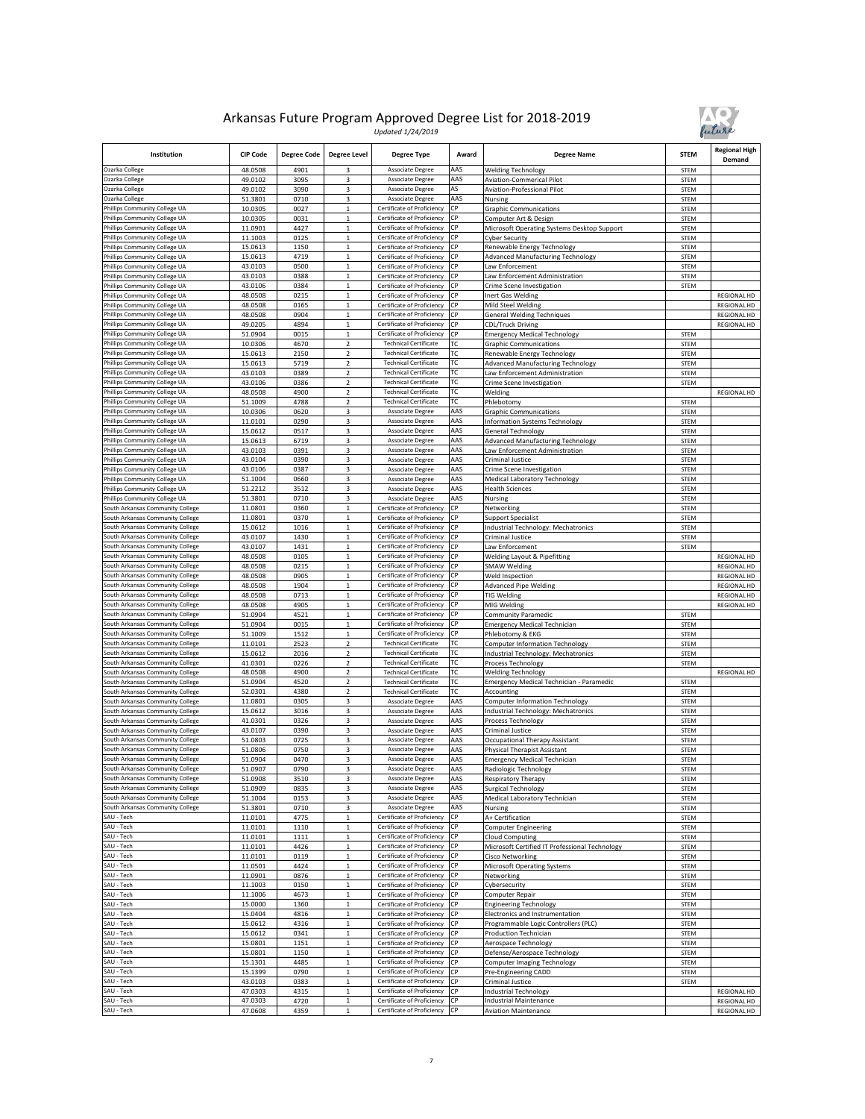

| Institution                                                          | <b>CIP Code</b>    | <b>Degree Code</b> | <b>Degree Level</b>         | <b>Degree Type</b>                                       | Award      | <b>Degree Name</b>                                               | <b>STEM</b>         | <b>Regional High</b><br>Demand    |
|----------------------------------------------------------------------|--------------------|--------------------|-----------------------------|----------------------------------------------------------|------------|------------------------------------------------------------------|---------------------|-----------------------------------|
| Ozarka College                                                       | 48.0508            | 4901               |                             | Associate Degree                                         | AAS        | Welding Technology                                               | <b>STEM</b>         |                                   |
| Ozarka College                                                       | 49.0102            | 3095               | 3                           | Associate Degree                                         | AAS        | <b>Aviation-Commerical Pilot</b>                                 | STEM                |                                   |
| Ozarka College                                                       | 49.0102            | 3090               | 3                           | Associate Degree                                         | AS         | Aviation-Professional Pilot                                      | STEM                |                                   |
| Ozarka College                                                       | 51.3801            | 0710               | 3                           | Associate Degree                                         | AAS<br>СP  | Nursing                                                          | STEM                |                                   |
| Phillips Community College UA<br>Phillips Community College UA       | 10.0305<br>10.0305 | 0027<br>0031       | $\,1$<br>$\mathbf 1$        | Certificate of Proficiency<br>Certificate of Proficiency | СP         | <b>Graphic Communications</b><br>Computer Art & Design           | STEM<br><b>STEM</b> |                                   |
| Phillips Community College UA                                        | 11.0901            | 4427               | $\mathbf{1}$                | Certificate of Proficiency                               | СP         | Microsoft Operating Systems Desktop Support                      | STEM                |                                   |
| Phillips Community College UA                                        | 11.1003            | 0125               | $\mathbf 1$                 | Certificate of Proficiency                               | CP         | Cyber Security                                                   | <b>STEM</b>         |                                   |
| Phillips Community College UA                                        | 15.0613            | 1150               | $\mathbf{1}$                | Certificate of Proficiency                               | СP         | Renewable Energy Technology                                      | STEM                |                                   |
| Phillips Community College UA                                        | 15.0613            | 4719               | $\mathbf 1$                 | Certificate of Proficiency                               | СP         | Advanced Manufacturing Technology                                | STEM                |                                   |
| Phillips Community College UA                                        | 43.0103            | 0500               | $\mathbf 1$                 | Certificate of Proficiency                               | СP         | Law Enforcement                                                  | STEM                |                                   |
| Phillips Community College UA                                        | 43.0103            | 0388               | $\overline{1}$              | Certificate of Proficiency                               | СP         | aw Enforcement Administration                                    | <b>STEM</b>         |                                   |
| Phillips Community College UA                                        | 43.0106            | 0384               | $\mathbf 1$                 | Certificate of Proficiency                               | СP         | Crime Scene Investigation                                        | STEM                |                                   |
| Phillips Community College UA                                        | 48.0508            | 0215               | $\mathbf 1$                 | Certificate of Proficiency                               | СP         | Inert Gas Welding                                                |                     | REGIONAL HD                       |
| Phillips Community College UA                                        | 48.0508<br>48.0508 | 0165               | $\mathbf 1$                 | Certificate of Proficiency                               | CP<br>СP   | Mild Steel Welding                                               |                     | REGIONAL HD                       |
| Phillips Community College UA<br>Phillips Community College UA       | 49.0205            | 0904<br>4894       | $\mathbf 1$<br>1            | Certificate of Proficiency<br>Certificate of Proficiency | СP         | <b>General Welding Techniques</b><br><b>CDL/Truck Driving</b>    |                     | <b>REGIONAL HD</b><br>REGIONAL HD |
| Phillips Community College UA                                        | 51.0904            | 0015               | $\mathbf 1$                 | Certificate of Proficiency                               | СP         | <b>Emergency Medical Technology</b>                              | STEM                |                                   |
| Phillips Community College UA                                        | 10.0306            | 4670               | $\mathbf 2$                 | <b>Technical Certificate</b>                             | ГC         | <b>Graphic Communications</b>                                    | STEM                |                                   |
| Phillips Community College UA                                        | 15.0613            | 2150               | $\mathbf 2$                 | <b>Technical Certificate</b>                             | ТC         | Renewable Energy Technology                                      | STEM                |                                   |
| Phillips Community College UA                                        | 15.0613            | 5719               | $\overline{2}$              | <b>Technical Certificate</b>                             | ГC         | Advanced Manufacturing Technology                                | <b>STEM</b>         |                                   |
| Phillips Community College UA                                        | 43.0103            | 0389               | $\overline{2}$              | <b>Technical Certificate</b>                             | ТC         | Law Enforcement Administration                                   | <b>STEM</b>         |                                   |
| Phillips Community College UA                                        | 43.0106            | 0386               | $\overline{\mathbf{c}}$     | <b>Technical Certificate</b>                             | ТC         | Crime Scene Investigation                                        | STEM                |                                   |
| Phillips Community College UA                                        | 48.0508            | 4900               | 2                           | <b>Technical Certificate</b>                             | ТC         | Welding                                                          |                     | REGIONAL HD                       |
| Phillips Community College UA                                        | 51.1009            | 4788               | $\overline{2}$              | <b>Technical Certificate</b>                             | ТC         | Phlebotomy                                                       | STEM                |                                   |
| Phillips Community College UA<br>Phillips Community College UA       | 10.0306<br>11.0101 | 0620<br>0290       | 3<br>3                      | Associate Degree<br>Associate Degree                     | AAS<br>AAS | <b>Graphic Communications</b>                                    | <b>STEM</b><br>STEM |                                   |
| Phillips Community College UA                                        | 15.0612            | 0517               | 3                           | Associate Degree                                         | AAS        | Information Systems Technology<br>General Technology             | STEM                |                                   |
| Phillips Community College UA                                        | 15.0613            | 6719               | 3                           | Associate Degree                                         | AAS        | Advanced Manufacturing Technology                                | STEM                |                                   |
| Phillips Community College UA                                        | 43.0103            | 0391               | 3                           | Associate Degree                                         | AAS        | Law Enforcement Administration                                   | STEM                |                                   |
| Phillips Community College UA                                        | 43.0104            | 0390               | 3                           | Associate Degree                                         | AAS        | Criminal Justice                                                 | STEM                |                                   |
| Phillips Community College UA                                        | 43.0106            | 0387               | 3                           | Associate Degree                                         | AAS        | Crime Scene Investigation                                        | STEM                |                                   |
| Phillips Community College UA                                        | 51.1004            | 0660               | 3                           | Associate Degree                                         | AAS        | Medical Laboratory Technology                                    | STEM                |                                   |
| Phillips Community College UA                                        | 51.2212            | 3512               | 3                           | Associate Degree                                         | AAS        | lealth Sciences                                                  | STEM                |                                   |
| Phillips Community College UA                                        | 51.3801            | 0710               | 3                           | Associate Degree                                         | AAS        | Nursing                                                          | STEM                |                                   |
| South Arkansas Community College<br>South Arkansas Community College | 11.0801            | 0360               | $\mathbf{1}$                | Certificate of Proficiency<br>Certificate of Proficiency | СP<br>СP   | Networking                                                       | STEM                |                                   |
| South Arkansas Community College                                     | 11.0801<br>15.0612 | 0370<br>1016       | $\,1$<br>$\,1$              | Certificate of Proficiency                               | СP         | Support Specialist<br>ndustrial Technology: Mechatronics         | <b>STEM</b><br>STEM |                                   |
| South Arkansas Community College                                     | 43.0107            | 1430               | $\mathbf 1$                 | Certificate of Proficiency                               | СP         | Criminal Justice                                                 | STEM                |                                   |
| South Arkansas Community College                                     | 43.0107            | 1431               | $\mathbf 1$                 | Certificate of Proficiency                               | CP         | .aw Enforcement                                                  | <b>STEM</b>         |                                   |
| South Arkansas Community College                                     | 48.0508            | 0105               | $\mathbf 1$                 | Certificate of Proficiency                               | СP         | <b>Welding Layout &amp; Pipefitting</b>                          |                     | <b>REGIONAL HD</b>                |
| South Arkansas Community College                                     | 48.0508            | 0215               | $\,1$                       | Certificate of Proficiency                               | СP         | <b>SMAW Welding</b>                                              |                     | REGIONAL HD                       |
| South Arkansas Community College                                     | 48.0508            | 0905               | $\mathbf 1$                 | Certificate of Proficiency                               | СP         | Weld Inspection                                                  |                     | REGIONAL HD                       |
| South Arkansas Community College                                     | 48.0508            | 1904               | $\overline{1}$              | Certificate of Proficiency                               | СP         | <b>Advanced Pipe Welding</b>                                     |                     | REGIONAL HD                       |
| South Arkansas Community College                                     | 48.0508            | 0713               | $\,$ 1 $\,$                 | Certificate of Proficiency                               | СP         | <b>TIG Welding</b>                                               |                     | <b>REGIONAL HD</b>                |
| South Arkansas Community College<br>South Arkansas Community College | 48.0508            | 4905               | $\,1$<br>$\mathbf 1$        | Certificate of Proficiency                               | СP<br>CP   | MIG Welding                                                      |                     | REGIONAL HD                       |
| South Arkansas Community College                                     | 51.0904<br>51.0904 | 4521<br>0015       | $\mathbf 1$                 | Certificate of Proficiency<br>Certificate of Proficiency | СP         | Community Paramedic<br><b>Emergency Medical Technician</b>       | STEM<br>STEM        |                                   |
| South Arkansas Community College                                     | 51.1009            | 1512               | 1                           | Certificate of Proficiency                               | СР         | Phlebotomy & EKG                                                 | STEM                |                                   |
| South Arkansas Community College                                     | 11.0101            | 2523               | $\overline{2}$              | <b>Technical Certificate</b>                             | ТC         | <b>Computer Information Technology</b>                           | STEM                |                                   |
| South Arkansas Community College                                     | 15.0612            | 2016               | $\mathbf 2$                 | <b>Technical Certificate</b>                             | ГC         | Industrial Technology: Mechatronics                              | <b>STEM</b>         |                                   |
| South Arkansas Community College                                     | 41.0301            | 0226               | $\overline{2}$              | <b>Technical Certificate</b>                             | ТC         | <b>Process Technology</b>                                        | STEM                |                                   |
| South Arkansas Community College                                     | 48.0508            | 4900               | $\overline{2}$              | <b>Technical Certificate</b>                             | ТC         | <b>Welding Technology</b>                                        |                     | REGIONAL HD                       |
| South Arkansas Community College                                     | 51.0904            | 4520               | $\overline{2}$              | <b>Technical Certificate</b>                             | ТC         | Emergency Medical Technician - Paramedic                         | STEM                |                                   |
| South Arkansas Community College                                     | 52.0301            | 4380               | $\overline{\mathbf{c}}$     | <b>Technical Certificate</b>                             | ТC         | Accounting                                                       | <b>STEM</b>         |                                   |
| South Arkansas Community College<br>South Arkansas Community College | 11.0801            | 0305<br>3016       | 3<br>3                      | Associate Degree<br>Associate Degree                     | AAS<br>AAS | Computer Information Technology                                  | STEM<br>STEM        |                                   |
| South Arkansas Community College                                     | 15.0612<br>41.0301 | 0326               | 3                           | Associate Degree                                         | AAS        | Industrial Technology: Mechatronics<br>Process Technology        | STEM                |                                   |
| South Arkansas Community College                                     | 43.0107            | 0390               | 3                           | Associate Degree                                         | AAS        | Criminal Justice                                                 | STEM                |                                   |
| South Arkansas Community College                                     | 51.0803            | 0725               | 3                           | Associate Degree                                         | AAS        | Occupational Therapy Assistant                                   | <b>STEM</b>         |                                   |
| South Arkansas Community College                                     | 51.0806            | 0750               | 3                           | Associate Degree                                         | AAS        | Physical Therapist Assistant                                     | STEM                |                                   |
| South Arkansas Community College                                     | 51.0904            | 0470               | 3                           | Associate Degree                                         | AAS        | <b>Emergency Medical Technician</b>                              | <b>STEM</b>         |                                   |
| South Arkansas Community College                                     | 51.0907            | 0790               | 3                           | Associate Degree                                         | AAS        | Radiologic Technology                                            | <b>STEM</b>         |                                   |
| South Arkansas Community College                                     | 51.0908            | 3510               | 3                           | Associate Degree                                         | AAS        | <b>Respiratory Therapy</b>                                       | STEM                |                                   |
| South Arkansas Community College                                     | 51.0909            | 0835               | 3                           | Associate Degree                                         | AAS        | <b>Surgical Technology</b>                                       | STEM                |                                   |
| South Arkansas Community College<br>South Arkansas Community College | 51.1004<br>51.3801 | 0153<br>0710       | 3<br>3                      | Associate Degree<br>Associate Degree                     | AAS<br>AAS | Medical Laboratory Technician<br>Nursing                         | STEM<br>STEM        |                                   |
| SAU - Tech                                                           | 11.0101            | 4775               | $\,$ 1 $\,$                 | Certificate of Proficiency                               | CP         | A+ Certification                                                 | STEM                |                                   |
| SAU - Tech                                                           | 11.0101            | 1110               | $\,1$                       | Certificate of Proficiency                               | СP         | Computer Engineering                                             | <b>STEM</b>         |                                   |
| SAU - Tech                                                           | 11.0101            | 1111               | $\,1$                       | Certificate of Proficiency                               | СP         | Cloud Computing                                                  | STEM                |                                   |
| SAU - Tech                                                           | 11.0101            | 4426               | $\mathbf 1$                 | Certificate of Proficiency                               | СP         | Microsoft Certified IT Professional Technology                   | STEM                |                                   |
| SAU - Tech                                                           | 11.0101            | 0119               | $\,$ 1 $\,$                 | Certificate of Proficiency                               | <b>CP</b>  | <b>Cisco Networking</b>                                          | STEM                |                                   |
| SAU - Tech                                                           | 11.0501            | 4424               | $\mathbf 1$                 | Certificate of Proficiency                               | СP         | Microsoft Operating Systems                                      | STEM                |                                   |
| SAU - Tech                                                           | 11.0901            | 0876               | $\,1$                       | Certificate of Proficiency                               | СP         | Networking                                                       | STEM                |                                   |
| SAU - Tech                                                           | 11.1003            | 0150               | $\mathbf{1}$                | Certificate of Proficiency                               | CP         | Cybersecurity                                                    | STEM                |                                   |
| SAU - Tech                                                           | 11.1006            | 4673               | $\mathbf{1}$                | Certificate of Proficiency                               | СP<br>СP   | Computer Repair                                                  | STEM                |                                   |
| SAU - Tech<br>SAU - Tech                                             | 15.0000<br>15.0404 | 1360<br>4816       | $\,$ 1 $\,$<br>$\,1$        | Certificate of Proficiency<br>Certificate of Proficiency | СP         | <b>Engineering Technology</b><br>Electronics and Instrumentation | STEM<br>STEM        |                                   |
| SAU - Tech                                                           | 15.0612            | 4316               | $\,$ 1 $\,$                 | Certificate of Proficiency                               | <b>CP</b>  | Programmable Logic Controllers (PLC)                             | STEM                |                                   |
| SAU - Tech                                                           | 15.0612            | 0341               | $\mathbf 1$                 | Certificate of Proficiency                               | СP         | Production Technician                                            | STEM                |                                   |
| SAU - Tech                                                           | 15.0801            | 1151               | $\,1$                       | Certificate of Proficiency                               | СP         | Aerospace Technology                                             | STEM                |                                   |
| SAU - Tech                                                           | 15.0801            | 1150               | $\mathbf 1$                 | Certificate of Proficiency                               | CP         | Defense/Aerospace Technology                                     | STEM                |                                   |
| SAU - Tech                                                           | 15.1301            | 4485               | $\,$ 1 $\,$                 | Certificate of Proficiency                               | СP         | Computer Imaging Technology                                      | STEM                |                                   |
| SAU - Tech                                                           | 15.1399            | 0790               | $\mathbf{1}$                | Certificate of Proficiency                               | СP         | Pre-Engineering CADD                                             | STEM                |                                   |
| SAU - Tech                                                           | 43.0103            | 0383               | $\mathbf 1$                 | Certificate of Proficiency                               | СP         | Criminal Justice                                                 | STEM                |                                   |
| SAU - Tech<br>SAU - Tech                                             | 47.0303            | 4315               | $\mathbf 1$                 | Certificate of Proficiency                               | СP         | Industrial Technology                                            |                     | REGIONAL HD                       |
| SAU - Tech                                                           | 47.0303<br>47.0608 | 4720<br>4359       | $\,$ 1 $\,$<br>$\mathbf{1}$ | Certificate of Proficiency<br>Certificate of Proficiency | СP<br>СP   | ndustrial Maintenance<br><b>Aviation Maintenance</b>             |                     | REGIONAL HD<br>REGIONAL HD        |
|                                                                      |                    |                    |                             |                                                          |            |                                                                  |                     |                                   |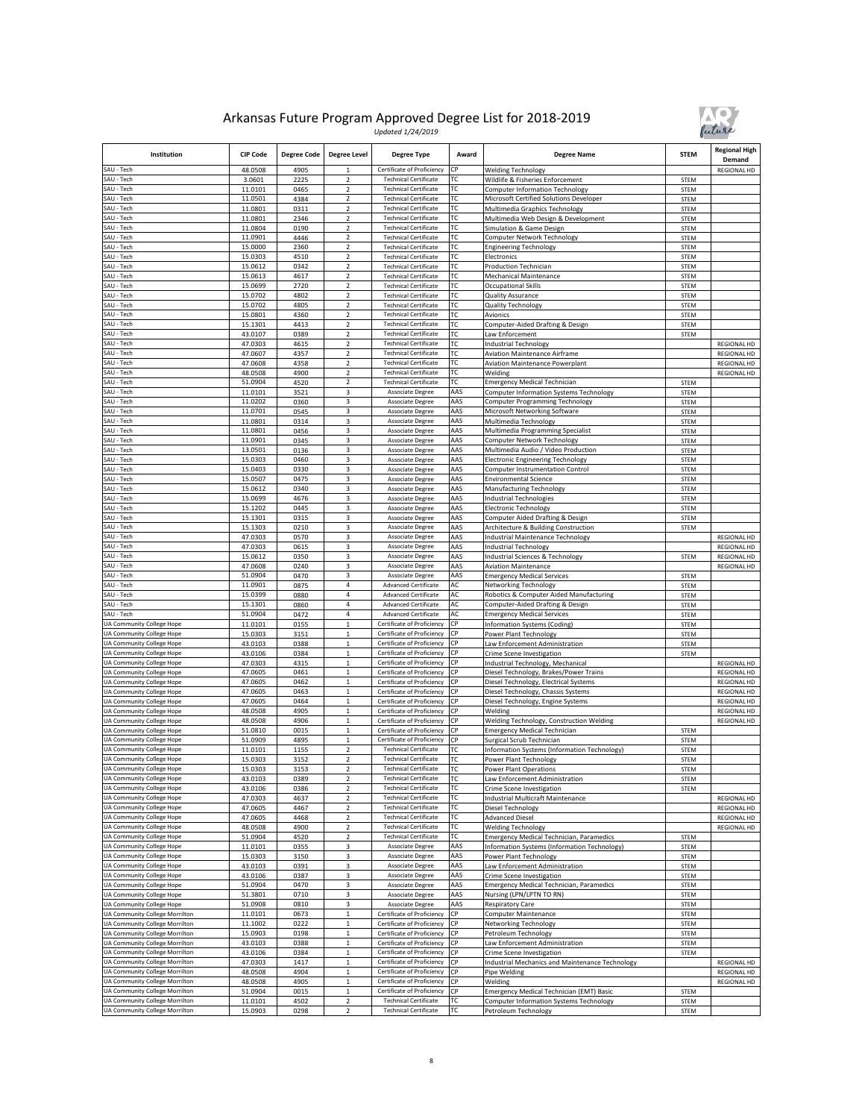

| Institution                                                      | <b>CIP Code</b>    | <b>Degree Code</b> | <b>Degree Level</b>            | Degree Type                                                  | Award      | <b>Degree Name</b>                                                        | <b>STEM</b>         | <b>Regional High</b><br>Demand |
|------------------------------------------------------------------|--------------------|--------------------|--------------------------------|--------------------------------------------------------------|------------|---------------------------------------------------------------------------|---------------------|--------------------------------|
| SAU - Tech                                                       | 48.0508            | 4905               | $\mathbf{1}$                   | Certificate of Proficiency                                   | CP         | <b>Welding Technology</b>                                                 |                     | REGIONAL HD                    |
| SAU - Tech                                                       | 3.0601             | 2225               | 2                              | <b>Technical Certificate</b>                                 | ТC         | Wildlife & Fisheries Enforcement                                          | <b>STEM</b>         |                                |
| SAU - Tech                                                       | 11.0101            | 0465               | $\overline{2}$                 | <b>Technical Certificate</b>                                 | ТC         | <b>Computer Information Technology</b>                                    | STEM                |                                |
| SAU - Tech                                                       | 11.0501            | 4384               | $\overline{2}$                 | <b>Technical Certificate</b>                                 | ТC         | Microsoft Certified Solutions Developer                                   | STEM                |                                |
| SAU - Tech                                                       | 11.0801            | 0311               | $\overline{2}$                 | <b>Technical Certificate</b>                                 | ТC         | Multimedia Graphics Technology                                            | STEM                |                                |
| SAU - Tech<br>SAU - Tech                                         | 11.0801            | 2346               | 2                              | <b>Technical Certificate</b><br><b>Technical Certificate</b> | ТC         | Multimedia Web Design & Development                                       | <b>STEM</b>         |                                |
| SAU - Tech                                                       | 11.0804<br>11.0901 | 0190<br>4446       | $\mathbf 2$<br>$\overline{2}$  | <b>Technical Certificate</b>                                 | ТC<br>ТC   | Simulation & Game Design<br>Computer Network Technology                   | <b>STEM</b><br>STEM |                                |
| SAU - Tech                                                       | 15.0000            | 2360               | 2                              | <b>Technical Certificate</b>                                 | ТC         | Engineering Technology                                                    | <b>STEM</b>         |                                |
| SAU - Tech                                                       | 15.0303            | 4510               | $\overline{2}$                 | <b>Technical Certificate</b>                                 | ТC         | Electronics                                                               | STEM                |                                |
| SAU - Tech                                                       | 15.0612            | 0342               | $\overline{2}$                 | <b>Technical Certificate</b>                                 | ТC         | <b>Production Technician</b>                                              | STEM                |                                |
| SAU - Tech                                                       | 15.0613            | 4617               | $\overline{2}$                 | <b>Technical Certificate</b>                                 | ТC         | Mechanical Maintenance                                                    | STEM                |                                |
| SAU - Tech                                                       | 15.0699            | 2720               | $\mathbf 2$                    | <b>Technical Certificate</b>                                 | ГC         | Occupational Skills                                                       | <b>STEM</b>         |                                |
| SAU - Tech                                                       | 15.0702            | 4802               | 2                              | <b>Technical Certificate</b>                                 | ГC         | Quality Assurance                                                         | <b>STEM</b>         |                                |
| SAU - Tech                                                       | 15.0702            | 4805               | $\overline{2}$                 | <b>Technical Certificate</b>                                 | ТC         | <b>Quality Technology</b>                                                 | STEM                |                                |
| SAU - Tech                                                       | 15.0801            | 4360               | $\overline{2}$<br>$\mathbf 2$  | <b>Technical Certificate</b><br><b>Technical Certificate</b> | ТC         | Avionics                                                                  | <b>STEM</b>         |                                |
| SAU - Tech<br>SAU - Tech                                         | 15.1301<br>43.0107 | 4413<br>0389       | $\overline{2}$                 | <b>Technical Certificate</b>                                 | ТC<br>ТC   | Computer-Aided Drafting & Design<br>Law Enforcement                       | STEM<br>STEM        |                                |
| SAU - Tech                                                       | 47.0303            | 4615               | $\overline{2}$                 | <b>Technical Certificate</b>                                 | ТC         | Industrial Technology                                                     |                     | <b>REGIONAL HD</b>             |
| SAU - Tech                                                       | 47.0607            | 4357               | $\overline{a}$                 | <b>Technical Certificate</b>                                 | ГC         | <b>Aviation Maintenance Airframe</b>                                      |                     | REGIONAL HD                    |
| SAU - Tech                                                       | 47.0608            | 4358               | $\overline{2}$                 | <b>Technical Certificate</b>                                 | ТC         | <b>Aviation Maintenance Powerplant</b>                                    |                     | REGIONAL HD                    |
| SAU - Tech                                                       | 48.0508            | 4900               | $\overline{2}$                 | <b>Technical Certificate</b>                                 | ТC         | Welding                                                                   |                     | REGIONAL HD                    |
| SAU - Tech                                                       | 51.0904            | 4520               | $\overline{2}$                 | <b>Technical Certificate</b>                                 | ТC         | <b>Emergency Medical Technician</b>                                       | STEM                |                                |
| SAU - Tech                                                       | 11.0101            | 3521               | 3                              | Associate Degree                                             | AAS        | Computer Information Systems Technology                                   | STEM                |                                |
| SAU - Tech                                                       | 11.0202            | 0360               | 3                              | Associate Degree                                             | AAS        | Computer Programming Technology                                           | STEM                |                                |
| SAU - Tech                                                       | 11.0701            | 0545               | 3                              | Associate Degree                                             | AAS        | Microsoft Networking Software                                             | STEM                |                                |
| SAU - Tech                                                       | 11.0801            | 0314               | 3<br>3                         | Associate Degree                                             | AAS        | Multimedia Technology                                                     | STEM                |                                |
| SAU - Tech<br>SAU - Tech                                         | 11.0801<br>11.0901 | 0456<br>0345       | 3                              | Associate Degree<br>Associate Degree                         | AAS<br>AAS | Multimedia Programming Specialist<br>Computer Network Technology          | STEM<br><b>STEM</b> |                                |
| SAU - Tech                                                       | 13.0501            | 0136               | 3                              | Associate Degree                                             | AAS        | Multimedia Audio / Video Production                                       | STEM                |                                |
| SAU - Tech                                                       | 15.0303            | 0460               | 3                              | Associate Degree                                             | AAS        | Electronic Engineering Technology                                         | <b>STEM</b>         |                                |
| SAU - Tech                                                       | 15.0403            | 0330               | 3                              | Associate Degree                                             | AAS        | <b>Computer Instrumentation Control</b>                                   | <b>STEM</b>         |                                |
| SAU - Tech                                                       | 15.0507            | 0475               | 3                              | Associate Degree                                             | AAS        | <b>Environmental Science</b>                                              | STEM                |                                |
| SAU - Tech                                                       | 15.0612            | 0340               | 3                              | Associate Degree                                             | AAS        | Manufacturing Technology                                                  | STEM                |                                |
| SAU - Tech                                                       | 15.0699            | 4676               | 3                              | Associate Degree                                             | AAS        | <b>ndustrial Technologies</b>                                             | STEM                |                                |
| SAU - Tech                                                       | 15.1202            | 0445               | 3                              | Associate Degree                                             | AAS        | Electronic Technology                                                     | STEM                |                                |
| SAU - Tech                                                       | 15.1301            | 0315               | 3                              | Associate Degree                                             | AAS        | Computer Aided Drafting & Design                                          | STEM                |                                |
| SAU - Tech<br>SAU - Tech                                         | 15.1303<br>47.0303 | 0210               | 3<br>3                         | Associate Degree                                             | AAS        | Architecture & Building Construction                                      | <b>STEM</b>         |                                |
| SAU - Tech                                                       | 47.0303            | 0570<br>0615       | 3                              | Associate Degree<br>Associate Degree                         | AAS<br>AAS | ndustrial Maintenance Technology<br>Industrial Technology                 |                     | REGIONAL HD<br>REGIONAL HD     |
| SAU - Tech                                                       | 15.0612            | 0350               | 3                              | Associate Degree                                             | AAS        | ndustrial Sciences & Technology                                           | <b>STEM</b>         | REGIONAL HD                    |
| SAU - Tech                                                       | 47.0608            | 0240               | 3                              | Associate Degree                                             | AAS        | <b>Aviation Maintenance</b>                                               |                     | REGIONAL HD                    |
| SAU - Tech                                                       | 51.0904            | 0470               | 3                              | Associate Degree                                             | AAS        | <b>Emergency Medical Services</b>                                         | STEM                |                                |
| SAU - Tech                                                       | 11.0901            | 0875               | 4                              | <b>Advanced Certificate</b>                                  | AC         | Networking Technology                                                     | STEM                |                                |
| SAU - Tech                                                       | 15.0399            | 0880               | 4                              | <b>Advanced Certificate</b>                                  | AC         | Robotics & Computer Aided Manufacturing                                   | <b>STEM</b>         |                                |
| SAU - Tech                                                       | 15.1301            | 0860               | 4                              | <b>Advanced Certificate</b>                                  | AC         | Computer-Aided Drafting & Design                                          | STEM                |                                |
| SAU - Tech                                                       | 51.0904            | 0472               | 4                              | <b>Advanced Certificate</b>                                  | AC         | <b>Emergency Medical Services</b>                                         | <b>STEM</b>         |                                |
| UA Community College Hope                                        | 11.0101            | 0155               | $\mathbf 1$                    | Certificate of Proficiency                                   | CP         | nformation Systems (Coding                                                | <b>STEM</b>         |                                |
| UA Community College Hope<br>UA Community College Hope           | 15.0303<br>43.0103 | 3151<br>0388       | $\mathbf{1}$<br>$\,1$          | Certificate of Proficiency<br>Certificate of Proficiency     | СP<br>CP   | Power Plant Technology                                                    | STEM                |                                |
| UA Community College Hope                                        | 43.0106            | 0384               | $\mathbf{1}$                   | Certificate of Proficiency                                   | CP         | aw Enforcement Administration.<br>Crime Scene Investigation               | STEM<br>STEM        |                                |
| UA Community College Hope                                        | 47.0303            | 4315               | $\overline{1}$                 | Certificate of Proficiency                                   | СP         | ndustrial Technology, Mechanical                                          |                     | REGIONAL HD                    |
| UA Community College Hope                                        | 47.0605            | 0461               | $\,1$                          | Certificate of Proficiency                                   | СP         | Diesel Technology, Brakes/Power Trains                                    |                     | <b>REGIONAL HD</b>             |
| UA Community College Hope                                        | 47.0605            | 0462               | $\mathbf 1$                    | Certificate of Proficiency                                   | СР         | Diesel Technology, Electrical Systems                                     |                     | <b>REGIONAL HD</b>             |
| UA Community College Hope                                        | 47.0605            | 0463               | $\mathbf 1$                    | Certificate of Proficiency                                   | CP         | Diesel Technology, Chassis Systems                                        |                     | <b>REGIONAL HD</b>             |
| UA Community College Hope                                        | 47.0605            | 0464               | $\mathbf 1$                    | Certificate of Proficiency                                   | СP         | Diesel Technology, Engine Systems                                         |                     | <b>REGIONAL HD</b>             |
| UA Community College Hope                                        | 48.0508            | 4905               | 1                              | Certificate of Proficiency                                   | CP         | Welding                                                                   |                     | <b>REGIONAL HD</b>             |
| <b>UA Community College Hope</b>                                 | 48.0508            | 4906               | $\mathbf{1}$                   | Certificate of Proficiency                                   | СP         | Welding Technology, Construction Welding                                  |                     | <b>REGIONAL HD</b>             |
| UA Community College Hope                                        | 51.0810            | 0015               | $\,$ 1 $\,$                    | Certificate of Proficiency                                   | СP<br>СP   | <b>Emergency Medical Technician</b>                                       | STEM                |                                |
| UA Community College Hope<br>UA Community College Hope           | 51.0909<br>11.0101 | 4895<br>1155       | $\mathbf{1}$<br>$\overline{2}$ | Certificate of Proficiency<br><b>Technical Certificate</b>   | ГC         | Surgical Scrub Technician<br>Information Systems (Information Technology) | STEM<br><b>STEM</b> |                                |
| UA Community College Hope                                        | 15.0303            | 3152               | $\overline{2}$                 | <b>Technical Certificate</b>                                 | ТC         | Power Plant Technology                                                    | <b>STEM</b>         |                                |
| <b>UA Community College Hope</b>                                 | 15.0303            | 3153               | $\overline{2}$                 | <b>Technical Certificate</b>                                 | тс         | <b>Power Plant Operations</b>                                             | STEM                |                                |
| UA Community College Hope                                        | 43.0103            | 0389               | 2                              | <b>Technical Certificate</b>                                 | ТC         | Law Enforcement Administration                                            | STEM                |                                |
| UA Community College Hope                                        | 43.0106            | 0386               | $\overline{2}$                 | <b>Technical Certificate</b>                                 | тс         | Crime Scene Investigation                                                 | STEM                |                                |
| UA Community College Hope                                        | 47.0303            | 4637               | $\mathbf 2$                    | <b>Technical Certificate</b>                                 | ТC         | Industrial Multicraft Maintenance                                         |                     | REGIONAL HD                    |
| UA Community College Hope                                        | 47.0605            | 4467               | $\overline{2}$                 | <b>Technical Certificate</b>                                 | ТC         | Diesel Technology                                                         |                     | <b>REGIONAL HD</b>             |
| UA Community College Hope                                        | 47.0605            | 4468               | $\overline{2}$                 | <b>Technical Certificate</b>                                 | ТC         | <b>Advanced Diesel</b>                                                    |                     | REGIONAL HD                    |
| UA Community College Hope<br>UA Community College Hope           | 48.0508<br>51.0904 | 4900               | $\overline{\mathbf{c}}$        | <b>Technical Certificate</b><br><b>Technical Certificate</b> | ТC<br>ТC   | <b>Welding Technology</b><br>Emergency Medical Technician, Paramedics     |                     | REGIONAL HD                    |
| UA Community College Hope                                        | 11.0101            | 4520<br>0355       | 2<br>3                         | Associate Degree                                             | AAS        | nformation Systems (Information Technology)                               | STEM<br>STEM        |                                |
| UA Community College Hope                                        | 15.0303            | 3150               | 3                              | Associate Degree                                             | AAS        | Power Plant Technology                                                    | STEM                |                                |
| UA Community College Hope                                        | 43.0103            | 0391               | 3                              | Associate Degree                                             | AAS        | aw Enforcement Administration                                             | STEM                |                                |
| UA Community College Hope                                        | 43.0106            | 0387               | 3                              | Associate Degree                                             | AAS        | Crime Scene Investigation                                                 | STEM                |                                |
| UA Community College Hope                                        | 51.0904            | 0470               | 3                              | Associate Degree                                             | AAS        | Emergency Medical Technician, Paramedics                                  | STEM                |                                |
| UA Community College Hope                                        | 51.3801            | 0710               | 3                              | Associate Degree                                             | AAS        | Nursing (LPN/LPTN TO RN)                                                  | STEM                |                                |
| UA Community College Hope                                        | 51.0908            | 0810               | 3                              | Associate Degree                                             | AAS        | Respiratory Care                                                          | STEM                |                                |
| UA Community College Morrilton                                   | 11.0101            | 0673               | $\,1$                          | Certificate of Proficiency                                   | СP         | Computer Maintenance                                                      | STEM                |                                |
| UA Community College Morrilton                                   | 11.1002            | 0222               | $\mathbf 1$                    | Certificate of Proficiency                                   | СP         | Networking Technology                                                     | STEM                |                                |
| UA Community College Morrilton<br>UA Community College Morrilton | 15.0903<br>43.0103 | 0198<br>0388       | $\mathbf 1$<br>$\mathbf{1}$    | Certificate of Proficiency<br>Certificate of Proficiency     | CP<br>СP   | Petroleum Technology<br>aw Enforcement Administration                     | STEM                |                                |
| UA Community College Morrilton                                   | 43.0106            | 0384               | $\,1$                          | Certificate of Proficiency                                   | СP         | Crime Scene Investigation                                                 | STEM<br>STEM        |                                |
| UA Community College Morrilton                                   | 47.0303            | 1417               | $\mathbf 1$                    | Certificate of Proficiency                                   | СP         | Industrial Mechanics and Maintenance Technology                           |                     | <b>REGIONAL HD</b>             |
| UA Community College Morrilton                                   | 48.0508            | 4904               | $\overline{1}$                 | Certificate of Proficiency                                   | СP         | <sup>2</sup> ipe Welding                                                  |                     | REGIONAL HD                    |
| UA Community College Morrilton                                   | 48.0508            | 4905               | $\,$ 1 $\,$                    | Certificate of Proficiency                                   | СP         | Welding                                                                   |                     | REGIONAL HD                    |
| UA Community College Morrilton                                   | 51.0904            | 0015               | $\,1$                          | Certificate of Proficiency                                   | СP         | Emergency Medical Technician (EMT) Basic                                  | STEM                |                                |
| UA Community College Morrilton                                   | 11.0101            | 4502               | $\overline{2}$                 | <b>Technical Certificate</b>                                 | ТC         | Computer Information Systems Technology                                   | STEM                |                                |
| UA Community College Morrilton                                   | 15.0903            | 0298               | $\overline{2}$                 | <b>Technical Certificate</b>                                 | ТC         | Petroleum Technology                                                      | STEM                |                                |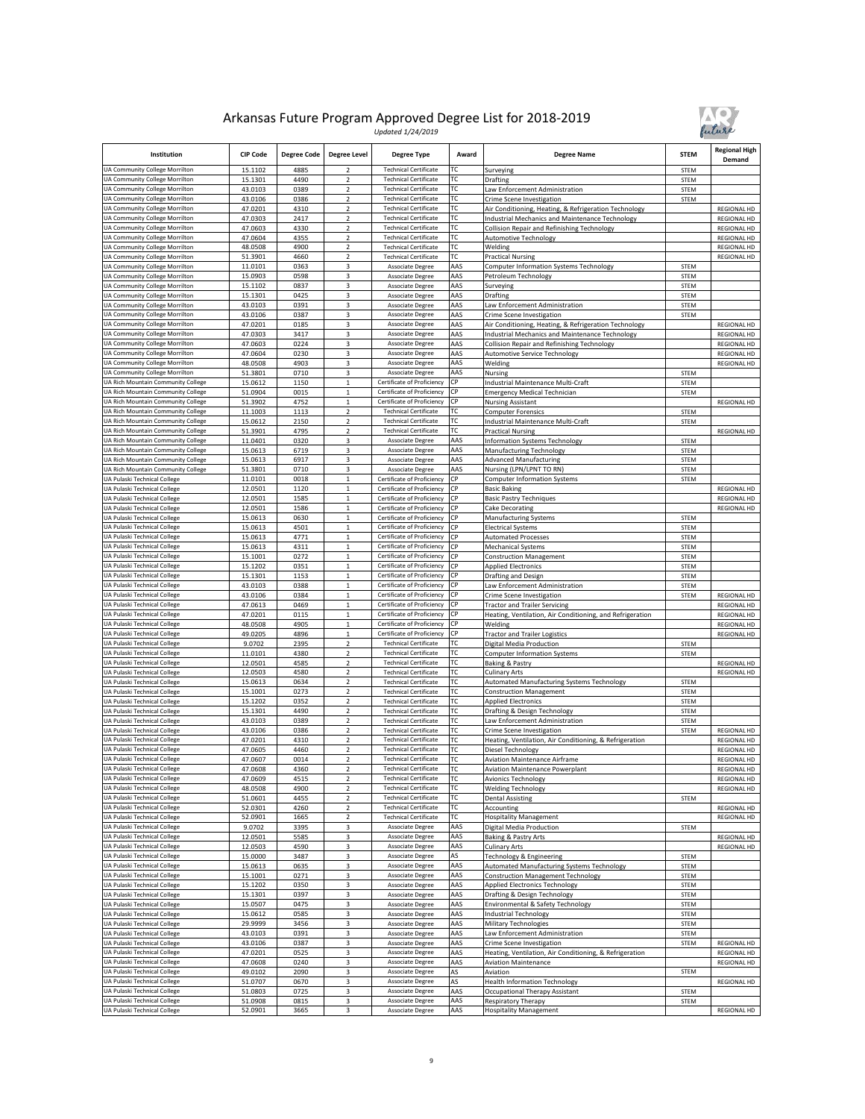



| Institution                                                          | <b>CIP Code</b>    | <b>Degree Code</b> | <b>Degree Level</b>              | <b>Degree Type</b>                                           | Award      | <b>Degree Name</b>                                                                                       | <b>STEM</b>                | <b>Regional High</b><br>Demand |
|----------------------------------------------------------------------|--------------------|--------------------|----------------------------------|--------------------------------------------------------------|------------|----------------------------------------------------------------------------------------------------------|----------------------------|--------------------------------|
| UA Community College Morrilton                                       | 15.1102            | 4885               |                                  | <b>Technical Certificate</b>                                 | ТC         | Surveying                                                                                                | <b>STEM</b>                |                                |
| UA Community College Morrilton                                       | 15.1301            | 4490               | $\overline{\mathbf{c}}$          | <b>Technical Certificate</b>                                 | ТC         | Drafting                                                                                                 | <b>STEM</b>                |                                |
| UA Community College Morrilton                                       | 43.0103            | 0389               | 2                                | <b>Technical Certificate</b>                                 | ТC         | Law Enforcement Administration                                                                           | <b>STEM</b>                |                                |
| UA Community College Morrilton                                       | 43.0106<br>47.0201 | 0386               | $\overline{2}$<br>$\overline{2}$ | <b>Technical Certificate</b>                                 | ТC<br>ТC   | Crime Scene Investigation                                                                                | <b>STEM</b>                |                                |
| UA Community College Morrilton<br>UA Community College Morrilton     | 47.0303            | 4310<br>2417       | $\overline{2}$                   | <b>Technical Certificate</b><br><b>Technical Certificate</b> | ТC         | Air Conditioning, Heating, & Refrigeration Technology<br>Industrial Mechanics and Maintenance Technology |                            | REGIONAL HD<br>REGIONAL HD     |
| UA Community College Morrilton                                       | 47.0603            | 4330               | 2                                | <b>Technical Certificate</b>                                 | ТC         | Collision Repair and Refinishing Technology                                                              |                            | REGIONAL HD                    |
| UA Community College Morrilton                                       | 47.0604            | 4355               | $\overline{\mathbf{c}}$          | <b>Technical Certificate</b>                                 | ТC         | <b>Automotive Technology</b>                                                                             |                            | REGIONAL HD                    |
| UA Community College Morrilton                                       | 48.0508            | 4900               | $\overline{2}$                   | <b>Technical Certificate</b>                                 | ТC         | Welding                                                                                                  |                            | REGIONAL HD                    |
| UA Community College Morrilton                                       | 51.3901            | 4660               | 2                                | <b>Technical Certificate</b>                                 | ТC         | <b>Practical Nursing</b>                                                                                 |                            | REGIONAL HD                    |
| UA Community College Morrilton                                       | 11.0101            | 0363               | 3                                | Associate Degree                                             | AAS        | Computer Information Systems Technology                                                                  | STEM                       |                                |
| UA Community College Morrilton                                       | 15.0903            | 0598               | 3                                | Associate Degree                                             | AAS        | Petroleum Technology                                                                                     | <b>STEM</b>                |                                |
| UA Community College Morrilton                                       | 15.1102            | 0837               | 3                                | Associate Degree                                             | AAS        | Surveying                                                                                                | STEM                       |                                |
| UA Community College Morrilton                                       | 15.1301            | 0425               | 3                                | Associate Degree                                             | AAS        | Drafting                                                                                                 | <b>STEM</b>                |                                |
| <b>UA Community College Morrilton</b>                                | 43.0103            | 0391               | 3                                | <b>Associate Degree</b>                                      | AAS        | Law Enforcement Administration                                                                           | <b>STEM</b>                |                                |
| UA Community College Morrilton                                       | 43.0106            | 0387               | 3                                | <b>Associate Degree</b>                                      | AAS        | Crime Scene Investigation                                                                                | STEM                       |                                |
| UA Community College Morrilton                                       | 47.0201            | 0185               | 3                                | Associate Degree                                             | AAS        | Air Conditioning, Heating, & Refrigeration Technology                                                    |                            | REGIONAL HD                    |
| UA Community College Morrilton                                       | 47.0303            | 3417               | 3                                | Associate Degree                                             | AAS        | Industrial Mechanics and Maintenance Technology                                                          |                            | <b>REGIONAL HD</b>             |
| UA Community College Morrilton                                       | 47.0603            | 0224               | 3                                | Associate Degree                                             | AAS        | Collision Repair and Refinishing Technology                                                              |                            | REGIONAL HD                    |
| UA Community College Morrilton                                       | 47.0604            | 0230               | 3                                | <b>Associate Degree</b>                                      | AAS        | Automotive Service Technology                                                                            |                            | REGIONAL HD                    |
| UA Community College Morrilton                                       | 48.0508            | 4903               | 3                                | Associate Degree                                             | AAS<br>AAS | Welding                                                                                                  |                            | REGIONAL HD                    |
| UA Community College Morrilton<br>UA Rich Mountain Community College | 51.3801<br>15.0612 | 0710<br>1150       | 3<br>$\,$ 1 $\,$                 | Associate Degree<br>Certificate of Proficiency               | СР         | Nursing<br>Industrial Maintenance Multi-Craft                                                            | <b>STEM</b><br>STEM        |                                |
| UA Rich Mountain Community College                                   | 51.0904            | 0015               | $\mathbf 1$                      | Certificate of Proficiency                                   | СP         | <b>Emergency Medical Technician</b>                                                                      |                            |                                |
| UA Rich Mountain Community College                                   | 51.3902            | 4752               | $\mathbf 1$                      | Certificate of Proficiency                                   | СP         | <b>Nursing Assistant</b>                                                                                 | STEM                       | <b>REGIONAL HD</b>             |
| UA Rich Mountain Community College                                   | 11.1003            | 1113               | $\overline{\mathbf{c}}$          | <b>Technical Certificate</b>                                 | ТC         | <b>Computer Forensics</b>                                                                                | STEM                       |                                |
| UA Rich Mountain Community College                                   | 15.0612            | 2150               | $\overline{2}$                   | <b>Technical Certificate</b>                                 | ТC         | Industrial Maintenance Multi-Craft                                                                       | STEM                       |                                |
| UA Rich Mountain Community College                                   | 51.3901            | 4795               | $\overline{\mathbf{c}}$          | <b>Technical Certificate</b>                                 | ТC         | <b>Practical Nursing</b>                                                                                 |                            | REGIONAL HD                    |
| UA Rich Mountain Community College                                   | 11.0401            | 0320               | 3                                | Associate Degree                                             | AAS        | Information Systems Technology                                                                           | STEM                       |                                |
| UA Rich Mountain Community College                                   | 15.0613            | 6719               | 3                                | Associate Degree                                             | AAS        | Manufacturing Technology                                                                                 | <b>STEM</b>                |                                |
| UA Rich Mountain Community College                                   | 15.0613            | 6917               | 3                                | Associate Degree                                             | AAS        | <b>Advanced Manufacturing</b>                                                                            | <b>STEM</b>                |                                |
| UA Rich Mountain Community College                                   | 51.3801            | 0710               | 3                                | Associate Degree                                             | AAS        | Nursing (LPN/LPNT TO RN)                                                                                 | <b>STEM</b>                |                                |
| UA Pulaski Technical College                                         | 11.0101            | 0018               | $\mathbf 1$                      | Certificate of Proficiency                                   | СP         | <b>Computer Information Systems</b>                                                                      | STEM                       |                                |
| UA Pulaski Technical College                                         | 12.0501            | 1120               | $\mathbf 1$                      | Certificate of Proficiency                                   | СP         | <b>Basic Baking</b>                                                                                      |                            | REGIONAL HD                    |
| UA Pulaski Technical College                                         | 12.0501            | 1585               | $\,$ 1 $\,$                      | Certificate of Proficiency                                   | СP         | <b>Basic Pastry Techniques</b>                                                                           |                            | REGIONAL HD                    |
| UA Pulaski Technical College                                         | 12.0501            | 1586               | $\mathbf 1$                      | Certificate of Proficiency                                   | СP         | Cake Decorating                                                                                          |                            | <b>REGIONAL HD</b>             |
| UA Pulaski Technical College                                         | 15.0613            | 0630               | $\mathbf{1}$                     | Certificate of Proficiency                                   | ςÞ         | Manufacturing Systems                                                                                    | <b>STEM</b>                |                                |
| UA Pulaski Technical College                                         | 15.0613            | 4501               | $\mathbf 1$                      | Certificate of Proficiency                                   | СР         | <b>Electrical Systems</b>                                                                                | STEM                       |                                |
| UA Pulaski Technical College<br>UA Pulaski Technical College         | 15.0613            | 4771               | $\,1$<br>$\mathbf 1$             | Certificate of Proficiency                                   | СР<br>СP   | <b>Automated Processes</b>                                                                               | STEM                       |                                |
| UA Pulaski Technical College                                         | 15.0613<br>15.1001 | 4311<br>0272       | $\mathbf 1$                      | Certificate of Proficiency<br>Certificate of Proficiency     | СP         | Mechanical Systems<br><b>Construction Management</b>                                                     | <b>STEM</b><br><b>STEM</b> |                                |
| UA Pulaski Technical College                                         | 15.1202            | 0351               | $\,1$                            | Certificate of Proficiency                                   | CΡ         | <b>Applied Electronics</b>                                                                               | STEM                       |                                |
| UA Pulaski Technical College                                         | 15.1301            | 1153               | $\mathbf 1$                      | Certificate of Proficiency                                   | СP         | Drafting and Design                                                                                      | <b>STEM</b>                |                                |
| UA Pulaski Technical College                                         | 43.0103            | 0388               | $\overline{1}$                   | Certificate of Proficiency                                   | СP         | aw Enforcement Administration                                                                            | STEM                       |                                |
| UA Pulaski Technical College                                         | 43.0106            | 0384               | $\,$ 1 $\,$                      | Certificate of Proficiency                                   | СP         | Crime Scene Investigation                                                                                | <b>STEM</b>                | REGIONAL HD                    |
| UA Pulaski Technical College                                         | 47.0613            | 0469               | $\mathbf{1}$                     | Certificate of Proficiency                                   | СР         | <b>Tractor and Trailer Servicing</b>                                                                     |                            | REGIONAL HD                    |
| UA Pulaski Technical College                                         | 47.0201            | 0115               | $\mathbf 1$                      | Certificate of Proficiency                                   | СP         | Heating, Ventilation, Air Conditioning, and Refrigeration                                                |                            | <b>REGIONAL HD</b>             |
| UA Pulaski Technical College                                         | 48.0508            | 4905               | $\mathbf 1$                      | Certificate of Proficiency                                   | СP         | Welding                                                                                                  |                            | REGIONAL HD                    |
| UA Pulaski Technical College                                         | 49.0205            | 4896               | $\,1$                            | Certificate of Proficiency                                   | СP         | <b>Tractor and Trailer Logistics</b>                                                                     |                            | REGIONAL HD                    |
| UA Pulaski Technical College                                         | 9.0702             | 2395               | $\overline{2}$                   | <b>Technical Certificate</b>                                 | ТC         | Digital Media Production                                                                                 | STEM                       |                                |
| UA Pulaski Technical College                                         | 11.0101            | 4380               | $\overline{\mathbf{c}}$          | <b>Technical Certificate</b>                                 | ТC         | <b>Computer Information Systems</b>                                                                      | <b>STEM</b>                |                                |
| UA Pulaski Technical College                                         | 12.0501            | 4585               | $\overline{2}$                   | <b>Technical Certificate</b>                                 | ТC         | <b>Baking &amp; Pastry</b>                                                                               |                            | REGIONAL HD                    |
| UA Pulaski Technical College                                         | 12.0503            | 4580               | 2                                | <b>Technical Certificate</b>                                 | ТC         | <b>Culinary Arts</b>                                                                                     |                            | REGIONAL HD                    |
| UA Pulaski Technical College<br>UA Pulaski Technical College         | 15.0613            | 0634               | $\mathbf 2$<br>$\mathbf 2$       | <b>Technical Certificate</b>                                 | ТC<br>ТC   | Automated Manufacturing Systems Technology                                                               | <b>STEM</b>                |                                |
| UA Pulaski Technical College                                         | 15.1001            | 0273               | $\overline{2}$                   | <b>Technical Certificate</b><br><b>Technical Certificate</b> | ТC         | <b>Construction Management</b>                                                                           | <b>STEM</b>                |                                |
| UA Pulaski Technical College                                         | 15.1202<br>15.1301 | 0352<br>4490       | $\overline{2}$                   | <b>Technical Certificate</b>                                 | ТC         | <b>Applied Electronics</b><br>Drafting & Design Technology                                               | <b>STEM</b><br><b>STEM</b> |                                |
| UA Pulaski Technical College                                         | 43.0103            | 0389               | $\overline{\mathbf{c}}$          | <b>Technical Certificate</b>                                 | ТC         | aw Enforcement Administration                                                                            | <b>STEM</b>                |                                |
| UA Pulaski Technical College                                         | 43.0106            | 0386               | $\overline{2}$                   | <b>Technical Certificate</b>                                 | ТC         | Crime Scene Investigation                                                                                | STEM                       | REGIONAL HD                    |
| UA Pulaski Technical College                                         | 47.0201            | 4310               | 2                                | <b>Technical Certificate</b>                                 | ТC         | Heating, Ventilation, Air Conditioning, & Refrigeration                                                  |                            | REGIONAL HD                    |
| UA Pulaski Technical College                                         | 47.0605            | 4460               | $\overline{2}$                   | <b>Technical Certificate</b>                                 | ТC         | Diesel Technology                                                                                        |                            | <b>REGIONAL HD</b>             |
| UA Pulaski Technical College                                         | 47.0607            | 0014               | $\overline{\mathbf{c}}$          | <b>Technical Certificate</b>                                 | ТC         | <b>Aviation Maintenance Airframe</b>                                                                     |                            | REGIONAL HD                    |
| UA Pulaski Technical College                                         | 47.0608            | 4360               | $\overline{2}$                   | <b>Technical Certificate</b>                                 | ТC         | <b>Aviation Maintenance Powerplant</b>                                                                   |                            | REGIONAL HD                    |
| UA Pulaski Technical College                                         | 47.0609            | 4515               | $\overline{\phantom{a}}$         | <b>Technical Certificate</b>                                 | ТC         | <b>Avionics Technology</b>                                                                               |                            | REGIONAL HD                    |
| UA Pulaski Technical College                                         | 48.0508            | 4900               | $\overline{2}$                   | <b>Technical Certificate</b>                                 | ТC         | <b>Welding Technology</b>                                                                                |                            | REGIONAL HD                    |
| UA Pulaski Technical College                                         | 51.0601            | 4455               | $\overline{2}$                   | <b>Technical Certificate</b>                                 | ТC         | <b>Dental Assisting</b>                                                                                  | <b>STEM</b>                |                                |
| UA Pulaski Technical College                                         | 52.0301            | 4260               | 2                                | <b>Technical Certificate</b>                                 | ТC         | Accounting                                                                                               |                            | REGIONAL HD                    |
| UA Pulaski Technical College                                         | 52.0901            | 1665               | $\overline{2}$                   | <b>Technical Certificate</b>                                 | ТC         | <b>Hospitality Management</b>                                                                            |                            | REGIONAL HD                    |
| UA Pulaski Technical College                                         | 9.0702             | 3395               | 3                                | Associate Degree                                             | AAS        | Digital Media Production                                                                                 | STEM                       |                                |
| UA Pulaski Technical College                                         | 12.0501            | 5585               | 3                                | Associate Degree                                             | AAS        | <b>Baking &amp; Pastry Arts</b>                                                                          |                            | REGIONAL HD                    |
| UA Pulaski Technical College                                         | 12.0503            | 4590               | 3                                | Associate Degree                                             | AAS        | <b>Culinary Arts</b>                                                                                     |                            | REGIONAL HD                    |
| UA Pulaski Technical College<br>UA Pulaski Technical College         | 15.0000            | 3487               | 3                                | Associate Degree                                             | AS         | Technology & Engineering                                                                                 | <b>STEM</b>                |                                |
| UA Pulaski Technical College                                         | 15.0613<br>15.1001 | 0635<br>0271       | 3<br>3                           | Associate Degree<br>Associate Degree                         | AAS<br>AAS | Automated Manufacturing Systems Technology<br><b>Construction Management Technology</b>                  | <b>STEM</b><br>STEM        |                                |
| UA Pulaski Technical College                                         | 15.1202            | 0350               | 3                                | Associate Degree                                             | AAS        | Applied Electronics Technology                                                                           | <b>STEM</b>                |                                |
| UA Pulaski Technical College                                         | 15.1301            | 0397               | 3                                | Associate Degree                                             | AAS        | Drafting & Design Technology                                                                             | <b>STEM</b>                |                                |
| UA Pulaski Technical College                                         | 15.0507            | 0475               | 3                                | Associate Degree                                             | AAS        | Environmental & Safety Technology                                                                        | <b>STEM</b>                |                                |
| UA Pulaski Technical College                                         | 15.0612            | 0585               | 3                                | Associate Degree                                             | AAS        | <b>Industrial Technology</b>                                                                             | <b>STEM</b>                |                                |
| UA Pulaski Technical College                                         | 29.9999            | 3456               | 3                                | Associate Degree                                             | AAS        | Military Technologies                                                                                    | <b>STEM</b>                |                                |
| UA Pulaski Technical College                                         | 43.0103            | 0391               | 3                                | <b>Associate Degree</b>                                      | AAS        | Law Enforcement Administration                                                                           | STEM                       |                                |
| UA Pulaski Technical College                                         | 43.0106            | 0387               | 3                                | <b>Associate Degree</b>                                      | AAS        | Crime Scene Investigation                                                                                | STEM                       | REGIONAL HD                    |
| UA Pulaski Technical College                                         | 47.0201            | 0525               | 3                                | <b>Associate Degree</b>                                      | AAS        | Heating, Ventilation, Air Conditioning, & Refrigeration                                                  |                            | <b>REGIONAL HD</b>             |
| UA Pulaski Technical College                                         | 47.0608            | 0240               | 3                                | Associate Degree                                             | AAS        | <b>Aviation Maintenance</b>                                                                              |                            | REGIONAL HD                    |
| UA Pulaski Technical College                                         | 49.0102            | 2090               | 3                                | Associate Degree                                             | AS         | Aviation                                                                                                 | STEM                       |                                |
| UA Pulaski Technical College                                         | 51.0707            | 0670               | 3                                | Associate Degree                                             | AS         | <b>Health Information Technology</b>                                                                     |                            | REGIONAL HD                    |
| UA Pulaski Technical College                                         | 51.0803            | 0725               | 3                                | Associate Degree                                             | AAS        | Occupational Therapy Assistant                                                                           | <b>STEM</b>                |                                |
| UA Pulaski Technical College                                         | 51.0908            | 0815               | 3                                | Associate Degree                                             | AAS        | Respiratory Therapy                                                                                      | STEM                       |                                |
| UA Pulaski Technical College                                         | 52.0901            | 3665               | 3                                | Associate Degree                                             | AAS        | <b>Hospitality Management</b>                                                                            |                            | REGIONAL HD                    |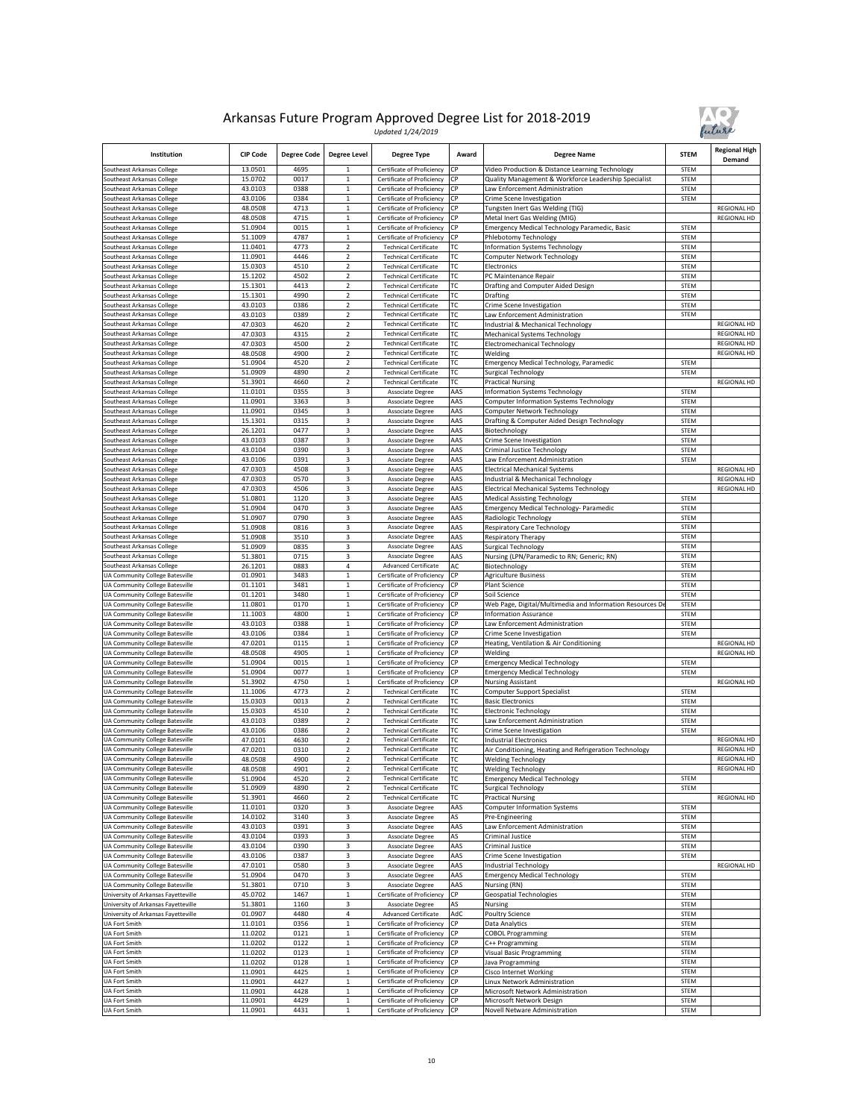

| Institution                                                        | <b>CIP Code</b>    | <b>Degree Code</b> | <b>Degree Level</b>              | Degree Type                                                  | Award           | <b>Degree Name</b>                                                | <b>STEM</b>                | <b>Regional High</b><br>Demand |
|--------------------------------------------------------------------|--------------------|--------------------|----------------------------------|--------------------------------------------------------------|-----------------|-------------------------------------------------------------------|----------------------------|--------------------------------|
| Southeast Arkansas College                                         | 13.0501            | 4695               | 1                                | Certificate of Proficiency                                   | СP              | Video Production & Distance Learning Technology                   | <b>STEM</b>                |                                |
| outheast Arkansas College                                          | 15.0702            | 0017               | $\mathbf{1}$                     | Certificate of Proficiency                                   | СP              | Quality Management & Workforce Leadership Specialist              | <b>STEM</b>                |                                |
| Southeast Arkansas College                                         | 43.0103            | 0388<br>0384       | $\mathbf{1}$<br>$\mathbf{1}$     | Certificate of Proficiency                                   | СP<br><b>CP</b> | aw Enforcement Administration                                     | STEM                       |                                |
| outheast Arkansas College<br>outheast Arkansas College             | 43.0106<br>48.0508 | 4713               | $\mathbf 1$                      | Certificate of Proficiency<br>Certificate of Proficiency     | СP              | Crime Scene Investigation<br>Tungsten Inert Gas Welding (TIG)     | <b>STEM</b>                | REGIONAL HD                    |
| Southeast Arkansas College                                         | 48.0508            | 4715               | $\,1$                            | Certificate of Proficiency                                   | СP              | Metal Inert Gas Welding (MIG)                                     |                            | <b>REGIONAL HD</b>             |
| Southeast Arkansas College                                         | 51.0904            | 0015               | $\mathbf 1$                      | Certificate of Proficiency                                   | СP              | Emergency Medical Technology Paramedic, Basic                     | STEM                       |                                |
| Southeast Arkansas College                                         | 51.1009            | 4787               | $\,$ 1 $\,$                      | Certificate of Proficiency                                   | СP              | Phlebotomy Technology                                             | STEM                       |                                |
| Southeast Arkansas College                                         | 11.0401            | 4773               | $\mathbf 2$                      | <b>Technical Certificate</b>                                 | ГC              | nformation Systems Technology                                     | <b>STEM</b>                |                                |
| Southeast Arkansas College                                         | 11.0901            | 4446               | $\overline{2}$                   | <b>Technical Certificate</b>                                 | ТC              | Computer Network Technology                                       | STEM                       |                                |
| outheast Arkansas College<br>Southeast Arkansas College            | 15.0303<br>15.1202 | 4510<br>4502       | $\overline{2}$<br>$\overline{2}$ | <b>Technical Certificate</b><br><b>Technical Certificate</b> | ТC<br>ГC        | Electronics<br>PC Maintenance Repair                              | <b>STEM</b><br><b>STEM</b> |                                |
| Southeast Arkansas College                                         | 15.1301            | 4413               | $\mathbf 2$                      | <b>Technical Certificate</b>                                 | ТC              | Drafting and Computer Aided Design                                | STEM                       |                                |
| Southeast Arkansas College                                         | 15.1301            | 4990               | $\overline{2}$                   | <b>Technical Certificate</b>                                 | ТC              | Drafting                                                          | STEM                       |                                |
| Southeast Arkansas College                                         | 43.0103            | 0386               | $\mathbf 2$                      | <b>Technical Certificate</b>                                 | ТC              | Crime Scene Investigation                                         | <b>STEM</b>                |                                |
| Southeast Arkansas College                                         | 43.0103            | 0389               | $\overline{2}$                   | <b>Technical Certificate</b>                                 | ТC              | aw Enforcement Administration                                     | <b>STEM</b>                |                                |
| outheast Arkansas College                                          | 47.0303            | 4620               | $\mathbf 2$                      | <b>Technical Certificate</b>                                 | ТC              | ndustrial & Mechanical Technology                                 |                            | <b>REGIONAL HD</b>             |
| outheast Arkansas College                                          | 47.0303            | 4315               | $\overline{2}$                   | <b>Technical Certificate</b>                                 | ТC              | Mechanical Systems Technology                                     |                            | <b>REGIONAL HD</b>             |
| Southeast Arkansas College                                         | 47.0303            | 4500               | $\overline{2}$                   | <b>Technical Certificate</b>                                 | ГC              | Electromechanical Technology                                      |                            | <b>REGIONAL HD</b>             |
| outheast Arkansas College<br>Southeast Arkansas College            | 48.0508<br>51.0904 | 4900<br>4520       | $\mathbf 2$<br>2                 | <b>Technical Certificate</b><br><b>Technical Certificate</b> | ГC<br>ТC        | Welding<br>Emergency Medical Technology, Paramedic                | STEM                       | <b>REGIONAL HD</b>             |
| Southeast Arkansas College                                         | 51.0909            | 4890               | $\overline{2}$                   | <b>Technical Certificate</b>                                 | ТC              | Surgical Technology                                               | <b>STEM</b>                |                                |
| Southeast Arkansas College                                         | 51.3901            | 4660               | $\overline{2}$                   | <b>Technical Certificate</b>                                 | ТC              | <b>Practical Nursing</b>                                          |                            | REGIONAL HD                    |
| Southeast Arkansas College                                         | 11.0101            | 0355               | 3                                | Associate Degree                                             | AAS             | Information Systems Technology                                    | STEM                       |                                |
| outheast Arkansas College                                          | 11.0901            | 3363               | 3                                | Associate Degree                                             | AAS             | Computer Information Systems Technology                           | STEM                       |                                |
| outheast Arkansas College                                          | 11.0901            | 0345               | 3                                | Associate Degree                                             | AAS             | Computer Network Technology                                       | STEM                       |                                |
| outheast Arkansas College                                          | 15.1301            | 0315               | 3                                | Associate Degree                                             | AAS             | Drafting & Computer Aided Design Technology                       | STEM                       |                                |
| Southeast Arkansas College                                         | 26.1201            | 0477               | 3                                | Associate Degree                                             | AAS             | Biotechnology                                                     | <b>STEM</b>                |                                |
| Southeast Arkansas College<br>Southeast Arkansas College           | 43.0103<br>43.0104 | 0387<br>0390       | 3<br>3                           | Associate Degree                                             | AAS<br>AAS      | Crime Scene Investigation<br>Criminal Justice Technology          | <b>STEM</b><br><b>STEM</b> |                                |
| Southeast Arkansas College                                         | 43.0106            | 0391               | 3                                | Associate Degree<br>Associate Degree                         | AAS             | aw Enforcement Administration.                                    | STEM                       |                                |
| <b>Southeast Arkansas College</b>                                  | 47.0303            | 4508               | 3                                | Associate Degree                                             | AAS             | <b>Electrical Mechanical Systems</b>                              |                            | <b>REGIONAL HD</b>             |
| outheast Arkansas College                                          | 47.0303            | 0570               | 3                                | Associate Degree                                             | AAS             | ndustrial & Mechanical Technology                                 |                            | REGIONAL HD                    |
| outheast Arkansas College                                          | 47.0303            | 4506               | 3                                | Associate Degree                                             | AAS             | Electrical Mechanical Systems Technology                          |                            | REGIONAL HD                    |
| Southeast Arkansas College                                         | 51.0801            | 1120               | 3                                | Associate Degree                                             | AAS             | <b>Medical Assisting Technology</b>                               | STEM                       |                                |
| outheast Arkansas College                                          | 51.0904            | 0470               | 3                                | Associate Degree                                             | AAS             | Emergency Medical Technology- Paramedic                           | <b>STEM</b>                |                                |
| Southeast Arkansas College                                         | 51.0907            | 0790               | 3                                | Associate Degree                                             | AAS             | Radiologic Technology                                             | STEM                       |                                |
| Southeast Arkansas College                                         | 51.0908            | 0816               | 3                                | Associate Degree                                             | AAS             | <b>Respiratory Care Technology</b>                                | STEM<br>STEM               |                                |
| Southeast Arkansas College<br>outheast Arkansas College            | 51.0908<br>51.0909 | 3510<br>0835       | 3<br>3                           | Associate Degree<br>Associate Degree                         | AAS<br>AAS      | Respiratory Therapy<br>Surgical Technology                        | <b>STEM</b>                |                                |
| Southeast Arkansas College                                         | 51.3801            | 0715               | 3                                | Associate Degree                                             | AAS             | Nursing (LPN/Paramedic to RN; Generic; RN)                        | STEM                       |                                |
| Southeast Arkansas College                                         | 26.1201            | 0883               | $\overline{a}$                   | <b>Advanced Certificate</b>                                  | AC              | Biotechnology                                                     | <b>STEM</b>                |                                |
| UA Community College Batesville                                    | 01.0901            | 3483               | $\mathbf 1$                      | Certificate of Proficiency                                   | CP              | <b>Agriculture Business</b>                                       | STEM                       |                                |
| <b>JA Community College Batesville</b>                             | 01.1101            | 3481               | $\mathbf 1$                      | Certificate of Proficiency                                   | СP              | Plant Science                                                     | STEM                       |                                |
| UA Community College Batesville                                    | 01.1201            | 3480               | $\,1$                            | Certificate of Proficiency                                   | СP              | Soil Science                                                      | STEM                       |                                |
| UA Community College Batesville                                    | 11.0801            | 0170               | $\mathbf 1$                      | Certificate of Proficiency                                   | СP              | Web Page, Digital/Multimedia and Information Resources D          | <b>STEM</b>                |                                |
| UA Community College Batesville                                    | 11.1003<br>43.0103 | 4800<br>0388       | $\mathbf 1$<br>$\mathbf{1}$      | Certificate of Proficiency<br>Certificate of Proficiency     | СP<br>СP        | nformation Assurance                                              | <b>STEM</b><br>STEM        |                                |
| UA Community College Batesville<br>UA Community College Batesville | 43.0106            | 0384               | $\,1$                            | Certificate of Proficiency                                   | СP              | aw Enforcement Administration<br>Crime Scene Investigation        | STEM                       |                                |
| UA Community College Batesville                                    | 47.0201            | 0115               | $\mathbf{1}$                     | Certificate of Proficiency                                   | СP              | Heating, Ventilation & Air Conditioning                           |                            | REGIONAL HD                    |
| UA Community College Batesville                                    | 48.0508            | 4905               | $\,$ 1 $\,$                      | Certificate of Proficiency                                   | СP              | Welding                                                           |                            | REGIONAL HD                    |
| UA Community College Batesville                                    | 51.0904            | 0015               | $\mathbf 1$                      | Certificate of Proficiency                                   | СP              | <b>Emergency Medical Technology</b>                               | STEM                       |                                |
| UA Community College Batesville                                    | 51.0904            | 0077               | $\mathbf 1$                      | Certificate of Proficiency                                   | СP              | <b>Emergency Medical Technology</b>                               | STEM                       |                                |
| UA Community College Batesville                                    | 51.3902            | 4750               | $\mathbf 1$                      | Certificate of Proficiency                                   | СP              | <b>Nursing Assistant</b>                                          |                            | <b>REGIONAL HD</b>             |
| UA Community College Batesville                                    | 11.1006            | 4773               | $\overline{2}$                   | <b>Technical Certificate</b>                                 | ГC              | Computer Support Specialist                                       | STEM                       |                                |
| UA Community College Batesville<br>UA Community College Batesville | 15.0303<br>15.0303 | 0013<br>4510       | 2<br>$\overline{2}$              | <b>Technical Certificate</b><br><b>Technical Certificate</b> | ГC<br>ТC        | <b>Basic Electronics</b><br><b>Electronic Technology</b>          | STEM<br>STEM               |                                |
| UA Community College Batesville                                    | 43.0103            | 0389               | $\mathbf 2$                      | <b>Technical Certificate</b>                                 | ТC              | aw Enforcement Administration                                     | STEM                       |                                |
| UA Community College Batesville                                    | 43.0106            | 0386               | $\mathbf 2$                      | <b>Technical Certificate</b>                                 | ГC              | Crime Scene Investigation                                         | <b>STEM</b>                |                                |
| UA Community College Batesville                                    | 47.0101            | 4630               | $\overline{2}$                   | <b>Technical Certificate</b>                                 | ТC              | ndustrial Electronics                                             |                            | <b>REGIONAL HD</b>             |
| UA Community College Batesville                                    | 47.0201            | 0310               | $\overline{2}$                   | <b>Technical Certificate</b>                                 | ТC              | Air Conditioning, Heating and Refrigeration Technology            |                            | <b>REGIONAL HD</b>             |
| UA Community College Batesville                                    | 48.0508            | 4900               | $\overline{2}$                   | <b>Technical Certificate</b>                                 | ТC              | <b>Welding Technology</b>                                         |                            | <b>REGIONAL HD</b>             |
| <b>UA Community College Batesville</b>                             | 48.0508            | 4901               | $\overline{2}$                   | <b>Technical Certificate</b>                                 | ТC<br>TC.       | <b>Welding Technology</b>                                         |                            | <b>REGIONAL HD</b>             |
| UA Community College Batesville<br>UA Community College Batesville | 51.0904<br>51.0909 | 4520<br>4890       | $\overline{2}$<br>$\mathbf 2$    | <b>Technical Certificate</b><br><b>Technical Certificate</b> | ТC              | <b>Emergency Medical Technology</b><br><b>Surgical Technology</b> | STEM<br>STEM               |                                |
| UA Community College Batesville                                    | 51.3901            | 4660               | $\mathbf 2$                      | <b>Technical Certificate</b>                                 | ГC              | Practical Nursing                                                 |                            | <b>REGIONAL HD</b>             |
| UA Community College Batesville                                    | 11.0101            | 0320               | 3                                | Associate Degree                                             | AAS             | <b>Computer Information Systems</b>                               | STEM                       |                                |
| UA Community College Batesville                                    | 14.0102            | 3140               | 3                                | Associate Degree                                             | AS              | Pre-Engineering                                                   | <b>STEM</b>                |                                |
| UA Community College Batesville                                    | 43.0103            | 0391               | 3                                | Associate Degree                                             | AAS             | aw Enforcement Administration                                     | <b>STEM</b>                |                                |
| UA Community College Batesville                                    | 43.0104            | 0393               | 3                                | Associate Degree                                             | AS              | Criminal Justice                                                  | STEM                       |                                |
| UA Community College Batesville                                    | 43.0104            | 0390               | 3                                | Associate Degree                                             | AAS             | Criminal Justice                                                  | STEM                       |                                |
| UA Community College Batesville                                    | 43.0106            | 0387               | 3                                | Associate Degree                                             | AAS             | Crime Scene Investigation                                         | STEM                       |                                |
| UA Community College Batesville                                    | 47.0101<br>51.0904 | 0580<br>0470       | 3<br>3                           | Associate Degree                                             | AAS<br>AAS      | ndustrial Technology                                              | STEM                       | REGIONAL HD                    |
| UA Community College Batesville<br>UA Community College Batesville | 51.3801            | 0710               | 3                                | Associate Degree<br>Associate Degree                         | AAS             | <b>Emergency Medical Technology</b><br>Nursing (RN)               | <b>STEM</b>                |                                |
| University of Arkansas Fayetteville                                | 45.0702            | 1467               | $\,$ 1 $\,$                      | Certificate of Proficiency                                   | СP              | Geospatial Technologies                                           | <b>STEM</b>                |                                |
| University of Arkansas Fayetteville                                | 51.3801            | 1160               | 3                                | Associate Degree                                             | AS              | Nursing                                                           | STEM                       |                                |
| University of Arkansas Fayetteville                                | 01.0907            | 4480               | 4                                | <b>Advanced Certificate</b>                                  | AdC             | Poultry Science                                                   | STEM                       |                                |
| <b>UA Fort Smith</b>                                               | 11.0101            | 0356               | $\mathbf{1}$                     | Certificate of Proficiency                                   | СP              | Data Analytics                                                    | STEM                       |                                |
| UA Fort Smith                                                      | 11.0202            | 0121               | $\mathbf 1$                      | Certificate of Proficiency                                   | <b>CP</b>       | <b>COBOL Programming</b>                                          | STEM                       |                                |
| UA Fort Smith                                                      | 11.0202            | 0122               | $\,1$                            | Certificate of Proficiency                                   | СP              | C++ Programming                                                   | STEM                       |                                |
| UA Fort Smith<br>UA Fort Smith                                     | 11.0202<br>11.0202 | 0123<br>0128       | $\mathbf 1$<br>$\,1$             | Certificate of Proficiency<br>Certificate of Proficiency     | СP<br>СP        | Visual Basic Programming<br>Java Programming                      | <b>STEM</b><br>STEM        |                                |
| UA Fort Smith                                                      | 11.0901            | 4425               | $\mathbf 1$                      | Certificate of Proficiency                                   | СP              | Cisco Internet Working                                            | STEM                       |                                |
| UA Fort Smith                                                      | 11.0901            | 4427               | $\mathbf 1$                      | Certificate of Proficiency                                   | СP              | Linux Network Administration                                      | STEM                       |                                |
| UA Fort Smith                                                      | 11.0901            | 4428               | $\,$ 1 $\,$                      | Certificate of Proficiency                                   | <b>CP</b>       | Microsoft Network Administration                                  | STEM                       |                                |
| UA Fort Smith                                                      | 11.0901            | 4429               | $\,$ 1 $\,$                      | Certificate of Proficiency                                   | СP              | Microsoft Network Design                                          | <b>STEM</b>                |                                |
| UA Fort Smith                                                      | 11.0901            | 4431               | $\,1$                            | Certificate of Proficiency                                   | CP              | Novell Netware Administration                                     | STEM                       |                                |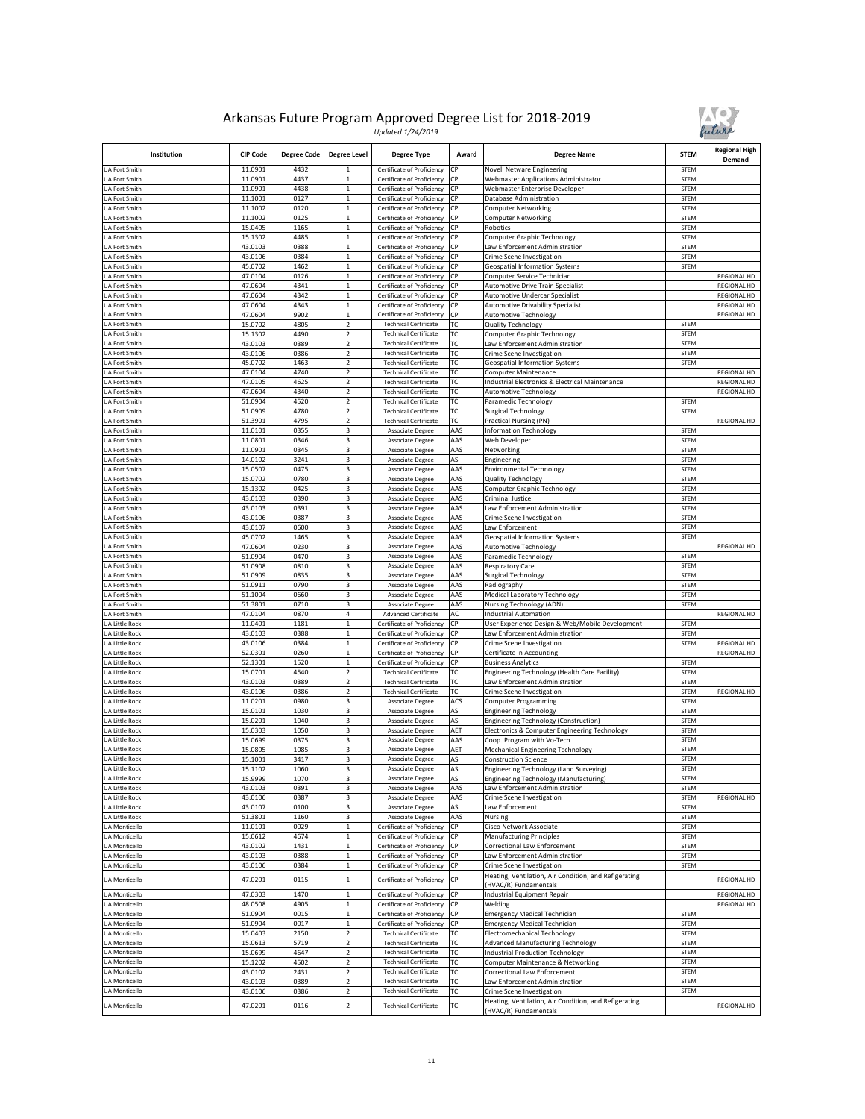

| Institution                                  | <b>CIP Code</b>    | <b>Degree Code</b> | <b>Degree Level</b>                                | Degree Type                                                  | Award      | <b>Degree Name</b>                                                             | <b>STEM</b>                | <b>Regional High</b><br>Demand |
|----------------------------------------------|--------------------|--------------------|----------------------------------------------------|--------------------------------------------------------------|------------|--------------------------------------------------------------------------------|----------------------------|--------------------------------|
| UA Fort Smith                                | 11.0901            | 4432               |                                                    | Certificate of Proficiency                                   | <b>CP</b>  | Novell Netware Engineering                                                     | STEM                       |                                |
| <b>UA Fort Smith</b>                         | 11.0901            | 4437               | 1                                                  | Certificate of Proficiency                                   | СP         | <b>Webmaster Applications Administrator</b>                                    | <b>STEM</b>                |                                |
| UA Fort Smith<br>JA Fort Smith               | 11.0901<br>11.1001 | 4438<br>0127       | $\mathbf 1$<br>$\mathbf{1}$                        | Certificate of Proficiency<br>Certificate of Proficiency     | СP<br>СP   | Webmaster Enterprise Developer<br>Database Administration                      | STEM<br><b>STEM</b>        |                                |
| UA Fort Smith                                | 11.1002            | 0120               | $\,1$                                              | Certificate of Proficiency                                   | СР         | Computer Networking                                                            | <b>STEM</b>                |                                |
| UA Fort Smith                                | 11.1002            | 0125               | 1                                                  | Certificate of Proficiency                                   | СP         | Computer Networking                                                            | <b>STEM</b>                |                                |
| UA Fort Smith                                | 15.0405            | 1165               | $\mathbf 1$                                        | Certificate of Proficiency                                   | СP         | Robotics                                                                       | <b>STEM</b>                |                                |
| UA Fort Smith                                | 15.1302            | 4485               | $\mathbf 1$                                        | Certificate of Proficiency                                   | СP         | Computer Graphic Technology                                                    | <b>STEM</b>                |                                |
| UA Fort Smith                                | 43.0103            | 0388               | $\,$ 1 $\,$                                        | Certificate of Proficiency                                   | СP         | aw Enforcement Administration                                                  | <b>STEM</b>                |                                |
| UA Fort Smith<br><b>JA Fort Smith</b>        | 43.0106<br>45.0702 | 0384<br>1462       | $\mathbf 1$<br>$\mathbf{1}$                        | Certificate of Proficiency<br>Certificate of Proficiency     | СР<br>СP   | Crime Scene Investigation                                                      | STEM<br><b>STEM</b>        |                                |
| <b>JA Fort Smith</b>                         | 47.0104            | 0126               | $\,1$                                              | Certificate of Proficiency                                   | СР         | Geospatial Information Systems<br>Computer Service Technician                  |                            | REGIONAL HD                    |
| UA Fort Smith                                | 47.0604            | 4341               | 1                                                  | Certificate of Proficiency                                   | СР         | <b>Automotive Drive Train Specialist</b>                                       |                            | <b>REGIONAL HD</b>             |
| UA Fort Smith                                | 47.0604            | 4342               | $\,1$                                              | Certificate of Proficiency                                   | СР         | <b>Automotive Undercar Specialist</b>                                          |                            | <b>REGIONAL HD</b>             |
| UA Fort Smith                                | 47.0604            | 4343               | $\mathbf{1}$                                       | Certificate of Proficiency                                   | СP         | <b>Automotive Drivability Specialist</b>                                       |                            | <b>REGIONAL HD</b>             |
| <b>UA Fort Smith</b>                         | 47.0604            | 9902               | $\mathbf 1$                                        | Certificate of Proficiency                                   | СP         | <b>Automotive Technology</b>                                                   |                            | <b>REGIONAL HD</b>             |
| <b>UA Fort Smith</b>                         | 15.0702            | 4805               | 2                                                  | <b>Technical Certificate</b>                                 | ГC         | <b>Quality Technology</b>                                                      | STEM                       |                                |
| UA Fort Smith<br>UA Fort Smith               | 15.1302<br>43.0103 | 4490<br>0389       | $\overline{\mathbf{c}}$<br>$\overline{\mathbf{c}}$ | <b>Technical Certificate</b><br><b>Technical Certificate</b> | ТC<br>ТC   | Computer Graphic Technology<br>aw Enforcement Administration                   | <b>STEM</b><br><b>STEM</b> |                                |
| UA Fort Smith                                | 43.0106            | 0386               | $\overline{2}$                                     | <b>Technical Certificate</b>                                 | ГC         | Crime Scene Investigation                                                      | <b>STEM</b>                |                                |
| UA Fort Smith                                | 45.0702            | 1463               | 2                                                  | <b>Technical Certificate</b>                                 | ГC         | <b>Geospatial Information Systems</b>                                          | <b>STEM</b>                |                                |
| UA Fort Smith                                | 47.0104            | 4740               | 2                                                  | <b>Technical Certificate</b>                                 | ТC         | Computer Maintenance                                                           |                            | <b>REGIONAL HD</b>             |
| UA Fort Smith                                | 47.0105            | 4625               | $\overline{\mathbf{c}}$                            | <b>Technical Certificate</b>                                 | ГC         | Industrial Electronics & Electrical Maintenance                                |                            | REGIONAL HD                    |
| UA Fort Smith                                | 47.0604            | 4340               | 2                                                  | <b>Technical Certificate</b>                                 | ТC         | Automotive Technology                                                          |                            | REGIONAL HD                    |
| UA Fort Smith                                | 51.0904            | 4520               | $\mathbf 2$                                        | <b>Technical Certificate</b>                                 | ТC         | Paramedic Technology                                                           | STEM                       |                                |
| UA Fort Smith<br>UA Fort Smith               | 51.0909<br>51.3901 | 4780<br>4795       | 2<br>$\overline{2}$                                | <b>Technical Certificate</b><br><b>Technical Certificate</b> | ТC<br>ГC   | Surgical Technology<br><b>Practical Nursing (PN)</b>                           | <b>STEM</b>                | <b>REGIONAL HD</b>             |
| UA Fort Smith                                | 11.0101            | 0355               | 3                                                  | Associate Degree                                             | AAS        | <b>Information Technology</b>                                                  | STEM                       |                                |
| UA Fort Smith                                | 11.0801            | 0346               | 3                                                  | Associate Degree                                             | AAS        | Web Developer                                                                  | <b>STEM</b>                |                                |
| UA Fort Smith                                | 11.0901            | 0345               | 3                                                  | Associate Degree                                             | AAS        | Networking                                                                     | <b>STEM</b>                |                                |
| UA Fort Smith                                | 14.0102            | 3241               | 3                                                  | Associate Degree                                             | AS         | Engineering                                                                    | <b>STEM</b>                |                                |
| <b>UA Fort Smith</b>                         | 15.0507            | 0475               | 3                                                  | Associate Degree                                             | AAS        | <b>Environmental Technology</b>                                                | <b>STEM</b>                |                                |
| <b>JA Fort Smith</b>                         | 15.0702            | 0780               | 3<br>3                                             | Associate Degree                                             | AAS<br>AAS | Quality Technology                                                             | <b>STEM</b><br><b>STEM</b> |                                |
| JA Fort Smith<br>UA Fort Smith               | 15.1302<br>43.0103 | 0425<br>0390       | 3                                                  | <b>Associate Degree</b><br>Associate Degree                  | AAS        | Computer Graphic Technology<br>Criminal Justice                                | STEM                       |                                |
| UA Fort Smith                                | 43.0103            | 0391               | 3                                                  | Associate Degree                                             | AAS        | Law Enforcement Administration                                                 | <b>STEM</b>                |                                |
| UA Fort Smith                                | 43.0106            | 0387               | 3                                                  | Associate Degree                                             | AAS        | Crime Scene Investigation                                                      | <b>STEM</b>                |                                |
| UA Fort Smith                                | 43.0107            | 0600               | 3                                                  | Associate Degree                                             | AAS        | Law Enforcement                                                                | <b>STEM</b>                |                                |
| <b>UA Fort Smith</b>                         | 45.0702            | 1465               | 3                                                  | Associate Degree                                             | AAS        | Geospatial Information Systems                                                 | STEM                       |                                |
| JA Fort Smith                                | 47.0604            | 0230               | 3                                                  | Associate Degree                                             | AAS        | Automotive Technology                                                          |                            | <b>REGIONAL HD</b>             |
| UA Fort Smith                                | 51.0904<br>51.0908 | 0470<br>0810       | 3<br>3                                             | Associate Degree                                             | AAS<br>AAS | Paramedic Technology                                                           | <b>STEM</b><br>STEM        |                                |
| UA Fort Smith<br>UA Fort Smith               | 51.0909            | 0835               | 3                                                  | Associate Degree<br>Associate Degree                         | AAS        | <b>Respiratory Care</b><br><b>Surgical Technology</b>                          | <b>STEM</b>                |                                |
| UA Fort Smith                                | 51.0911            | 0790               | 3                                                  | Associate Degree                                             | AAS        | Radiography                                                                    | <b>STEM</b>                |                                |
| UA Fort Smith                                | 51.1004            | 0660               | 3                                                  | Associate Degree                                             | AAS        | Medical Laboratory Technology                                                  | <b>STEM</b>                |                                |
| UA Fort Smith                                | 51.3801            | 0710               | 3                                                  | Associate Degree                                             | AAS        | Nursing Technology (ADN)                                                       | <b>STEM</b>                |                                |
| UA Fort Smith                                | 47.0104            | 0870               | 4                                                  | <b>Advanced Certificate</b>                                  | AC         | <b>Industrial Automation</b>                                                   |                            | <b>REGIONAL HD</b>             |
| <b>UA Little Rock</b>                        | 11.0401            | 1181               | $\mathbf 1$                                        | Certificate of Proficiency                                   | СP         | User Experience Design & Web/Mobile Development                                | <b>STEM</b>                |                                |
| UA Little Rock<br>UA Little Rock             | 43.0103<br>43.0106 | 0388<br>0384       | $\mathbf 1$<br>$\mathbf 1$                         | Certificate of Proficiency<br>Certificate of Proficiency     | СР<br>СP   | Law Enforcement Administration<br>Crime Scene Investigation                    | <b>STEM</b><br><b>STEM</b> | REGIONAL HD                    |
| UA Little Rock                               | 52.0301            | 0260               | $\,1$                                              | Certificate of Proficiency                                   | СР         | Certificate in Accounting                                                      |                            | REGIONAL HD                    |
| UA Little Rock                               | 52.1301            | 1520               | $\mathbf 1$                                        | Certificate of Proficiency                                   | СР         | <b>Business Analytics</b>                                                      | STEM                       |                                |
| UA Little Rock                               | 15.0701            | 4540               | 2                                                  | <b>Technical Certificate</b>                                 | ТC         | Engineering Technology (Health Care Facility)                                  | <b>STEM</b>                |                                |
| UA Little Rock                               | 43.0103            | 0389               | $\overline{\mathbf{c}}$                            | <b>Technical Certificate</b>                                 | ТC         | Law Enforcement Administration                                                 | <b>STEM</b>                |                                |
| UA Little Rock                               | 43.0106            | 0386               | $\overline{\mathbf{c}}$                            | <b>Technical Certificate</b>                                 | ГC         | Crime Scene Investigation                                                      | <b>STEM</b>                | <b>REGIONAL HD</b>             |
| UA Little Rock<br>UA Little Rock             | 11.0201<br>15.0101 | 0980<br>1030       | 3<br>3                                             | Associate Degree<br>Associate Degree                         | ACS<br>AS  | Computer Programming                                                           | <b>STEM</b><br>STEM        |                                |
| UA Little Rock                               | 15.0201            | 1040               | 3                                                  | Associate Degree                                             | AS         | <b>Engineering Technology</b><br>Engineering Technology (Construction)         | <b>STEM</b>                |                                |
| UA Little Rock                               | 15.0303            | 1050               | 3                                                  | Associate Degree                                             | AET        | Electronics & Computer Engineering Technology                                  | <b>STEM</b>                |                                |
| UA Little Rock                               | 15.0699            | 0375               | 3                                                  | Associate Degree                                             | AAS        | Coop. Program with Vo-Tech                                                     | <b>STEM</b>                |                                |
| UA Little Rock                               | 15.0805            | 1085               | 3                                                  | Associate Degree                                             | AET        | Mechanical Engineering Technology                                              | <b>STEM</b>                |                                |
| UA Little Rock                               | 15.1001            | 3417               | 3                                                  | <b>Associate Degree</b>                                      | AS         | Construction Science                                                           | <b>STEM</b>                |                                |
| <b>UA Little Rock</b>                        | 15.1102<br>15.9999 | 1060               | 3                                                  | <b>Associate Degree</b>                                      | AS         | Engineering Technology (Land Surveying)                                        | <b>STEM</b>                |                                |
| UA Little Rock<br><b>UA Little Rock</b>      | 43.0103            | 1070<br>0391       | 3<br>3                                             | Associate Degree<br><b>Associate Degree</b>                  | AS<br>AAS  | Engineering Technology (Manufacturing)                                         | STEM<br>STEM               |                                |
| UA Little Rock                               | 43.0106            | 0387               | 3                                                  | Associate Degree                                             | AAS        | Law Enforcement Administration<br>Crime Scene Investigation                    | <b>STEM</b>                | REGIONAL HD                    |
| UA Little Rock                               | 43.0107            | 0100               | 3                                                  | Associate Degree                                             | ۹S         | Law Enforcement                                                                | STEM                       |                                |
| UA Little Rock                               | 51.3801            | 1160               | 3                                                  | Associate Degree                                             | AAS        | Nursing                                                                        | <b>STEM</b>                |                                |
| <b>UA Monticello</b>                         | 11.0101            | 0029               | $\,$ 1 $\,$                                        | Certificate of Proficiency                                   | СP         | Cisco Network Associate                                                        | <b>STEM</b>                |                                |
| <b>UA Monticello</b>                         | 15.0612            | 4674               | $\,1$                                              | Certificate of Proficiency                                   | СÞ         | <b>Manufacturing Principles</b>                                                | STEM                       |                                |
| <b>UA Monticello</b>                         | 43.0102            | 1431               | $\mathbf 1$                                        | Certificate of Proficiency                                   | СP<br>CP   | Correctional Law Enforcement                                                   | STEM                       |                                |
| <b>UA Monticello</b><br>UA Monticello        | 43.0103<br>43.0106 | 0388<br>0384       | $\,$ 1 $\,$<br>$\mathbf 1$                         | Certificate of Proficiency<br>Certificate of Proficiency     | СP         | Law Enforcement Administration<br>Crime Scene Investigation                    | <b>STEM</b><br>STEM        |                                |
|                                              |                    |                    |                                                    |                                                              |            | Heating, Ventilation, Air Condition, and Refigerating                          |                            |                                |
| <b>UA Monticello</b><br><b>UA Monticello</b> | 47.0201            | 0115<br>1470       | $\mathbf 1$<br>$\mathbf 1$                         | Certificate of Proficiency<br>Certificate of Proficiency     | CP<br>СP   | (HVAC/R) Fundamentals                                                          |                            | REGIONAL HD                    |
| <b>UA Monticello</b>                         | 47.0303<br>48.0508 | 4905               | 1                                                  | Certificate of Proficiency                                   | СР         | Industrial Equipment Repair<br>Welding                                         |                            | REGIONAL HD<br>REGIONAL HD     |
| <b>UA Monticello</b>                         | 51.0904            | 0015               | $\mathbf 1$                                        | Certificate of Proficiency                                   | СР         | <b>Emergency Medical Technician</b>                                            | STEM                       |                                |
| <b>UA Monticello</b>                         | 51.0904            | 0017               | $\,$ 1 $\,$                                        | Certificate of Proficiency                                   | СP         | <b>Emergency Medical Technician</b>                                            | STEM                       |                                |
| <b>UA Monticello</b>                         | 15.0403            | 2150               | $\overline{\mathbf{c}}$                            | <b>Technical Certificate</b>                                 | ТC         | <b>Electromechanical Technology</b>                                            | STEM                       |                                |
| <b>UA Monticello</b>                         | 15.0613            | 5719               | 2                                                  | <b>Technical Certificate</b>                                 | ГC         | Advanced Manufacturing Technology                                              | STEM                       |                                |
| <b>UA Monticello</b>                         | 15.0699            | 4647               | $\overline{2}$                                     | <b>Technical Certificate</b>                                 | ТC         | <b>Industrial Production Technology</b>                                        | <b>STEM</b>                |                                |
| <b>UA Monticello</b>                         | 15.1202<br>43.0102 | 4502<br>2431       | $\overline{\mathbf{c}}$<br>2                       | <b>Technical Certificate</b>                                 | ГC<br>ГC   | Computer Maintenance & Networking<br>Correctional Law Enforcement              | STEM<br>STEM               |                                |
| UA Monticello<br><b>UA Monticello</b>        | 43.0103            | 0389               | 2                                                  | <b>Technical Certificate</b><br><b>Technical Certificate</b> | ТC         | Law Enforcement Administration                                                 | STEM                       |                                |
| <b>UA Monticello</b>                         | 43.0106            | 0386               | 2                                                  | <b>Technical Certificate</b>                                 | ТC         | Crime Scene Investigation                                                      | STEM                       |                                |
| <b>UA Monticello</b>                         | 47.0201            | 0116               | $\mathbf 2$                                        | <b>Technical Certificate</b>                                 | ТC         | Heating, Ventilation, Air Condition, and Refigerating<br>(HVAC/R) Fundamentals |                            | <b>REGIONAL HD</b>             |